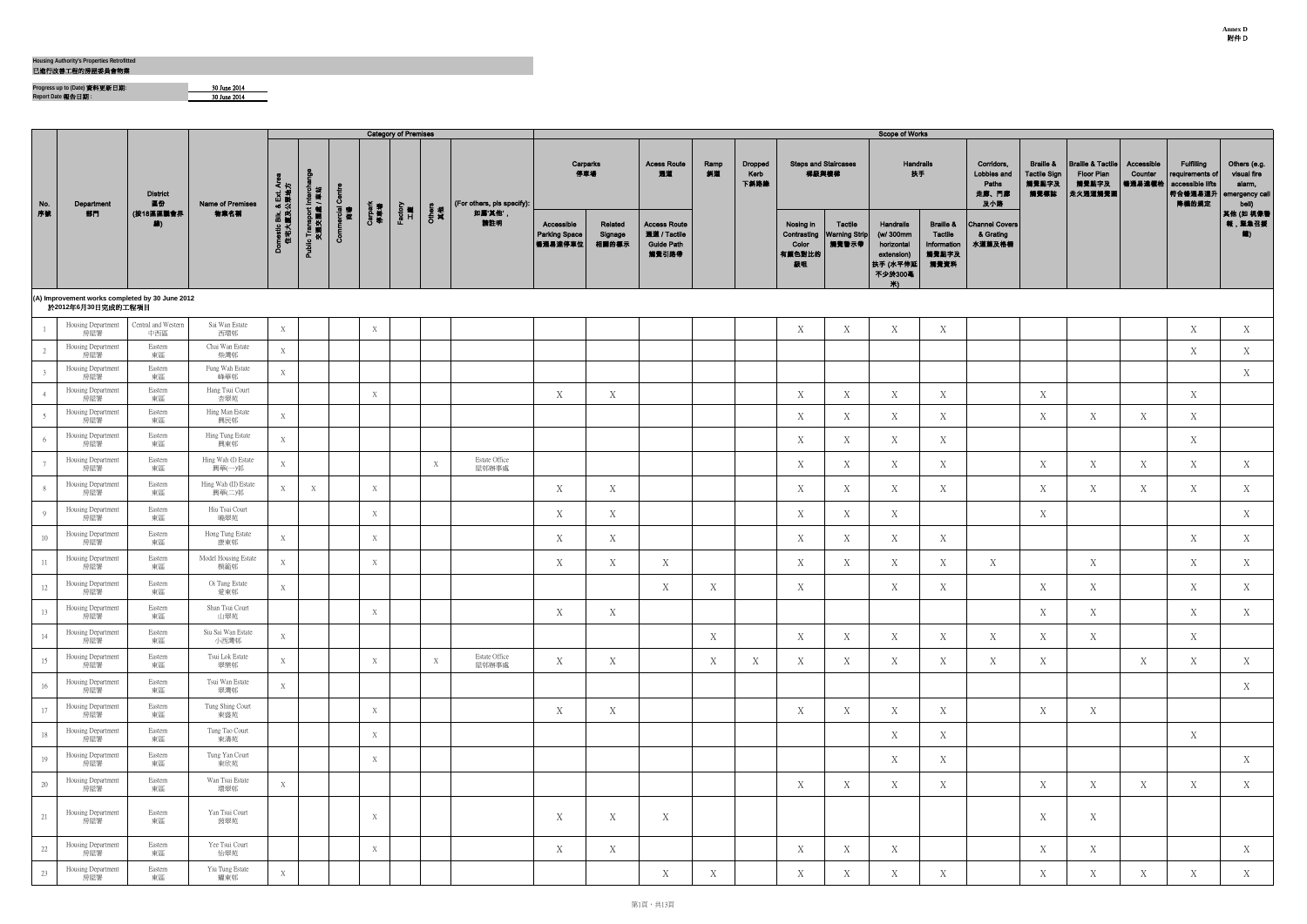已進行改善工程的房屋委員會物業

<u> Elizabeth Communication and the communication of the communication of the communication of the communication of the communication of the communication of the communication of the communication of the communication of the</u>

**Progress up to (Date)** 資料更新日期**:** 30 June 2014 **Report Date** 報告日期 **:** 30 June 2014

**.** 

| Corridors,<br>Lobbies and<br>Paths<br>走廊、門廊<br>及小路<br><b>Channel Covers</b><br>& Grating<br>水道蓋及格柵 | <b>Braille &amp;</b><br><b>Tactile Sign</b><br>觸覺點字及<br>觸覺標誌 | <b>Braille &amp; Tactile</b><br><b>Floor Plan</b><br>觸覺點字及<br>走火通道觸覺圖 | Accessible<br>Counter<br>暢通易達權枱 | Fulfilling<br>requirements of<br>accessible lifts<br>符合暢通易達升<br>降機的規定 | Others (e.g.<br>visual fire<br>alarm,<br>emergency call<br>bell)<br>其他 (如 視像警<br>報,緊急召援<br>(2) |
|----------------------------------------------------------------------------------------------------|--------------------------------------------------------------|-----------------------------------------------------------------------|---------------------------------|-----------------------------------------------------------------------|------------------------------------------------------------------------------------------------|
|                                                                                                    |                                                              |                                                                       |                                 |                                                                       |                                                                                                |
|                                                                                                    |                                                              |                                                                       |                                 | X                                                                     | X                                                                                              |
|                                                                                                    |                                                              |                                                                       |                                 | $\mathbf X$                                                           | $\mathbf X$                                                                                    |
|                                                                                                    |                                                              |                                                                       |                                 |                                                                       | $\mathbf X$                                                                                    |
|                                                                                                    | X                                                            |                                                                       |                                 | X                                                                     |                                                                                                |
|                                                                                                    | $\mathbf X$                                                  | $\mathbf X$                                                           | $\mathbf X$                     | X                                                                     |                                                                                                |
|                                                                                                    |                                                              |                                                                       |                                 | X                                                                     |                                                                                                |
|                                                                                                    | $\mathbf X$                                                  | $\mathbf X$                                                           | $\mathbf X$                     | X                                                                     | $\mathbf X$                                                                                    |
|                                                                                                    | X                                                            | $\mathbf X$                                                           | $\mathbf X$                     | $\mathbf X$                                                           | $\mathbf X$                                                                                    |
|                                                                                                    | $\mathbf X$                                                  |                                                                       |                                 |                                                                       | $\mathbf X$                                                                                    |
|                                                                                                    |                                                              |                                                                       |                                 | $\mathbf X$                                                           | $\mathbf X$                                                                                    |
| $\mathbf X$                                                                                        |                                                              | $\mathbf X$                                                           |                                 | $\mathbf X$                                                           | $\mathbf X$                                                                                    |
|                                                                                                    | $\mathbf X$                                                  | X                                                                     |                                 | X                                                                     | $\mathbf X$                                                                                    |
|                                                                                                    | X                                                            | X                                                                     |                                 | X                                                                     | X                                                                                              |
| $\mathbf X$                                                                                        | $\mathbf X$                                                  | $\mathbf X$                                                           |                                 | $\mathbf X$                                                           |                                                                                                |
| $\mathbf X$                                                                                        | X                                                            |                                                                       | $\mathbf X$                     | $\mathbf X$                                                           | $\mathbf X$                                                                                    |
|                                                                                                    |                                                              |                                                                       |                                 |                                                                       | $\mathbf X$                                                                                    |
|                                                                                                    | $\mathbf X$                                                  | $\mathbf X$                                                           |                                 |                                                                       |                                                                                                |
|                                                                                                    |                                                              |                                                                       |                                 | $\mathbf X$                                                           |                                                                                                |
|                                                                                                    |                                                              |                                                                       |                                 |                                                                       | $\mathbf X$                                                                                    |
|                                                                                                    | $\mathbf X$                                                  | $\mathbf X$                                                           | $\mathbf X$                     | $\mathbf X$                                                           | $\mathbf X$                                                                                    |
|                                                                                                    | $\mathbf X$                                                  | $\mathbf X$                                                           |                                 |                                                                       |                                                                                                |
|                                                                                                    | X                                                            | $\mathbf X$                                                           |                                 |                                                                       | X                                                                                              |
|                                                                                                    | X                                                            | X                                                                     | X                               | $\mathbf X$                                                           | X                                                                                              |
|                                                                                                    |                                                              |                                                                       |                                 |                                                                       |                                                                                                |

|                            |                                                                       |                            |                                |                                    |                                        |              |                | <b>Category of Premises</b> |              |                            |                                               |                             |                                                                   |            |                                |                                                   |                                          | Scope of Works                                                                  |                                                                 |                                                    |                                                              |                                                                       |                                 |                                                                               |                                          |
|----------------------------|-----------------------------------------------------------------------|----------------------------|--------------------------------|------------------------------------|----------------------------------------|--------------|----------------|-----------------------------|--------------|----------------------------|-----------------------------------------------|-----------------------------|-------------------------------------------------------------------|------------|--------------------------------|---------------------------------------------------|------------------------------------------|---------------------------------------------------------------------------------|-----------------------------------------------------------------|----------------------------------------------------|--------------------------------------------------------------|-----------------------------------------------------------------------|---------------------------------|-------------------------------------------------------------------------------|------------------------------------------|
| <b>No.</b><br>  No.<br> 序號 | Department                                                            | <b>District</b><br>區份      | <b>Name of Premises</b>        | ጃ է !                              |                                        | ്            |                |                             |              | (For others, pls specify): |                                               | Carparks<br>停車場             | <b>Acess Route</b><br>通道                                          | Ramp<br>斜道 | <b>Dropped</b><br>Kerb<br>下斜路緣 |                                                   | <b>Steps and Staircases</b><br>梯級與樓梯     | Handrails<br>扶手                                                                 |                                                                 | Corridors,<br>Lobbies and<br>Paths<br>走廊、門廊<br>及小路 | <b>Braille &amp;</b><br><b>Tactile Sign</b><br>觸覺點字及<br>觸覺標誌 | <b>Braille &amp; Tactile</b><br><b>Floor Plan</b><br>觸覺點字及<br>走火通道觸覺圖 | Accessible<br>Counter<br>暢通易達櫃枱 | <b>Fulfilling</b><br>requirements of<br>accessible lifts<br> 符合暢通易達升<br>降機的規定 | Others<br>visua<br>alar<br>emerger<br>be |
|                            | 部門                                                                    | (按18區區議會界<br>線)            | 物業名稱                           | xmestic Blk. & Ext. /<br>住宅大廈及公眾地7 | Public Transport Interch<br>交通交匯處 / 車站 | ercial<br>商場 | Carpark<br>停車場 | Factory<br>H <b>e</b>       | Others<br>其他 | 如属'其他',<br>請註明             | Accessible<br><b>Parking Space</b><br>暢通易達停車位 | Related<br>Signage<br>相關的標示 | <b>Access Route</b><br>通道 / Tactile<br><b>Guide Path</b><br>觸覺引路帶 |            |                                | Nosing in<br>Contrasting<br>Color<br>有顏色對比的<br>級咀 | Tactile<br><b>Warning Strip</b><br>觸覺警示帶 | Handrails<br>(w/ 300mm<br>horizontal<br>extension)<br>扶手 (水平伸延<br>不少於300毫<br>Ж∖ | <b>Braille &amp;</b><br>Tactile<br>Information<br>觸覺點字及<br>觸覺資料 | <b>Channel Covers</b><br>& Grating<br>水道蓋及格柵       |                                                              |                                                                       |                                 |                                                                               | 其他(如<br>報,緊                              |
|                            | (A) Improvement works completed by 30 June 2012<br>於2012年6月30日完成的工程項目 |                            |                                |                                    |                                        |              |                |                             |              |                            |                                               |                             |                                                                   |            |                                |                                                   |                                          |                                                                                 |                                                                 |                                                    |                                                              |                                                                       |                                 |                                                                               |                                          |
|                            | Housing Department<br>房屋署                                             | Central and Western<br>中西區 | Sai Wan Estate<br>西環邨          | X                                  |                                        |              | X              |                             |              |                            |                                               |                             |                                                                   |            |                                | X                                                 | $\mathbf X$                              | $\mathbf X$                                                                     | $\mathbf X$                                                     |                                                    |                                                              |                                                                       |                                 | $\mathbf X$                                                                   | $\boldsymbol{\mathrm{X}}$                |
|                            | Housing Department<br>房屋署                                             | Eastern<br>東區              | Chai Wan Estate<br>柴灣邨         | X                                  |                                        |              |                |                             |              |                            |                                               |                             |                                                                   |            |                                |                                                   |                                          |                                                                                 |                                                                 |                                                    |                                                              |                                                                       |                                 | X                                                                             | X                                        |
|                            | Housing Department<br>房屋署                                             | Eastern<br>東區              | Fung Wah Estate<br>峰華邨         | X                                  |                                        |              |                |                             |              |                            |                                               |                             |                                                                   |            |                                |                                                   |                                          |                                                                                 |                                                                 |                                                    |                                                              |                                                                       |                                 |                                                                               | - X                                      |
|                            | Housing Department<br>房屋署                                             | Eastern<br>東區              | Hang Tsui Court<br>杏翠苑         |                                    |                                        |              | X              |                             |              |                            | X                                             | $\boldsymbol{X}$            |                                                                   |            |                                | X                                                 | X                                        | X                                                                               | X                                                               |                                                    | X                                                            |                                                                       |                                 | X                                                                             |                                          |
|                            | Housing Department<br>房屋署                                             | Eastern<br>東區              | Hing Man Estate<br>興民邨         | X                                  |                                        |              |                |                             |              |                            |                                               |                             |                                                                   |            |                                | X                                                 | X                                        | X                                                                               | X                                                               |                                                    | X                                                            | X                                                                     | X                               | X                                                                             |                                          |
|                            | Housing Department<br>房屋署                                             | Eastern<br>東區              | Hing Tung Estate<br>興東邨        | X                                  |                                        |              |                |                             |              |                            |                                               |                             |                                                                   |            |                                | X                                                 | X                                        | X                                                                               | X                                                               |                                                    |                                                              |                                                                       |                                 | $\mathbf X$                                                                   |                                          |
|                            | Housing Department<br>房屋署                                             | Eastern<br>東區              | Hing Wah (I) Estate<br>興華(一)邨  | X                                  |                                        |              |                |                             | X            | Estate Office<br>屋邨辦事處     |                                               |                             |                                                                   |            |                                | X                                                 | X                                        | X                                                                               | X                                                               |                                                    | X                                                            | X                                                                     | X                               | X                                                                             | - X                                      |
|                            | Housing Department<br>房屋署                                             | Eastern<br>東區              | Hing Wah (II) Estate<br>興華(二)邨 | X                                  | X                                      |              | X              |                             |              |                            | X                                             | X                           |                                                                   |            |                                | X                                                 | X                                        | X                                                                               | X                                                               |                                                    | X                                                            | X                                                                     | X                               | X                                                                             | X                                        |
| Q                          | Housing Department<br>房屋署                                             | Eastern<br>東區              | Hiu Tsui Court<br>曉翠苑          |                                    |                                        |              | X              |                             |              |                            | $\mathbf X$                                   | $\boldsymbol{X}$            |                                                                   |            |                                | X                                                 | X                                        | X                                                                               |                                                                 |                                                    | $\mathbf X$                                                  |                                                                       |                                 |                                                                               | - X                                      |
| 10                         | Housing Department<br>房屋署                                             | Eastern<br>東區              | Hong Tung Estate<br>康東邨        | X                                  |                                        |              | X              |                             |              |                            | X                                             | X                           |                                                                   |            |                                | X                                                 | X                                        | X                                                                               | X                                                               |                                                    |                                                              |                                                                       |                                 | X                                                                             | $\boldsymbol{\mathrm{X}}$                |
| 11                         | Housing Department<br>房屋署                                             | Eastern<br>東區              | Model Housing Estate<br>模範邨    | $\mathbf X$                        |                                        |              | $\mathbf X$    |                             |              |                            | X                                             | Χ                           | X                                                                 |            |                                | X                                                 | Χ                                        | X                                                                               | X                                                               | X                                                  |                                                              | X                                                                     |                                 | X                                                                             |                                          |
| 12                         | Housing Department<br>房屋署                                             | Eastern<br>東區              | Oi Tung Estate<br>愛東邨          | X                                  |                                        |              |                |                             |              |                            |                                               |                             | X                                                                 | X          |                                | X                                                 |                                          | X                                                                               | X                                                               |                                                    | X                                                            | X                                                                     |                                 | X                                                                             | X                                        |
| 13                         | Housing Department<br>房屋署                                             | Eastern<br>東區              | Shan Tsui Court<br>山翠苑         |                                    |                                        |              | X              |                             |              |                            | X                                             | X                           |                                                                   |            |                                |                                                   |                                          |                                                                                 |                                                                 |                                                    | X                                                            | X                                                                     |                                 | X                                                                             |                                          |
| 14                         | Housing Department<br>房屋署                                             | Eastern<br>東區              | Siu Sai Wan Estate<br>小西灣邨     | X                                  |                                        |              |                |                             |              |                            |                                               |                             |                                                                   | X          |                                | X                                                 | Χ                                        | X                                                                               | X                                                               | X                                                  | X                                                            | X                                                                     |                                 | X                                                                             |                                          |
| 15                         | Housing Department<br>房屋署                                             | Eastern<br>東區              | Tsui Lok Estate<br>翠樂邨         | $\mathbf X$                        |                                        |              | X              |                             | X            | Estate Office<br>屋邨辦事處     | X                                             | X                           |                                                                   | X          | X                              | X                                                 | Χ                                        | X                                                                               | X                                                               | X                                                  | X                                                            |                                                                       | X                               | X                                                                             | - X                                      |
| 16                         | Housing Department<br>房屋署                                             | Eastern<br>東區              | Tsui Wan Estate<br>翠灣邨         | X                                  |                                        |              |                |                             |              |                            |                                               |                             |                                                                   |            |                                |                                                   |                                          |                                                                                 |                                                                 |                                                    |                                                              |                                                                       |                                 |                                                                               | $\boldsymbol{\mathrm{X}}$                |
| 17                         | Housing Department<br>房屋署                                             | Eastern<br>東區              | Tung Shing Court<br>東盛苑        |                                    |                                        |              | X              |                             |              |                            | X                                             | X                           |                                                                   |            |                                | X                                                 | Χ                                        | X                                                                               | X                                                               |                                                    | X                                                            | X                                                                     |                                 |                                                                               |                                          |
| 18                         | Housing Department<br>房屋署                                             | Eastern<br>東區              | Tung Tao Court<br>東濤苑          |                                    |                                        |              | X              |                             |              |                            |                                               |                             |                                                                   |            |                                |                                                   |                                          | X                                                                               | X                                                               |                                                    |                                                              |                                                                       |                                 | X                                                                             |                                          |
| 19                         | Housing Department<br>房屋署                                             | Eastern<br>東區              | Tung Yan Court<br>東欣苑          |                                    |                                        |              | X              |                             |              |                            |                                               |                             |                                                                   |            |                                |                                                   |                                          | X                                                                               | X                                                               |                                                    |                                                              |                                                                       |                                 |                                                                               | X                                        |
| 20                         | Housing Department<br>房屋署                                             | Eastern<br>東區              | Wan Tsui Estate<br>環翠邨         | X                                  |                                        |              |                |                             |              |                            |                                               |                             |                                                                   |            |                                | X                                                 | X                                        | X                                                                               | X                                                               |                                                    | X                                                            | X                                                                     | X                               | X                                                                             | $\boldsymbol{\mathrm{X}}$                |
| 21                         | Housing Department<br>房屋署                                             | Eastern<br>東區              | Yan Tsui Court<br>茵翠苑          |                                    |                                        |              | X              |                             |              |                            | X                                             | X                           | X                                                                 |            |                                |                                                   |                                          |                                                                                 |                                                                 |                                                    | $\mathbf X$                                                  | X                                                                     |                                 |                                                                               |                                          |
| 22                         | Housing Department<br>房屋署                                             | Eastern<br>東區              | Yee Tsui Court<br>怡翠苑          |                                    |                                        |              | X              |                             |              |                            | $\mathbf X$                                   | X                           |                                                                   |            |                                | X                                                 | X                                        | X                                                                               |                                                                 |                                                    | X                                                            | X                                                                     |                                 |                                                                               | $\boldsymbol{\mathrm{X}}$                |
| 23                         | Housing Department<br>房屋署                                             | Eastern<br>東區              | Yiu Tung Estate<br>耀東邨         | $\mathbf X$                        |                                        |              |                |                             |              |                            |                                               |                             | $X_{\mathcal{I}}$                                                 | X          |                                | X                                                 | X                                        | X                                                                               | X                                                               |                                                    | X                                                            | X                                                                     | X                               | X                                                                             | X                                        |
|                            |                                                                       |                            |                                |                                    |                                        |              |                |                             |              |                            |                                               |                             |                                                                   |            |                                |                                                   |                                          |                                                                                 |                                                                 |                                                    |                                                              |                                                                       |                                 |                                                                               |                                          |

#### **Housing Authority's Properties Retrofitted**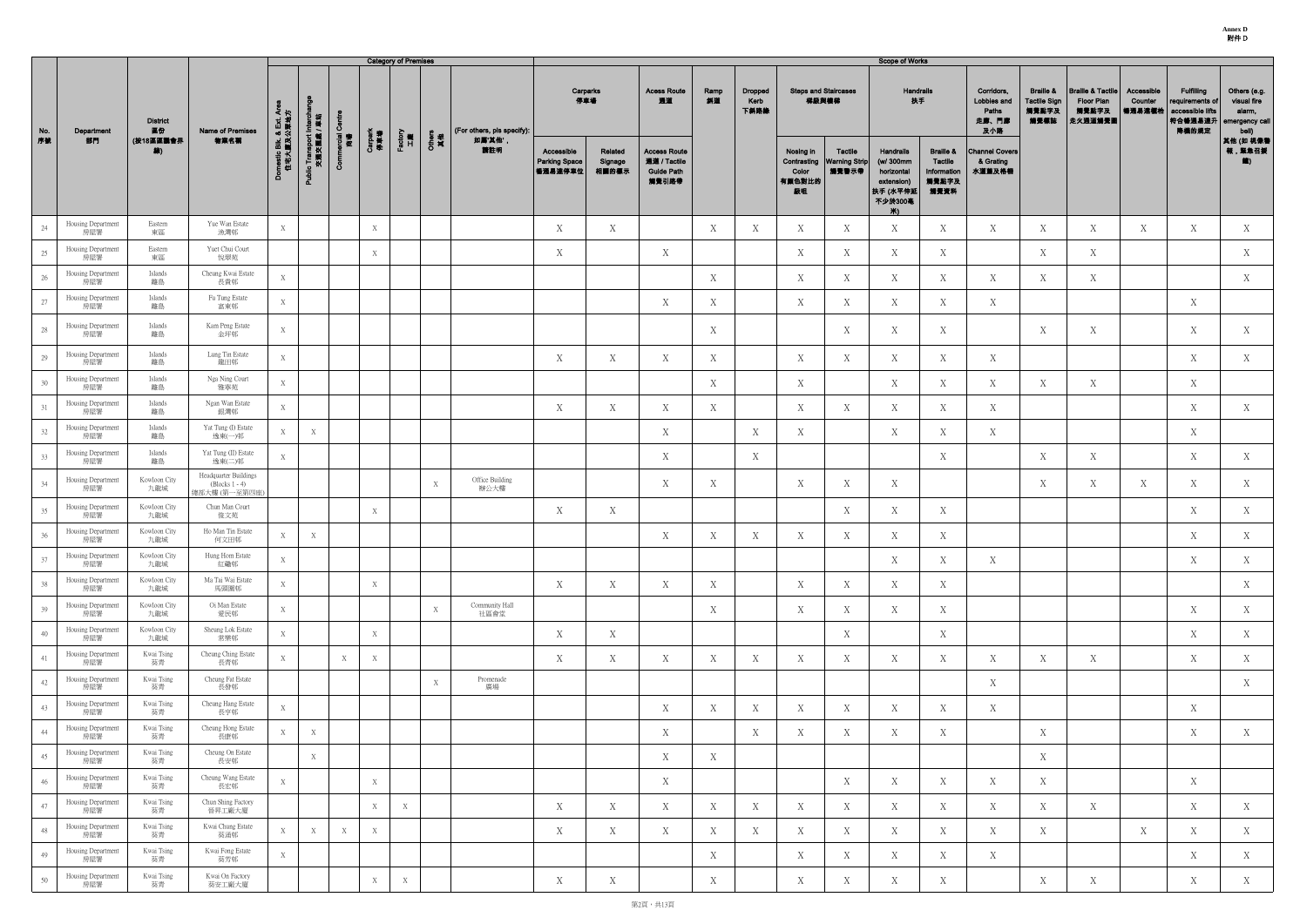**Annex D** 附件 D

|     |                           |                       |                                                                                               |                                    |                                         |                    |                | <b>Category of Premises</b> |              |                            |                                               |                             |                                                                   |            |                         |                                    |                                                        | <b>Scope of Works</b>                                                                   |                                                                 |                                                    |                                                              |                                                                       |                                   |                                                                               |                                                                  |
|-----|---------------------------|-----------------------|-----------------------------------------------------------------------------------------------|------------------------------------|-----------------------------------------|--------------------|----------------|-----------------------------|--------------|----------------------------|-----------------------------------------------|-----------------------------|-------------------------------------------------------------------|------------|-------------------------|------------------------------------|--------------------------------------------------------|-----------------------------------------------------------------------------------------|-----------------------------------------------------------------|----------------------------------------------------|--------------------------------------------------------------|-----------------------------------------------------------------------|-----------------------------------|-------------------------------------------------------------------------------|------------------------------------------------------------------|
| No. | Department                | <b>District</b><br>區份 | Name of Premises                                                                              | ਣੋ ਮੁ                              |                                         | Ō                  |                |                             |              | (For others, pls specify): |                                               | Carparks<br>停車場             | <b>Acess Route</b><br>通道                                          | Ramp<br>斜道 | Dropped<br>Kerb<br>下斜路缘 | <b>Steps and Staircases</b>        | 梯級與樓梯                                                  | <b>Handrails</b><br>扶手                                                                  |                                                                 | Corridors,<br>Lobbies and<br>Paths<br>走廊、門廊<br>及小路 | <b>Braille &amp;</b><br><b>Tactile Sign</b><br>觸覺點字及<br>觸覺標誌 | <b>Braille &amp; Tactile</b><br><b>Floor Plan</b><br>觸覺點字及<br>走火通道觸覺圖 | Accessible<br>Counter<br>  暢通易達櫃枱 | <b>Fulfilling</b><br>requirements of<br>accessible lifts<br> 符合暢通易達升<br>降機的規定 | Others (e.g.<br>visual fire<br>alarm,<br>emergency call<br>bell) |
| 序號  | 部門                        | (按18區區議會界<br>線)       | 物業名稱                                                                                          | omestic Blk. & Ext. /<br>住宅大廈及公眾地力 | Public Transport Interchi<br>交通交属處 / 車站 | erzial<br>商場<br>δī | Carpark<br>停車場 | Factory<br>工廠               | Others<br>其他 | 如属'其他',<br>請註明             | Accessible<br><b>Parking Space</b><br>暢通易達停車位 | Related<br>Signage<br>相關的標示 | <b>Access Route</b><br>通道 / Tactile<br><b>Guide Path</b><br>觸覺引路帶 |            |                         | Nosing in<br>Color<br>有颜色對比的<br>級咀 | <b>Tactile</b><br>Contrasting   Warning Strip<br>觸覺警示帶 | <b>Handrails</b><br>(w/ 300mm<br>horizontal<br>extension)<br>扶手 (水平伸廻<br>不少於300毫<br>Ж). | <b>Braille &amp;</b><br>Tactile<br>Information<br>觸覺點字及<br>觸覺資料 | <b>Channel Covers</b><br>& Grating<br>水道蓋及格柵       |                                                              |                                                                       |                                   |                                                                               | 其他 (如 視像警<br>報,緊急召援                                              |
| 24  | Housing Department<br>房屋署 | Eastern<br>東區         | Yue Wan Estate<br>漁灣邨                                                                         | X                                  |                                         |                    | X              |                             |              |                            | X                                             | X                           |                                                                   | X          | X                       | X                                  | X                                                      | X                                                                                       | X                                                               | X                                                  | X                                                            | X                                                                     | X                                 | X                                                                             | X                                                                |
| 25  | Housing Department<br>房屋署 | Eastern<br>東區         | Yuet Chui Court<br>悅翠苑                                                                        |                                    |                                         |                    | X              |                             |              |                            | X                                             |                             | X                                                                 |            |                         | X                                  | X                                                      | X                                                                                       | X                                                               |                                                    | X                                                            | X                                                                     |                                   |                                                                               | X                                                                |
| 26  | Housing Department<br>房屋署 | Islands<br>離島         | Cheung Kwai Estate<br>長貴邨                                                                     | X                                  |                                         |                    |                |                             |              |                            |                                               |                             |                                                                   | X          |                         | X                                  | X                                                      | X                                                                                       | X                                                               | X                                                  | X                                                            | $X_{-}$                                                               |                                   |                                                                               | X                                                                |
| 27  | Housing Department<br>房屋署 | Islands<br>離島         | Fu Tung Estate<br>富東邨                                                                         | X                                  |                                         |                    |                |                             |              |                            |                                               |                             | X                                                                 | X          |                         | X                                  | X                                                      | X                                                                                       | X                                                               | X                                                  |                                                              |                                                                       |                                   | X                                                                             |                                                                  |
| 28  | Housing Department<br>房屋署 | Islands<br>離島         | Kam Peng Estate<br>金坪邨                                                                        | X                                  |                                         |                    |                |                             |              |                            |                                               |                             |                                                                   | X          |                         |                                    | X                                                      | X                                                                                       | X                                                               |                                                    | X                                                            | $X_{-}$                                                               |                                   | X                                                                             | X                                                                |
| 29  | Housing Department<br>房屋署 | Islands<br>離島         | Lung Tin Estate<br>龍田邨                                                                        | X                                  |                                         |                    |                |                             |              |                            | X                                             | X                           | X                                                                 | X          |                         | X                                  | X                                                      | X                                                                                       | X                                                               | X                                                  |                                                              |                                                                       |                                   | X                                                                             | X                                                                |
| 30  | Housing Department<br>房屋署 | Islands<br>離島         | Nga Ning Court<br>雅寧苑                                                                         | X                                  |                                         |                    |                |                             |              |                            |                                               |                             |                                                                   | X          |                         | X                                  |                                                        | X                                                                                       | X                                                               | X                                                  | X                                                            | X                                                                     |                                   | X                                                                             |                                                                  |
| 31  | Housing Department<br>房屋署 | Islands<br>離島         | Ngan Wan Estate<br>銀灣邨                                                                        | X                                  |                                         |                    |                |                             |              |                            | X                                             | X                           | X                                                                 | X          |                         | X                                  | X                                                      | X                                                                                       | X                                                               | X                                                  |                                                              |                                                                       |                                   | X                                                                             | X                                                                |
| 32  | Housing Department<br>房屋署 | Islands<br>離島         | Yat Tung (I) Estate<br>逸東(一)邨                                                                 | X                                  | $\boldsymbol{X}$                        |                    |                |                             |              |                            |                                               |                             | X                                                                 |            | Χ                       | X                                  |                                                        | X                                                                                       | X                                                               | X                                                  |                                                              |                                                                       |                                   | X                                                                             |                                                                  |
| 33  | Housing Department<br>房屋署 | Islands<br>離島         | Yat Tung (II) Estate<br>逸東(二)邨                                                                | X                                  |                                         |                    |                |                             |              |                            |                                               |                             | X                                                                 |            | X                       |                                    |                                                        |                                                                                         | X                                                               |                                                    | X                                                            | X                                                                     |                                   | X                                                                             | X                                                                |
| 34  | Housing Department<br>房屋署 | Kowloon City<br>九龍城   | Headquarter Buildings<br>$\left( \frac{\text{Blocks}}{\text{1} - 4} \right)$<br>總部大樓 (第一至第四座) |                                    |                                         |                    |                |                             | X            | Office Building<br>辦公大樓    |                                               |                             | X                                                                 | X          |                         | X                                  | X                                                      | X                                                                                       |                                                                 |                                                    | X                                                            | X                                                                     | X                                 | X                                                                             | X                                                                |
| 35  | Housing Department<br>房屋署 | Kowloon City<br>九龍城   | Chun Man Court<br>俊文苑                                                                         |                                    |                                         |                    | X              |                             |              |                            | X                                             | X                           |                                                                   |            |                         |                                    | Х                                                      | Χ                                                                                       | X                                                               |                                                    |                                                              |                                                                       |                                   | X                                                                             | X                                                                |
| 36  | Housing Department<br>房屋署 | Kowloon City<br>九龍城   | Ho Man Tin Estate<br>何文田邨                                                                     | X                                  | X                                       |                    |                |                             |              |                            |                                               |                             | $\boldsymbol{\mathrm{X}}$                                         | X          | X                       | X                                  | X                                                      | X                                                                                       | X                                                               |                                                    |                                                              |                                                                       |                                   | $\mathbf X$                                                                   | X                                                                |
| 37  | Housing Department<br>房屋署 | Kowloon City<br>九龍城   | Hung Hom Estate<br>紅磡邨                                                                        | X                                  |                                         |                    |                |                             |              |                            |                                               |                             |                                                                   |            |                         |                                    |                                                        | X                                                                                       | X                                                               | X                                                  |                                                              |                                                                       |                                   | X                                                                             | X                                                                |
| 38  | Housing Department<br>房屋署 | Kowloon City<br>九龍城   | Ma Tai Wai Estate<br>馬頭圍邨                                                                     | X                                  |                                         |                    | X              |                             |              |                            | X                                             | X                           | X                                                                 | X          |                         | X                                  | X                                                      | X                                                                                       | X                                                               |                                                    |                                                              |                                                                       |                                   |                                                                               | X                                                                |
| 39  | Housing Department<br>房屋署 | Kowloon City<br>九龍城   | Oi Man Estate<br>愛民邨                                                                          | X                                  |                                         |                    |                |                             | X            | Community Hall<br>社區會堂     |                                               |                             |                                                                   | X          |                         | Χ                                  | Χ                                                      | X                                                                                       | X                                                               |                                                    |                                                              |                                                                       |                                   | X                                                                             | X                                                                |
| 40  | Housing Department<br>房屋署 | Kowloon City<br>九龍城   | Sheung Lok Estate<br>常樂邨                                                                      | X                                  |                                         |                    | X              |                             |              |                            | X                                             | X                           |                                                                   |            |                         |                                    | X                                                      |                                                                                         | X                                                               |                                                    |                                                              |                                                                       |                                   | X                                                                             | X                                                                |
| 41  | Housing Department<br>房屋署 | Kwai Tsing<br>葵青      | Cheung Ching Estate<br>長青邨                                                                    | X                                  |                                         | X                  | X              |                             |              |                            | X                                             | X                           | X                                                                 | X          | X                       | X                                  | X                                                      | X                                                                                       | X                                                               | X                                                  | X                                                            | X                                                                     |                                   | X                                                                             | X                                                                |
| 42  | Housing Department<br>房屋署 | Kwai Tsing<br>葵青      | Cheung Fat Estate<br>長發邨                                                                      |                                    |                                         |                    |                |                             | X            | Promenade<br>廣場            |                                               |                             |                                                                   |            |                         |                                    |                                                        |                                                                                         |                                                                 | X                                                  |                                                              |                                                                       |                                   |                                                                               | X                                                                |
| 43  | Housing Department<br>房屋署 | Kwai Tsing<br>葵青      | Cheung Hang Estate<br>長亨邨                                                                     | X                                  |                                         |                    |                |                             |              |                            |                                               |                             | X                                                                 | X          | Χ                       | X                                  | X                                                      | X                                                                                       | X                                                               | X                                                  |                                                              |                                                                       |                                   | X                                                                             |                                                                  |
| 44  | Housing Department<br>房屋署 | Kwai Tsing<br>葵青      | Cheung Hong Estate<br>長康邨                                                                     | X                                  | X                                       |                    |                |                             |              |                            |                                               |                             | X                                                                 |            | X                       | X                                  | X                                                      | X                                                                                       | X                                                               |                                                    | X                                                            |                                                                       |                                   | X                                                                             | X                                                                |
| 45  | Housing Department<br>房屋署 | Kwai Tsing<br>葵青      | Cheung On Estate<br>長安邨                                                                       |                                    | X                                       |                    |                |                             |              |                            |                                               |                             | X                                                                 | X          |                         |                                    |                                                        |                                                                                         |                                                                 |                                                    | X                                                            |                                                                       |                                   |                                                                               |                                                                  |
| 46  | Housing Department<br>房屋署 | Kwai Tsing<br>葵青      | Cheung Wang Estate<br>長宏邨                                                                     | X                                  |                                         |                    | X              |                             |              |                            |                                               |                             | X                                                                 |            |                         |                                    | X                                                      | X                                                                                       | X                                                               | X                                                  | X                                                            |                                                                       |                                   | X                                                                             |                                                                  |
| 47  | Housing Department<br>房屋署 | Kwai Tsing<br>葵青      | Chun Shing Factory<br>晉昇工廠大廈                                                                  |                                    |                                         |                    | X              | X                           |              |                            | X                                             | X                           | X                                                                 | X          | X                       | X                                  | X                                                      | X                                                                                       | X                                                               | X                                                  | X                                                            | X                                                                     |                                   | X                                                                             | X                                                                |
| 48  | Housing Department<br>房屋署 | Kwai Tsing<br>葵青      | Kwai Chung Estate<br>葵涌邨                                                                      | X                                  | X                                       | X                  | X              |                             |              |                            | X                                             | X                           | X                                                                 | X          | Χ                       | X                                  | X                                                      | X                                                                                       | X                                                               | X                                                  | X                                                            |                                                                       | X                                 | X                                                                             | X                                                                |
| 49  | Housing Department<br>房屋署 | Kwai Tsing<br>葵青      | Kwai Fong Estate<br>葵芳邨                                                                       | X                                  |                                         |                    |                |                             |              |                            |                                               |                             |                                                                   | X          |                         | X                                  | X                                                      | X                                                                                       | X                                                               | X                                                  |                                                              |                                                                       |                                   | X                                                                             | X                                                                |
| 50  | Housing Department<br>房屋署 | Kwai Tsing<br>葵青      | Kwai On Factory<br>葵安工廠大廈                                                                     |                                    |                                         |                    | X              | X                           |              |                            | X                                             | X                           |                                                                   | X          |                         | X                                  | Х                                                      | X                                                                                       | X                                                               |                                                    | X                                                            | X                                                                     |                                   | X                                                                             | X                                                                |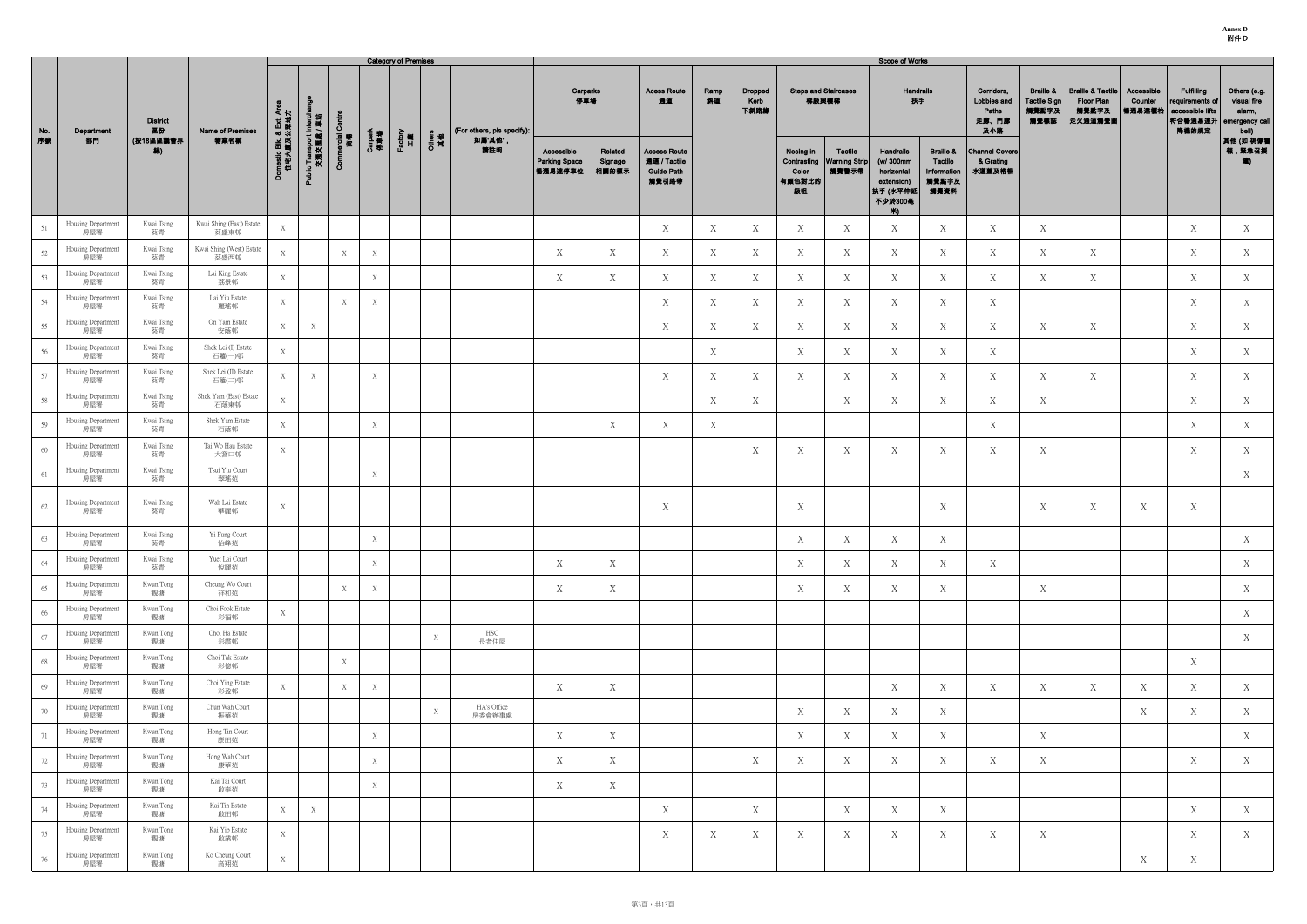**Annex D** 附件 D

|     |                           |                       |                                  |                                      |                                         |                   |                | <b>Category of Premises</b> |              |                            |                                               |                             |                                                                   |            |                         |                                    |                                                        | <b>Scope of Works</b>                                                                    |                                                                        |                                                    |                                                              |                                                                       |                                 |                                                                               |                                                                  |
|-----|---------------------------|-----------------------|----------------------------------|--------------------------------------|-----------------------------------------|-------------------|----------------|-----------------------------|--------------|----------------------------|-----------------------------------------------|-----------------------------|-------------------------------------------------------------------|------------|-------------------------|------------------------------------|--------------------------------------------------------|------------------------------------------------------------------------------------------|------------------------------------------------------------------------|----------------------------------------------------|--------------------------------------------------------------|-----------------------------------------------------------------------|---------------------------------|-------------------------------------------------------------------------------|------------------------------------------------------------------|
| No. | Department                | <b>District</b><br>區份 | <b>Name of Premises</b>          |                                      |                                         | Ō                 |                |                             |              | (For others, pls specify): | 停車場                                           | Carparks                    | <b>Acess Route</b><br>通道                                          | Ramp<br>斜道 | Dropped<br>Kerb<br>下斜路缘 |                                    | <b>Steps and Staircases</b><br>梯級與樓梯                   | Handrails<br>扶手                                                                          |                                                                        | Corridors,<br>Lobbies and<br>Paths<br>走廊、門廊<br>及小路 | <b>Braille &amp;</b><br><b>Tactile Sign</b><br>觸覺點字及<br>觸覺標誌 | <b>Braille &amp; Tactile</b><br><b>Floor Plan</b><br>觸覺點字及<br>走火通道觸覺圖 | Accessible<br>Counter<br>暢通易達櫃枱 | <b>Fulfilling</b><br>requirements of<br>accessible lifts<br> 符合暢通易達升<br>降機的規定 | Others (e.g.<br>visual fire<br>alarm,<br>emergency call<br>bell) |
| 序数  | 部門                        | (按18區區議會界<br>線)       | 物業名稱                             | omestic Blk. & Ext. Are<br>住宅大廈及公眾地方 | Public Transport Intercha<br>交通交匯處 / 車站 | ercial<br>商場<br>δ | Carpark<br>停車場 | Factory<br>工廠               | Others<br>其他 | 如屬'其他',<br>請註明             | Accessible<br><b>Parking Space</b><br>暢通易達停車位 | Related<br>Signage<br>相關的標示 | <b>Access Route</b><br>通道 / Tactile<br><b>Guide Path</b><br>觸覺引路帶 |            |                         | Nosing in<br>Color<br>有顏色對比的<br>級咀 | <b>Tactile</b><br>Contrasting   Warning Strip<br>觸覺警示帶 | <b>Handrails</b><br>(w/ 300mm<br>horizontal<br>extension)<br> 扶手 (水平伸廻<br>不少於300毫<br>Ж). | <b>Braille &amp;</b><br><b>Tactile</b><br>Information<br>觸覺點字及<br>觸覺資料 | <b>Channel Covers</b><br>& Grating<br>水道蓋及格柵       |                                                              |                                                                       |                                 |                                                                               | 其他 (如 視像警<br>報,緊急召援<br>输)                                        |
| 51  | Housing Department<br>房屋署 | Kwai Tsing<br>葵青      | Kwai Shing (East) Estate<br>葵盛東邨 | X                                    |                                         |                   |                |                             |              |                            |                                               |                             | X                                                                 | X          | Х                       | X                                  | X                                                      | X                                                                                        | X                                                                      | X                                                  | X                                                            |                                                                       |                                 | X                                                                             | X                                                                |
| 52  | Housing Department<br>房屋署 | Kwai Tsing<br>葵青      | Kwai Shing (West) Estate<br>葵盛西邨 | X                                    |                                         | X                 | X              |                             |              |                            | X                                             | X                           | X                                                                 | X          | Χ                       | X                                  | X                                                      | X                                                                                        | X                                                                      | X                                                  | X                                                            | X                                                                     |                                 | X                                                                             | X                                                                |
| 53  | Housing Department<br>房屋署 | Kwai Tsing<br>葵青      | Lai King Estate<br>荔景邨           | X                                    |                                         |                   | X              |                             |              |                            | X                                             | X                           | X                                                                 | X          | Χ                       | X                                  | X                                                      | X                                                                                        | X                                                                      | X                                                  | X                                                            | X                                                                     |                                 | X                                                                             | X                                                                |
| 54  | Housing Department<br>房屋署 | Kwai Tsing<br>葵青      | Lai Yiu Estate<br>麗瑤邨            | X                                    |                                         | X                 | X              |                             |              |                            |                                               |                             | X                                                                 | X          | Χ                       | X                                  | X                                                      | X                                                                                        | X                                                                      | X                                                  |                                                              |                                                                       |                                 | X                                                                             | X                                                                |
| 55  | Housing Department<br>房屋署 | Kwai Tsing<br>葵青      | On Yam Estate<br>安蔭邨             | X                                    | X                                       |                   |                |                             |              |                            |                                               |                             | X                                                                 | X          | Х                       | X                                  | X                                                      | X                                                                                        | X                                                                      | X                                                  | X                                                            | X                                                                     |                                 | X                                                                             | X                                                                |
| 56  | Housing Department<br>房屋署 | Kwai Tsing<br>葵青      | Shek Lei (I) Estate<br>石籬(一)邨    | X                                    |                                         |                   |                |                             |              |                            |                                               |                             |                                                                   | X          |                         | X                                  | X                                                      | X                                                                                        | X                                                                      | X                                                  |                                                              |                                                                       |                                 | X                                                                             | X                                                                |
| 57  | Housing Department<br>房屋署 | Kwai Tsing<br>葵青      | Shek Lei (II) Estate<br>石籬(二)邨   | X                                    | X                                       |                   | X              |                             |              |                            |                                               |                             | X                                                                 | X          | Х                       | X                                  | X                                                      | X                                                                                        | X                                                                      | X                                                  | X                                                            | X                                                                     |                                 | X                                                                             | X                                                                |
| 58  | Housing Department<br>房屋署 | Kwai Tsing<br>葵青      | Shek Yam (East) Estate<br>石蔭東邨   | X                                    |                                         |                   |                |                             |              |                            |                                               |                             |                                                                   | X          | Χ                       |                                    | X                                                      | X                                                                                        | X                                                                      | X                                                  | X                                                            |                                                                       |                                 | X                                                                             | X                                                                |
| 59  | Housing Department<br>房屋署 | Kwai Tsing<br>葵青      | Shek Yam Estate<br>石蔭邨           | $\mathbf X$                          |                                         |                   | X              |                             |              |                            |                                               | X                           | X                                                                 | X          |                         |                                    |                                                        |                                                                                          |                                                                        | X                                                  |                                                              |                                                                       |                                 | X                                                                             | X                                                                |
| 60  | Housing Department<br>房屋署 | Kwai Tsing<br>葵青      | Tai Wo Hau Estate<br>大窩口邨        | X                                    |                                         |                   |                |                             |              |                            |                                               |                             |                                                                   |            | Χ                       | X                                  | Χ                                                      | X                                                                                        | X                                                                      | X                                                  | X                                                            |                                                                       |                                 | X                                                                             | X                                                                |
| 61  | Housing Department<br>房屋署 | Kwai Tsing<br>葵青      | Tsui Yiu Court<br>翠瑤苑            |                                      |                                         |                   | X              |                             |              |                            |                                               |                             |                                                                   |            |                         |                                    |                                                        |                                                                                          |                                                                        |                                                    |                                                              |                                                                       |                                 |                                                                               | X                                                                |
| 62  | Housing Department<br>房屋署 | Kwai Tsing<br>葵青      | Wah Lai Estate<br>華麗邨            | X                                    |                                         |                   |                |                             |              |                            |                                               |                             | $\boldsymbol{X}$                                                  |            |                         | X                                  |                                                        |                                                                                          | X                                                                      |                                                    | X                                                            | X                                                                     | X                               | X                                                                             |                                                                  |
| 63  | Housing Department<br>房屋署 | Kwai Tsing<br>葵青      | Yi Fung Court<br>怡峰苑             |                                      |                                         |                   | X              |                             |              |                            |                                               |                             |                                                                   |            |                         | X                                  | X                                                      | X                                                                                        | X                                                                      |                                                    |                                                              |                                                                       |                                 |                                                                               | X                                                                |
| 64  | Housing Department<br>房屋署 | Kwai Tsing<br>葵青      | Yuet Lai Court<br>悅麗苑            |                                      |                                         |                   | X              |                             |              |                            | X                                             | X                           |                                                                   |            |                         | X                                  | Χ                                                      | X                                                                                        | X                                                                      | X                                                  |                                                              |                                                                       |                                 |                                                                               | X                                                                |
| 65  | Housing Department<br>房屋署 | Kwun Tong<br>觀塘       | Cheung Wo Court<br>祥和苑           |                                      |                                         | X                 | X              |                             |              |                            | X                                             | X                           |                                                                   |            |                         | X                                  | X                                                      | X                                                                                        | X                                                                      |                                                    | X                                                            |                                                                       |                                 |                                                                               | X                                                                |
| 66  | Housing Department<br>房屋署 | Kwun Tong<br>觀塘       | Choi Fook Estate<br>彩福邨          | X                                    |                                         |                   |                |                             |              |                            |                                               |                             |                                                                   |            |                         |                                    |                                                        |                                                                                          |                                                                        |                                                    |                                                              |                                                                       |                                 |                                                                               | X                                                                |
| 67  | Housing Department<br>房屋署 | Kwun Tong<br>觀塘       | Choi Ha Estate<br>彩霞邨            |                                      |                                         |                   |                |                             | X            | HSC<br>長者住屋                |                                               |                             |                                                                   |            |                         |                                    |                                                        |                                                                                          |                                                                        |                                                    |                                                              |                                                                       |                                 |                                                                               | X                                                                |
| 68  | Housing Department<br>房屋署 | Kwun Tong<br>觀塘       | Choi Tak Estate<br>彩德邨           |                                      |                                         | X                 |                |                             |              |                            |                                               |                             |                                                                   |            |                         |                                    |                                                        |                                                                                          |                                                                        |                                                    |                                                              |                                                                       |                                 | X                                                                             |                                                                  |
| 69  | Housing Department<br>房屋署 | Kwun Tong<br>觀塘       | Choi Ying Estate<br>彩盈邨          | X                                    |                                         | X                 | X              |                             |              |                            | X                                             | X                           |                                                                   |            |                         |                                    |                                                        | X                                                                                        | X                                                                      | X                                                  | X                                                            | X                                                                     | X                               | X                                                                             | X                                                                |
| 70  | Housing Department<br>房屋署 | Kwun Tong<br>觀塘       | Chun Wah Court<br>振華苑            |                                      |                                         |                   |                |                             | X            | HA's Office<br>房委會辦事處      |                                               |                             |                                                                   |            |                         | X                                  | X                                                      | X                                                                                        | X                                                                      |                                                    |                                                              |                                                                       | X                               | X                                                                             | X                                                                |
| 71  | Housing Department<br>房屋署 | Kwun Tong<br>觀塘       | Hong Tin Court<br>康田苑            |                                      |                                         |                   | X              |                             |              |                            | X                                             | X                           |                                                                   |            |                         | X                                  | Χ                                                      | X                                                                                        | X                                                                      |                                                    | X                                                            |                                                                       |                                 |                                                                               | X                                                                |
| 72  | Housing Department<br>房屋署 | Kwun Tong<br>觀塘       | Hong Wah Court<br>康華苑            |                                      |                                         |                   | X              |                             |              |                            | X                                             | X                           |                                                                   |            | Х                       | X                                  | Χ                                                      | X                                                                                        | X                                                                      | X                                                  | X                                                            |                                                                       |                                 | X                                                                             | X                                                                |
| 73  | Housing Department<br>房屋署 | Kwun Tong<br>觀塘       | Kai Tai Court<br>啟泰苑             |                                      |                                         |                   | X              |                             |              |                            | X                                             | X                           |                                                                   |            |                         |                                    |                                                        |                                                                                          |                                                                        |                                                    |                                                              |                                                                       |                                 |                                                                               |                                                                  |
| 74  | Housing Department<br>房屋署 | Kwun Tong<br>觀塘       | Kai Tin Estate<br>啟田邨            | X                                    | $\mathbf X$                             |                   |                |                             |              |                            |                                               |                             | X                                                                 |            | X                       |                                    | X                                                      | X                                                                                        | X                                                                      |                                                    |                                                              |                                                                       |                                 | X                                                                             | X                                                                |
| 75  | Housing Department<br>房屋署 | Kwun Tong<br>觀塘       | Kai Yip Estate<br>啟業邨            | X                                    |                                         |                   |                |                             |              |                            |                                               |                             | X                                                                 | X          | Χ                       | X                                  | X                                                      | X                                                                                        | X                                                                      | X                                                  | X                                                            |                                                                       |                                 | X                                                                             | X                                                                |
| 76  | Housing Department<br>房屋署 | Kwun Tong<br>觀塘       | Ko Cheung Court<br>高翔苑           | X                                    |                                         |                   |                |                             |              |                            |                                               |                             |                                                                   |            |                         |                                    |                                                        |                                                                                          |                                                                        |                                                    |                                                              |                                                                       | X                               | X                                                                             |                                                                  |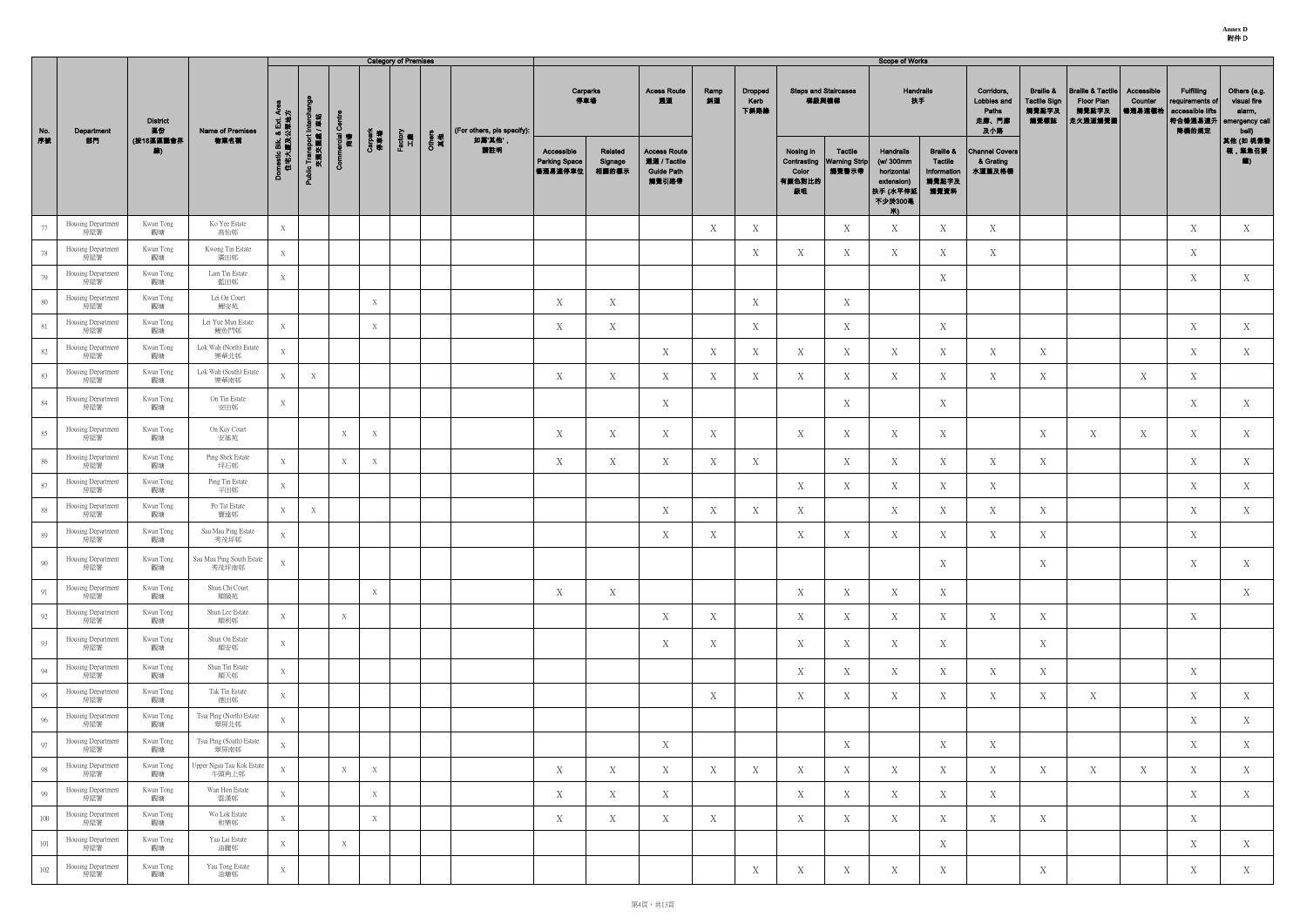|     |                           |                       |                                    |                                    |                                        |                   |                | <b>Category of Premises</b> |                                |                                               |                             |                                                                   |            |                                |                                      |                                                        | <b>Scope of Works</b>                                                            |                                                                 |                                                    |                                                              |                                                                |                                   |                                                                              |                                                                  |
|-----|---------------------------|-----------------------|------------------------------------|------------------------------------|----------------------------------------|-------------------|----------------|-----------------------------|--------------------------------|-----------------------------------------------|-----------------------------|-------------------------------------------------------------------|------------|--------------------------------|--------------------------------------|--------------------------------------------------------|----------------------------------------------------------------------------------|-----------------------------------------------------------------|----------------------------------------------------|--------------------------------------------------------------|----------------------------------------------------------------|-----------------------------------|------------------------------------------------------------------------------|------------------------------------------------------------------|
| No. | Department                | <b>District</b><br>區份 | Name of Premises                   | マド                                 |                                        | Ō                 |                |                             | (For others, pls specify):     | 停車場                                           | Carparks                    | <b>Acess Route</b><br>通道                                          | Ramp<br>斜道 | <b>Dropped</b><br>Kerb<br>下斜路缘 | <b>Steps and Staircases</b><br>梯級與樓梯 |                                                        | Handrails<br>扶手                                                                  |                                                                 | Corridors,<br>Lobbies and<br>Paths<br>走廊、門廊<br>及小路 | <b>Braille &amp;</b><br><b>Tactile Sign</b><br>觸覺點字及<br>觸覺標誌 | <b>Braille &amp; Tactile</b><br>Floor Plan<br>觸覺點字及<br>走火通道觸覺圖 | Accessible<br>Counter<br>  暢通易達櫃枱 | <b>Fulfilling</b><br>requirements of<br>accessible lifts<br>符合暢通易達升<br>降機的規定 | Others (e.g.<br>visual fire<br>alarm,<br>emergency call<br>bell) |
| 序號  | 部門                        | (按18區區議會界<br>線)       | 物業名稱                               | omestic Blk. & Ext. /<br>住宅大廈及公眾地力 | Public Transport Interch<br>交通交匯處 / 車站 | ncial<br>简卷<br>ఠ్ | Carpark<br>停車場 | Factory<br>工廠               | Others<br>其他<br>如属'其他',<br>請註明 | Accessible<br><b>Parking Space</b><br>暢通易達停車位 | Related<br>Signage<br>相關的標示 | <b>Access Route</b><br>通道 / Tactile<br><b>Guide Path</b><br>觸覺引路帶 |            |                                | Nosing in<br>Color<br>有颜色對比的<br>級咀   | <b>Tactile</b><br>Contrasting   Warning Strip<br>觸覺警示帶 | Handrails<br>(w/ 300mm<br>horizontal<br>extension)<br> 扶手 (水平伸延<br>不少於300毫<br>Ж∖ | <b>Braille &amp;</b><br>Tactile<br>Information<br>觸覺點字及<br>觸覺資料 | <b>Channel Covers</b><br>& Grating<br>水道蓋及格柵       |                                                              |                                                                |                                   |                                                                              | 其他 (如 視像種<br>報,緊急召援<br>$\left( \frac{1}{2} \right)$              |
| 77  | Housing Department<br>房屋署 | Kwun Tong<br>觀塘       | Ko Yee Estate<br>高怡邨               | X                                  |                                        |                   |                |                             |                                |                                               |                             |                                                                   | X          | Χ                              |                                      | X                                                      | X                                                                                | X                                                               | X                                                  |                                                              |                                                                |                                   | X                                                                            | X                                                                |
| 78  | Housing Department<br>房屋署 | Kwun Tong<br>觀塘       | Kwong Tin Estate<br>廣田邨            | X                                  |                                        |                   |                |                             |                                |                                               |                             |                                                                   |            | X                              | X                                    | X                                                      | X                                                                                | X                                                               | X                                                  |                                                              |                                                                |                                   | X                                                                            |                                                                  |
| 79  | Housing Department<br>房屋署 | Kwun Tong<br>觀塘       | Lam Tin Estate<br>藍田邨              | X                                  |                                        |                   |                |                             |                                |                                               |                             |                                                                   |            |                                |                                      |                                                        |                                                                                  | X                                                               |                                                    |                                                              |                                                                |                                   | X                                                                            | X                                                                |
| 80  | Housing Department<br>房屋署 | Kwun Tong<br>觀塘       | Lei On Court<br>鯉安苑                |                                    |                                        |                   | X              |                             |                                | X                                             | X                           |                                                                   |            | X                              |                                      | X                                                      |                                                                                  |                                                                 |                                                    |                                                              |                                                                |                                   |                                                                              |                                                                  |
| 81  | Housing Department<br>房屋署 | Kwun Tong<br>觀塘       | Lei Yue Mun Estate<br>鯉魚門邨         | X                                  |                                        |                   | X              |                             |                                | X                                             | X                           |                                                                   |            | X                              |                                      | X                                                      |                                                                                  | X                                                               |                                                    |                                                              |                                                                |                                   | X                                                                            | X                                                                |
| 82  | Housing Department<br>房屋署 | Kwun Tong<br>觀塘       | Lok Wah (North) Estate<br>樂華北邨     | X                                  |                                        |                   |                |                             |                                |                                               |                             | X                                                                 | X          | Χ                              | X                                    | X                                                      | X                                                                                | X                                                               | X                                                  | X                                                            |                                                                |                                   | X                                                                            | X                                                                |
| 83  | Housing Department<br>房屋署 | Kwun Tong<br>觀塘       | Lok Wah (South) Estate<br>樂華南邨     | X                                  | X                                      |                   |                |                             |                                | X                                             | X                           | $\mathbf X$                                                       | X          | X                              | X                                    | X                                                      | X                                                                                | X                                                               | X                                                  | X                                                            |                                                                | X                                 | X                                                                            |                                                                  |
| 84  | Housing Department<br>房屋署 | Kwun Tong<br>觀塘       | On Tin Estate<br>安田邨               | X                                  |                                        |                   |                |                             |                                |                                               |                             | X                                                                 |            |                                |                                      | X                                                      |                                                                                  | X                                                               |                                                    |                                                              |                                                                |                                   | X                                                                            | X                                                                |
| 85  | Housing Department<br>房屋署 | Kwun Tong<br>觀塘       | On Kay Court<br>安基苑                |                                    |                                        | X                 | X              |                             |                                | X                                             | X                           | X                                                                 | X          |                                | X                                    | X                                                      | X                                                                                | X                                                               |                                                    | X                                                            | X                                                              | X                                 | X                                                                            | X                                                                |
| 86  | Housing Department<br>房屋署 | Kwun Tong<br>觀塘       | Ping Shek Estate<br>坪石邨            | X                                  |                                        | X                 | X              |                             |                                | X                                             | X                           | $\mathbf X$                                                       | X          | X                              |                                      | X                                                      | X                                                                                | X                                                               | X                                                  | X                                                            |                                                                |                                   | $\mathbf X$                                                                  | X                                                                |
| 87  | Housing Department<br>房屋署 | Kwun Tong<br>觀塘       | Ping Tin Estate<br>平田邨             | X                                  |                                        |                   |                |                             |                                |                                               |                             |                                                                   |            |                                | X                                    | X                                                      | X                                                                                | X                                                               | X                                                  |                                                              |                                                                |                                   | X                                                                            | X                                                                |
| 88  | Housing Department<br>房屋署 | Kwun Tong<br>觀塘       | Po Tat Estate<br>寶達邨               | X                                  | X                                      |                   |                |                             |                                |                                               |                             | X                                                                 | X          | Χ                              | X                                    |                                                        | X                                                                                | X                                                               | X                                                  | X                                                            |                                                                |                                   | X                                                                            | X                                                                |
| 89  | Housing Department<br>房屋署 | Kwun Tong<br>觀塘       | Sau Mau Ping Estate<br>秀茂坪邨        | X                                  |                                        |                   |                |                             |                                |                                               |                             | X                                                                 | X          |                                | X                                    | X                                                      | X                                                                                | X                                                               | X                                                  | X                                                            |                                                                |                                   | X                                                                            |                                                                  |
| 90  | Housing Department<br>房屋署 | Kwun Tong<br>觀塘       | Sau Mau Ping South Estate<br>秀茂坪南邨 | X                                  |                                        |                   |                |                             |                                |                                               |                             |                                                                   |            |                                |                                      |                                                        |                                                                                  | X                                                               |                                                    | X                                                            |                                                                |                                   | $\mathbf X$                                                                  | X                                                                |
| 91  | Housing Department<br>房屋署 | Kwun Tong<br>觀塘       | Shun Chi Court<br>順緻苑              |                                    |                                        |                   | X              |                             |                                | X                                             | X                           |                                                                   |            |                                | X                                    | X                                                      | X                                                                                | X                                                               |                                                    |                                                              |                                                                |                                   |                                                                              | X                                                                |
| 92  | Housing Department<br>房屋署 | Kwun Tong<br>觀塘       | Shun Lee Estate<br>順利邨             | X                                  |                                        | X                 |                |                             |                                |                                               |                             | X                                                                 | X          |                                | X                                    | X                                                      | X                                                                                | X                                                               | X                                                  | X                                                            |                                                                |                                   | X                                                                            |                                                                  |
| 93  | Housing Department<br>房屋署 | Kwun Tong<br>觀塘       | Shun On Estate<br>順安邨              | X                                  |                                        |                   |                |                             |                                |                                               |                             | X                                                                 | X          |                                | X                                    | X                                                      | X                                                                                | X                                                               |                                                    | X                                                            |                                                                |                                   |                                                                              |                                                                  |
| 94  | Housing Department<br>房屋署 | Kwun Tong<br>觀塘       | Shun Tin Estate<br>順天邨             | X                                  |                                        |                   |                |                             |                                |                                               |                             |                                                                   |            |                                | X                                    | X                                                      | X                                                                                | X                                                               | X                                                  | X                                                            |                                                                |                                   | X                                                                            |                                                                  |
| 95  | Housing Department<br>房屋署 | Kwun Tong<br>觀塘       | Tak Tin Estate<br>德田邨              | X                                  |                                        |                   |                |                             |                                |                                               |                             |                                                                   | X          |                                | X                                    | X                                                      | X                                                                                | X                                                               | X                                                  | X                                                            | X                                                              |                                   | X                                                                            | X                                                                |
| 96  | Housing Department<br>房屋署 | Kwun Tong<br>觀塘       | Tsui Ping (North) Estate<br>翠屏北邨   | X                                  |                                        |                   |                |                             |                                |                                               |                             |                                                                   |            |                                |                                      |                                                        |                                                                                  |                                                                 |                                                    |                                                              |                                                                |                                   | X                                                                            | X                                                                |
| 97  | Housing Department<br>房屋署 | Kwun Tong<br>觀塘       | Tsui Ping (South) Estate<br>翠屏南邨   | X                                  |                                        |                   |                |                             |                                |                                               |                             | X                                                                 |            |                                |                                      | X                                                      |                                                                                  | X                                                               | X                                                  |                                                              |                                                                |                                   | X                                                                            | X                                                                |
| 98  | Housing Department<br>房屋署 | Kwun Tong<br>觀塘       | Upper Ngau Tau Kok Estate<br>牛頭角上邨 | X                                  |                                        | X                 | X              |                             |                                | X                                             | X                           | X                                                                 | X          | X                              | X                                    | X                                                      | X                                                                                | X                                                               | X                                                  | X                                                            | X                                                              | X                                 | X                                                                            | X                                                                |
| 99  | Housing Department<br>房屋署 | Kwun Tong<br>觀塘       | Wan Hon Estate<br>雲漢邨              | X                                  |                                        |                   | X              |                             |                                | X                                             | X                           | X                                                                 |            |                                | X                                    | X                                                      | X                                                                                | X                                                               | X                                                  |                                                              |                                                                |                                   | X                                                                            | X                                                                |
| 100 | Housing Department<br>房屋署 | Kwun Tong<br>觀塘       | Wo Lok Estate<br>和樂邨               | X                                  |                                        |                   | X              |                             |                                | X                                             | X                           | X                                                                 | X          |                                | X                                    | X                                                      | X                                                                                | X                                                               | Χ                                                  | X                                                            |                                                                |                                   | X                                                                            |                                                                  |
| 101 | Housing Department<br>房屋署 | Kwun Tong<br>觀塘       | Yau Lai Estate<br>油麗邨              | X                                  |                                        | X                 |                |                             |                                |                                               |                             |                                                                   |            |                                |                                      |                                                        |                                                                                  | X                                                               |                                                    |                                                              |                                                                |                                   | X                                                                            | X                                                                |
| 102 | Housing Department<br>房屋署 | Kwun Tong<br>觀塘       | Yau Tong Estate<br>油塘邨             | X                                  |                                        |                   |                |                             |                                |                                               |                             |                                                                   |            | X                              | X                                    | X                                                      | X                                                                                | X                                                               |                                                    | X                                                            |                                                                |                                   | X                                                                            | X                                                                |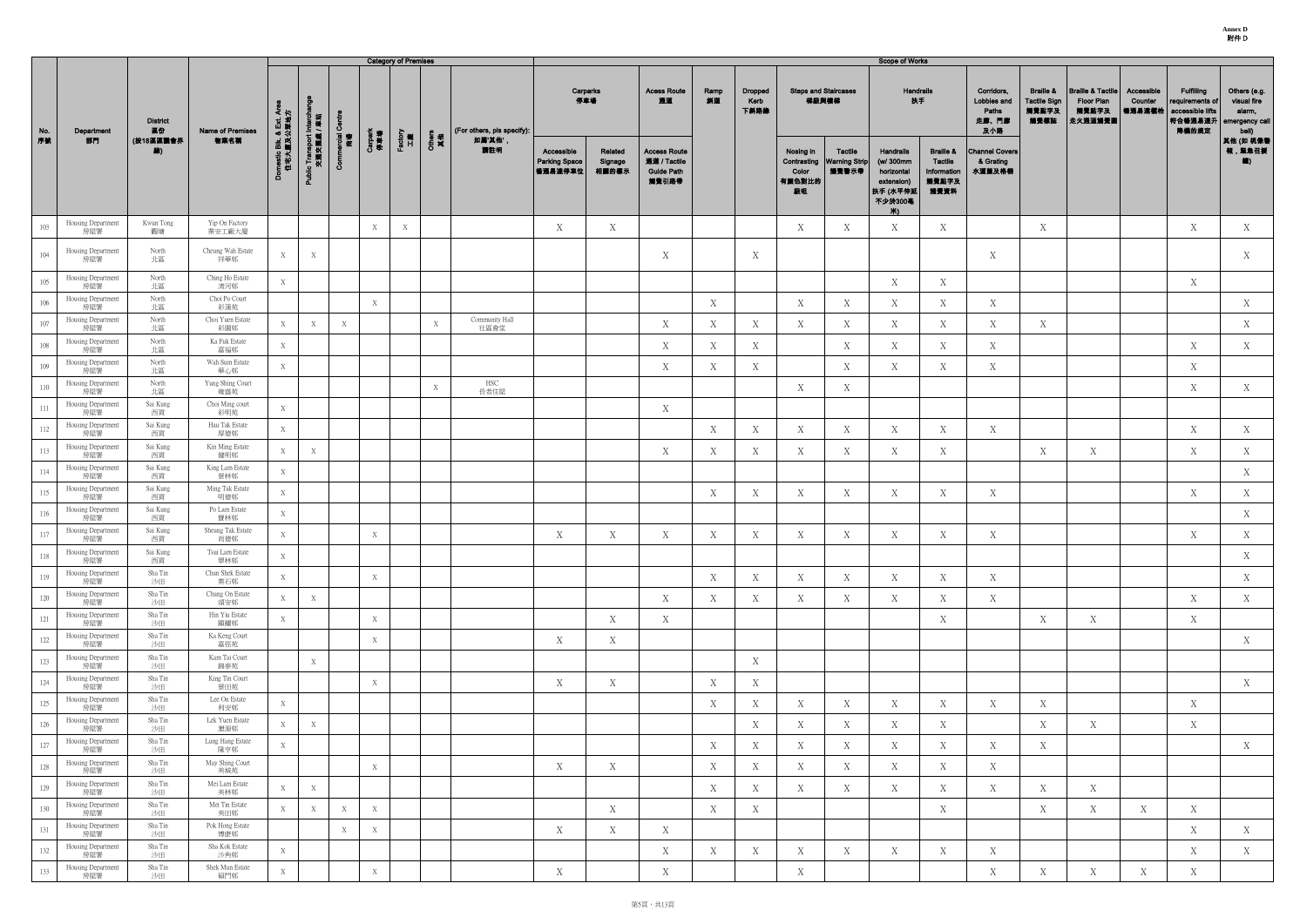|           |                                                 |                          |                                          |                                    |                                     |                   |                | <b>Category of Premises</b> |              |                                       |                                               |                             |                                                                   |            |                                |                                      |                                                 | Scope of Works                                                                   |                                                                 |                                                    |                                                              |                                                                |                                 |                                                                              |                                                                  |
|-----------|-------------------------------------------------|--------------------------|------------------------------------------|------------------------------------|-------------------------------------|-------------------|----------------|-----------------------------|--------------|---------------------------------------|-----------------------------------------------|-----------------------------|-------------------------------------------------------------------|------------|--------------------------------|--------------------------------------|-------------------------------------------------|----------------------------------------------------------------------------------|-----------------------------------------------------------------|----------------------------------------------------|--------------------------------------------------------------|----------------------------------------------------------------|---------------------------------|------------------------------------------------------------------------------|------------------------------------------------------------------|
| No.<br>序號 | Department                                      | <b>District</b><br>區份    | Name of Premises<br>物業名稱                 | マド                                 |                                     | ပ<br>ercial<br>商場 |                |                             |              | (For others, pls specify):<br>如属'其他', |                                               | Carparks<br>停車場             | <b>Acess Route</b><br>通道                                          | Ramp<br>斜道 | <b>Dropped</b><br>Kerb<br>下斜路缘 | <b>Steps and Staircases</b><br>梯級與樓梯 |                                                 | Handrails<br>扶手                                                                  |                                                                 | Corridors,<br>Lobbies and<br>Paths<br>走廊、門廊<br>及小路 | <b>Braille &amp;</b><br><b>Tactile Sign</b><br>觸覺點字及<br>觸覺標誌 | <b>Braille &amp; Tactile</b><br>Floor Plan<br>觸覺點字及<br>走火通道觸覺圖 | Accessible<br>Counter<br>暢通易達權枱 | <b>Fulfilling</b><br>requirements of<br>accessible lifts<br>符合暢通易達升<br>降機的規定 | Others (e.g.<br>visual fire<br>alarm,<br>emergency call<br>bell) |
|           | 部門                                              | (按18區區議會界<br>線)          |                                          | xmestic Blk. & Ext. /<br>住宅大廈及公眾地; | blic Transport Intercha<br>交通交匯處/車站 | රි                | Carpark<br>伴車場 | Factory<br>工廠               | Others<br>其他 | 請註明                                   | Accessible<br><b>Parking Space</b><br>暢通易達停車位 | Related<br>Signage<br>相關的標示 | <b>Access Route</b><br>通道 / Tactile<br><b>Guide Path</b><br>觸覺引路帶 |            |                                | Nosing in<br>Color<br>有颜色對比的<br>級咀   | Tactile<br>Contrasting   Warning Strip<br>觸覺警示帶 | Handrails<br>(w/ 300mm<br>horizontal<br>extension)<br> 扶手 (水平伸延<br>不少於300毫<br>Ж∖ | <b>Braille &amp;</b><br>Tactile<br>Information<br>觸覺點字及<br>觸覺資料 | <b>Channel Covers</b><br>& Grating<br>水道蓋及格柵       |                                                              |                                                                |                                 |                                                                              | 其他 (如 視像看<br>報,緊急召援<br>道)                                        |
| 103       | Housing Department<br>房屋署                       | Kwun Tong<br>觀塘          | Yip On Factory<br>業安工廠大廈                 |                                    |                                     |                   | X              | $\boldsymbol{X}$            |              |                                       | X                                             | X                           |                                                                   |            |                                | X                                    | X                                               | X                                                                                | X                                                               |                                                    | X                                                            |                                                                |                                 | X                                                                            | X                                                                |
| 104       | Housing Department<br>房屋署                       | North<br>北區              | Cheung Wah Estate<br>祥華邨                 | X                                  | X                                   |                   |                |                             |              |                                       |                                               |                             | X                                                                 |            | X                              |                                      |                                                 |                                                                                  |                                                                 | X                                                  |                                                              |                                                                |                                 |                                                                              | X                                                                |
| 105       | Housing Department<br>房屋署                       | North<br>北區              | Ching Ho Estate<br>清河邨                   | X                                  |                                     |                   |                |                             |              |                                       |                                               |                             |                                                                   |            |                                |                                      |                                                 | Χ                                                                                | X                                                               |                                                    |                                                              |                                                                |                                 | X                                                                            |                                                                  |
| 106       | Housing Department<br>房屋署                       | North<br>北區              | Choi Po Court<br>彩蒲苑                     |                                    |                                     |                   | X              |                             |              |                                       |                                               |                             |                                                                   | X          |                                | $\mathbf X$                          | X                                               | X                                                                                | X                                                               | X                                                  |                                                              |                                                                |                                 |                                                                              | X                                                                |
| 107       | Housing Department<br>房屋署                       | North<br>北區              | Choi Yuen Estate<br>彩園邨                  | X                                  | X                                   | X                 |                |                             | X            | Community Hall<br>社區會堂                |                                               |                             | X                                                                 | X          | Х                              | X                                    | X                                               | X                                                                                | X                                                               | X                                                  | X                                                            |                                                                |                                 |                                                                              | X                                                                |
| 108       | Housing Department<br>房屋署                       | North<br>北區              | Ka Fuk Estate<br>嘉福邨                     | X                                  |                                     |                   |                |                             |              |                                       |                                               |                             | X                                                                 | X          | X                              |                                      | X                                               | X                                                                                | X                                                               | X                                                  |                                                              |                                                                |                                 | X                                                                            | X                                                                |
| 109       | Housing Department<br>房屋署                       | North<br>北區              | Wah Sum Estate<br>華心邨                    | X                                  |                                     |                   |                |                             |              |                                       |                                               |                             | X                                                                 | X          | X                              |                                      | X                                               | X                                                                                | X                                                               | X                                                  |                                                              |                                                                |                                 | X                                                                            |                                                                  |
| 110       | Housing Department<br>房屋署                       | North<br>北區              | Yung Shing Court<br>雍盛苑                  |                                    |                                     |                   |                |                             | X            | HSC<br>長者住屋                           |                                               |                             |                                                                   |            |                                | X                                    | X                                               |                                                                                  |                                                                 |                                                    |                                                              |                                                                |                                 | X                                                                            | X                                                                |
| 111       | Housing Department<br>房屋署                       | Sai Kung<br>西貢           | Choi Ming court<br>彩明苑                   | X                                  |                                     |                   |                |                             |              |                                       |                                               |                             | X                                                                 |            |                                |                                      |                                                 |                                                                                  |                                                                 |                                                    |                                                              |                                                                |                                 |                                                                              |                                                                  |
| 112       | Housing Department<br>房屋署                       | Sai Kung<br>西貢           | Hau Tak Estate<br>厚德邨                    | X                                  |                                     |                   |                |                             |              |                                       |                                               |                             |                                                                   | X          | Х                              | X                                    | X                                               | X                                                                                | X                                                               | X                                                  |                                                              |                                                                |                                 | X                                                                            | X                                                                |
| 113       | Housing Department<br>房屋署                       | Sai Kung<br>西貢           | Kin Ming Estate<br>健明邨                   | X                                  | X                                   |                   |                |                             |              |                                       |                                               |                             | X                                                                 | X          | X                              | X                                    | X                                               | Χ                                                                                | X                                                               |                                                    | X                                                            | X                                                              |                                 | X                                                                            | X                                                                |
| 114       | Housing Department<br>房屋署                       | Sai Kung<br>西貢           | King Lam Estate<br>景林邨                   | X                                  |                                     |                   |                |                             |              |                                       |                                               |                             |                                                                   |            |                                |                                      |                                                 |                                                                                  |                                                                 |                                                    |                                                              |                                                                |                                 |                                                                              | X                                                                |
| 115       | Housing Department<br>房屋署                       | Sai Kung<br>西貢           | Ming Tak Estate<br>明德邨                   | X                                  |                                     |                   |                |                             |              |                                       |                                               |                             |                                                                   | X          | Χ                              | $\mathbf X$                          | X                                               | X                                                                                | X                                                               | X                                                  |                                                              |                                                                |                                 | $\mathbf X$                                                                  | X                                                                |
| 116       | Housing Department<br>房屋署                       | Sai Kung<br>西貢           | Po Lam Estate<br>寶林邨                     | X                                  |                                     |                   |                |                             |              |                                       |                                               |                             |                                                                   |            |                                |                                      |                                                 |                                                                                  |                                                                 |                                                    |                                                              |                                                                |                                 |                                                                              | X                                                                |
| 117       | Housing Department<br>房屋署                       | Sai Kung<br>西貢           | Sheung Tak Estate<br>尚德邨                 | X                                  |                                     |                   | X              |                             |              |                                       | X                                             | X                           | X                                                                 | X          | Х                              | $\mathbf X$                          | X                                               | X                                                                                | Χ                                                               | X                                                  |                                                              |                                                                |                                 | $\mathbf X$                                                                  | X                                                                |
| 118       | Housing Department<br>房屋署                       | Sai Kung<br>西貢           | Tsui Lam Estate<br>翠林邨                   | X                                  |                                     |                   |                |                             |              |                                       |                                               |                             |                                                                   |            |                                |                                      |                                                 |                                                                                  |                                                                 |                                                    |                                                              |                                                                |                                 |                                                                              | X                                                                |
| 119       | Housing Department<br>房屋署                       | Sha Tin<br>沙田            | Chun Shek Estate<br>秦石邨                  | X                                  |                                     |                   | X              |                             |              |                                       |                                               |                             |                                                                   | X          | X                              | X                                    | X                                               | X                                                                                | X                                                               | X                                                  |                                                              |                                                                |                                 |                                                                              | X                                                                |
| 120       | Housing Department<br>房屋署                       | Sha Tin<br>沙田            | Chung On Estate<br>頌安邨                   | X                                  | X                                   |                   |                |                             |              |                                       |                                               |                             | X                                                                 | X          | Χ                              | X                                    | X                                               | X                                                                                | X                                                               | X                                                  |                                                              |                                                                |                                 | $\mathbf X$                                                                  | X                                                                |
| 121       | Housing Department<br>房屋署                       | Sha Tin<br>沙田            | Hin Yiu Estate<br>顯耀邨                    | X                                  |                                     |                   | X              |                             |              |                                       |                                               | X                           | X                                                                 |            |                                |                                      |                                                 |                                                                                  | X                                                               |                                                    | X                                                            | X                                                              |                                 | X                                                                            |                                                                  |
| 122       | Housing Department<br>房屋署                       | Sha Tin<br>沙田            | Ka Keng Court<br>嘉徑苑                     |                                    |                                     |                   | X              |                             |              |                                       | X                                             | X                           |                                                                   |            |                                |                                      |                                                 |                                                                                  |                                                                 |                                                    |                                                              |                                                                |                                 |                                                                              | X                                                                |
| 123       | Housing Department<br>房屋署                       | Sha Tin<br>沙田            | Kam Tai Court<br>錦泰苑                     |                                    | $\mathbf X$                         |                   |                |                             |              |                                       |                                               |                             |                                                                   |            | X                              |                                      |                                                 |                                                                                  |                                                                 |                                                    |                                                              |                                                                |                                 |                                                                              |                                                                  |
| 124       | Housing Department<br>房屋署                       | Sha Tin<br>沙田            | King Tin Court<br>景田苑                    |                                    |                                     |                   | X              |                             |              |                                       | X                                             | X                           |                                                                   | X          | X                              |                                      |                                                 |                                                                                  |                                                                 |                                                    |                                                              |                                                                |                                 |                                                                              | X                                                                |
| 125       | Housing Department<br>房屋署                       | Sha Tin<br>沙田            | Lee On Estate<br>利安邨                     | X                                  |                                     |                   |                |                             |              |                                       |                                               |                             |                                                                   | X          | X                              | X                                    | X                                               | X                                                                                | X                                                               | X                                                  | X                                                            |                                                                |                                 | X                                                                            |                                                                  |
| 126       | Housing Department<br>房屋署                       | Sha Tin<br>沙田            | Lek Yuen Estate<br>瀝源邨                   | X                                  | X                                   |                   |                |                             |              |                                       |                                               |                             |                                                                   |            | X                              | X                                    | X                                               | X                                                                                | X                                                               |                                                    | X                                                            | X                                                              |                                 | X                                                                            |                                                                  |
| 127       | Housing Department<br>房屋署                       | Sha Tin<br>沙田            | Lung Hang Estate<br>隆亨邨                  | X                                  |                                     |                   |                |                             |              |                                       |                                               |                             |                                                                   | X          | Χ                              | X                                    | X                                               | X                                                                                | X                                                               | X                                                  | X                                                            |                                                                |                                 |                                                                              | X                                                                |
| 128       | Housing Department<br>房屋署                       | Sha Tin<br>沙田            | May Shing Court<br>美城苑                   |                                    |                                     |                   | X              |                             |              |                                       | X                                             | X                           |                                                                   | X          | Х                              | X                                    | X                                               | X                                                                                | X                                                               | X                                                  |                                                              |                                                                |                                 |                                                                              |                                                                  |
| 129       | Housing Department<br>房屋署                       | Sha Tin<br>沙田            | Mei Lam Estate<br>美林邨                    | X                                  | X                                   |                   |                |                             |              |                                       |                                               |                             |                                                                   | X          | X                              | X                                    | X                                               | X                                                                                | X                                                               | X                                                  | X                                                            | X                                                              |                                 |                                                                              |                                                                  |
| 130       | Housing Department<br>房屋署                       | Sha Tin<br>沙田<br>Sha Tin | Mei Tin Estate<br>美田邨<br>Pok Hong Estate | X                                  | X                                   | X                 | X              |                             |              |                                       |                                               | X                           |                                                                   | X          | X                              |                                      |                                                 |                                                                                  | $\mathbf X$                                                     |                                                    | X                                                            | X                                                              | X                               | X                                                                            |                                                                  |
| 131       | Housing Department<br>房屋署<br>Housing Department | 沙田<br>Sha Tin            | 博康邨<br>Sha Kok Estate                    |                                    |                                     | X                 | X              |                             |              |                                       | X                                             | X                           | X                                                                 |            |                                |                                      |                                                 |                                                                                  |                                                                 |                                                    |                                                              |                                                                |                                 | X                                                                            | X                                                                |
| 132       | 房屋署                                             | 沙田<br>Sha Tin            | 沙角邨<br>Shek Mun Estate                   | X                                  |                                     |                   |                |                             |              |                                       |                                               |                             | $\boldsymbol{\mathrm{X}}$                                         | X          | Х                              | X                                    | X                                               | X                                                                                | X                                                               | X                                                  |                                                              |                                                                |                                 | X                                                                            | X                                                                |
| 133       | Housing Department<br>房屋署                       | 沙田                       | 碩門邨                                      | X                                  |                                     |                   | X              |                             |              |                                       | X                                             |                             | X                                                                 |            |                                | X                                    |                                                 |                                                                                  |                                                                 | X                                                  | X                                                            | X                                                              | X                               | X                                                                            |                                                                  |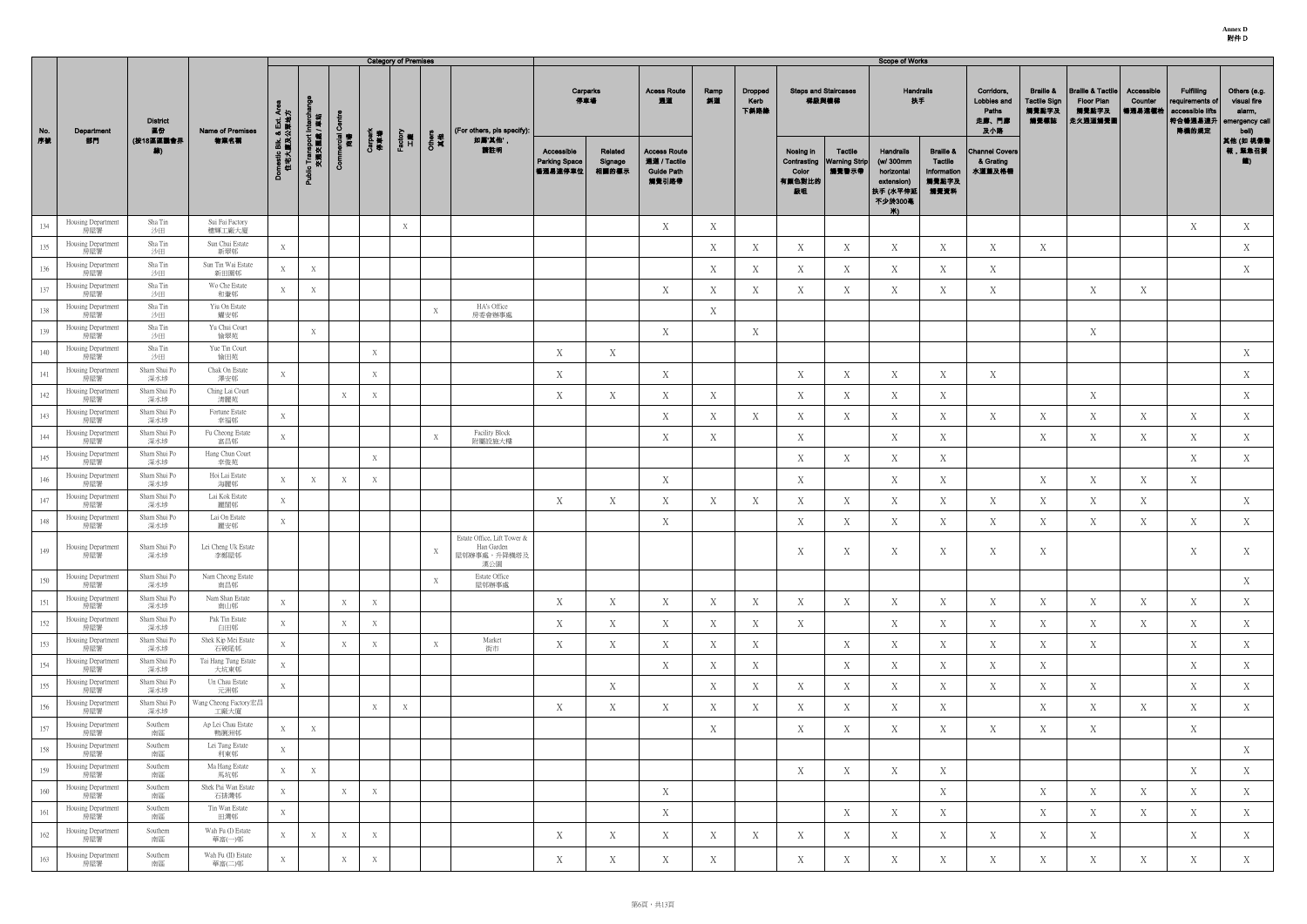**Annex D** 附件 D

|     |                           |                       |                               |                                                   |                                   |                   |                | <b>Category of Premises</b> |             |                                                                 |                                               |                             |                                                                   |             |                                |                                      |                                                 | <b>Scope of Works</b>                                                             |                                                                 |                                                    |                                                              |                                                                |                                 |                                                                               |                                                                  |
|-----|---------------------------|-----------------------|-------------------------------|---------------------------------------------------|-----------------------------------|-------------------|----------------|-----------------------------|-------------|-----------------------------------------------------------------|-----------------------------------------------|-----------------------------|-------------------------------------------------------------------|-------------|--------------------------------|--------------------------------------|-------------------------------------------------|-----------------------------------------------------------------------------------|-----------------------------------------------------------------|----------------------------------------------------|--------------------------------------------------------------|----------------------------------------------------------------|---------------------------------|-------------------------------------------------------------------------------|------------------------------------------------------------------|
| No. | Department                | <b>District</b><br>區份 | Name of Premises              | くっ                                                |                                   |                   |                |                             |             | (For others, pls specify):                                      | 停車場                                           | Carparks                    | <b>Acess Route</b><br>通道                                          | Ramp<br>斜道  | <b>Dropped</b><br>Kerb<br>下斜路緣 | <b>Steps and Staircases</b><br>梯級與樓梯 |                                                 | <b>Handrails</b><br>扶手                                                            |                                                                 | Corridors,<br>Lobbies and<br>Paths<br>走廊、門廊<br>及小路 | <b>Braille &amp;</b><br><b>Tactile Sign</b><br>觸覺點字及<br>觸覺標誌 | <b>Braille &amp; Tactile</b><br>Floor Plan<br>觸覺點字及<br>走火通道觸覺圖 | Accessible<br>Counter<br>每通易達權枱 | <b>Fulfilling</b><br>requirements of<br>accessible lifts<br> 符合暢通易達升<br>降機的規定 | Others (e.g.<br>visual fire<br>alarm,<br>emergency call<br>bell) |
| 序数  | 部門                        | (按18區區議會界<br>線)       | 物業名稱                          | <sub>)mestic Blk. &amp; Ext. /</sub><br>住宅大廈及公眾地7 | Public Transport Int<br>交通交匯處 / I | arcial<br>商場<br>δ | Carpark<br>停車場 | Factory<br>工廠               | Othen<br>其他 | 如属'其他',<br>請註明                                                  | Accessible<br><b>Parking Space</b><br>暢通易達停車位 | Related<br>Signage<br>相關的標示 | <b>Access Route</b><br>通道 / Tactile<br><b>Guide Path</b><br>觸覺引路帶 |             |                                | Nosing in<br>Color<br>有颜色對比的<br>級咀   | Tactile<br>Contrasting   Warning Strip<br>觸覺警示帶 | Handrails<br>(w/ 300mm<br>horizontal<br>extension)<br> 扶手 (水平伸延<br>不少於300毫<br>Ж). | <b>Braille &amp;</b><br>Tactile<br>Information<br>觸覺點字及<br>觸覺資料 | <b>Channel Covers</b><br>& Grating<br>水道蓋及格柵       |                                                              |                                                                |                                 |                                                                               | 其他 (如 視像種<br>報,緊急召援<br>鑑)                                        |
| 134 | Housing Department<br>房屋署 | Sha Tin<br>沙田         | Sui Fai Factory<br>穗輝工廠大廈     |                                                   |                                   |                   |                | X                           |             |                                                                 |                                               |                             | $\boldsymbol{X}$                                                  | X           |                                |                                      |                                                 |                                                                                   |                                                                 |                                                    |                                                              |                                                                |                                 | X                                                                             | X                                                                |
| 135 | Housing Department<br>房屋署 | Sha Tin<br>沙田         | Sun Chui Estate<br>新翠邨        | X                                                 |                                   |                   |                |                             |             |                                                                 |                                               |                             |                                                                   | X           | X                              | X                                    | X                                               | X                                                                                 | X                                                               | X                                                  | X                                                            |                                                                |                                 |                                                                               | X                                                                |
| 136 | Housing Department<br>房屋署 | Sha Tin<br>沙田         | Sun Tin Wai Estate<br>新田圍邨    | X                                                 | X                                 |                   |                |                             |             |                                                                 |                                               |                             |                                                                   | $\mathbf X$ | Х                              | X                                    | X                                               | X                                                                                 | X                                                               | X                                                  |                                                              |                                                                |                                 |                                                                               | X                                                                |
| 137 | Housing Department<br>房屋署 | Sha Tin<br>沙田         | Wo Che Estate<br>和輋邨          | X                                                 | X                                 |                   |                |                             |             |                                                                 |                                               |                             | $\mathbf X$                                                       | X           | X                              | X                                    | $\mathbf X$                                     | X                                                                                 | $\mathbf X$                                                     | $\mathbf X$                                        |                                                              | X                                                              | $\mathbf X$                     |                                                                               |                                                                  |
| 138 | Housing Department<br>房屋署 | Sha Tin<br>沙田         | Yiu On Estate<br>耀安邨          |                                                   |                                   |                   |                |                             | X           | HA's Office<br>房委會辦事處                                           |                                               |                             |                                                                   | X           |                                |                                      |                                                 |                                                                                   |                                                                 |                                                    |                                                              |                                                                |                                 |                                                                               |                                                                  |
| 139 | Housing Department<br>房屋署 | Sha Tin<br>沙田         | Yu Chui Court<br>愉翠苑          |                                                   | X                                 |                   |                |                             |             |                                                                 |                                               |                             | X                                                                 |             | X                              |                                      |                                                 |                                                                                   |                                                                 |                                                    |                                                              | $X_{\mathcal{I}}$                                              |                                 |                                                                               |                                                                  |
| 140 | Housing Department<br>房屋署 | Sha Tin<br>沙田         | Yue Tin Court<br>愉田苑          |                                                   |                                   |                   | X              |                             |             |                                                                 | X                                             | X                           |                                                                   |             |                                |                                      |                                                 |                                                                                   |                                                                 |                                                    |                                                              |                                                                |                                 |                                                                               | X                                                                |
| 141 | Housing Department<br>房屋署 | Sham Shui Po<br>深水埗   | Chak On Estate<br>澤安邨         | X                                                 |                                   |                   | X              |                             |             |                                                                 | $\mathbf X$                                   |                             | X                                                                 |             |                                | X                                    | $\mathbf X$                                     | X                                                                                 | X                                                               | X                                                  |                                                              |                                                                |                                 |                                                                               | X                                                                |
| 142 | Housing Department<br>房屋署 | Sham Shui Po<br>深水埗   | Ching Lai Court<br>清麗苑        |                                                   |                                   | X                 |                |                             |             |                                                                 | $\boldsymbol{X}$                              | $\mathbf X$                 | $\boldsymbol{X}$                                                  | X           |                                | X                                    | X                                               | Χ                                                                                 | X                                                               |                                                    |                                                              | X                                                              |                                 |                                                                               | X                                                                |
| 143 | Housing Department<br>房屋署 | Sham Shui Po<br>深水埗   | Fortune Estate<br>幸福邨         | X                                                 |                                   |                   |                |                             |             |                                                                 |                                               |                             | X                                                                 | X           | X                              | X                                    | X                                               | X                                                                                 | X                                                               | X                                                  | X                                                            | X                                                              | X                               | X                                                                             | X                                                                |
| 144 | Housing Department<br>房屋署 | Sham Shui Po<br>深水埗   | Fu Cheong Estate<br>富昌邨       | X                                                 |                                   |                   |                |                             | X           | Facility Block<br>附屬設施大樓                                        |                                               |                             | $\mathbf X$                                                       | X           |                                | X                                    |                                                 | X                                                                                 | X                                                               |                                                    | X                                                            | X                                                              | X                               | X                                                                             | X                                                                |
| 145 | Housing Department<br>房屋署 | Sham Shui Po<br>深水埗   | Hang Chun Court<br>幸俊苑        |                                                   |                                   |                   | X              |                             |             |                                                                 |                                               |                             |                                                                   |             |                                | X                                    | X                                               | X                                                                                 | X                                                               |                                                    |                                                              |                                                                |                                 | X                                                                             | X                                                                |
| 146 | Housing Department<br>房屋署 | Sham Shui Po<br>深水埗   | Hoi Lai Estate<br>海麗邨         | X                                                 | X                                 | X                 | X              |                             |             |                                                                 |                                               |                             | X                                                                 |             |                                | X                                    |                                                 | $\mathbf X$                                                                       | X                                                               |                                                    | X                                                            | X                                                              | X                               | $\mathbf X$                                                                   |                                                                  |
| 147 | Housing Department<br>房屋署 | Sham Shui Po<br>深水埗   | Lai Kok Estate<br>麗閣邨         | X                                                 |                                   |                   |                |                             |             |                                                                 | X                                             | $\mathbf X$                 | $\mathbf X$                                                       | X           | X                              | X                                    | X                                               | X                                                                                 | X                                                               | X                                                  | X                                                            | X                                                              | X                               |                                                                               | X                                                                |
| 148 | Housing Department<br>房屋署 | Sham Shui Po<br>深水埗   | Lai On Estate<br>麗安邨          | X                                                 |                                   |                   |                |                             |             |                                                                 |                                               |                             | X                                                                 |             |                                | X                                    | X                                               | X                                                                                 | X                                                               | X                                                  | X                                                            | X                                                              | X                               | X                                                                             | X                                                                |
| 149 | Housing Department<br>房屋署 | Sham Shui Po<br>深水埗   | Lei Cheng Uk Estate<br>李鄭屋邨   |                                                   |                                   |                   |                |                             | X           | Estate Office, Lift Tower &<br>Han Garden<br>屋邨辦事處,升降機塔及<br>漢公園 |                                               |                             |                                                                   |             |                                | X                                    | X                                               | X                                                                                 | X                                                               | X                                                  | X                                                            |                                                                |                                 | X                                                                             | X                                                                |
| 150 | Housing Department<br>房屋署 | Sham Shui Po<br>深水埗   | Nam Cheong Estate<br>南昌邨      |                                                   |                                   |                   |                |                             | X           | Estate Office<br>屋邨辦事處                                          |                                               |                             |                                                                   |             |                                |                                      |                                                 |                                                                                   |                                                                 |                                                    |                                                              |                                                                |                                 |                                                                               | X                                                                |
| 151 | Housing Department<br>房屋署 | Sham Shui Po<br>深水埗   | Nam Shan Estate<br>南山邨        | X                                                 |                                   | X                 | X              |                             |             |                                                                 | X                                             | X                           | X                                                                 | X           | Χ                              | X                                    | X                                               | X                                                                                 | X                                                               | X                                                  | X                                                            | X                                                              | X                               | X                                                                             | X                                                                |
| 152 | Housing Department<br>房屋署 | Sham Shui Po<br>深水埗   | Pak Tin Estate<br>白田邨         | X                                                 |                                   | X                 | X              |                             |             |                                                                 | X                                             | X                           | X                                                                 | X           | X                              | X                                    |                                                 | X                                                                                 | X                                                               | X                                                  | X                                                            | X                                                              | X                               | X                                                                             | X                                                                |
| 153 | Housing Department<br>房屋署 | Sham Shui Po<br>深水埗   | Shek Kip Mei Estate<br>石硤尾邨   | X                                                 |                                   | X                 | X              |                             | X           | Market<br>街市                                                    | X                                             | $\mathbf X$                 | X                                                                 | X           | X                              |                                      | $\mathbf X$                                     | X                                                                                 | X                                                               | X                                                  | X                                                            | X                                                              |                                 | X                                                                             | X                                                                |
| 154 | Housing Department<br>房屋署 | Sham Shui Po<br>深水埗   | Tai Hang Tung Estate<br>大坑東邨  | X                                                 |                                   |                   |                |                             |             |                                                                 |                                               |                             | X                                                                 | X           | Χ                              |                                      | X                                               | X                                                                                 | X                                                               | X                                                  | X                                                            |                                                                |                                 | X                                                                             | X                                                                |
| 155 | Housing Department<br>房屋署 | Sham Shui Po<br>深水埗   | Un Chau Estate<br>元洲邨         | X                                                 |                                   |                   |                |                             |             |                                                                 |                                               | X                           |                                                                   | X           | X                              | X                                    | X                                               | X                                                                                 | X                                                               | X                                                  | X                                                            | X                                                              |                                 | X                                                                             | X                                                                |
| 156 | Housing Department<br>房屋署 | Sham Shui Po<br>深水埗   | Wang Cheong Factory宏昌<br>工廠大廈 |                                                   |                                   |                   | X              | X                           |             |                                                                 | X                                             | X                           | X                                                                 | X           | Χ                              | X                                    | X                                               | X                                                                                 | X                                                               |                                                    | X                                                            | X                                                              | X                               | X                                                                             | X                                                                |
| 157 | Housing Department<br>房屋署 | Southern<br>南區        | Ap Lei Chau Estate<br>鴨脷洲邨    | X                                                 | X                                 |                   |                |                             |             |                                                                 |                                               |                             |                                                                   | X           |                                | X                                    | X                                               | X                                                                                 | X                                                               | X                                                  | X                                                            | X                                                              |                                 | X                                                                             |                                                                  |
| 158 | Housing Department<br>房屋署 | Southern<br>南區        | Lei Tung Estate<br>利東邨        | X                                                 |                                   |                   |                |                             |             |                                                                 |                                               |                             |                                                                   |             |                                |                                      |                                                 |                                                                                   |                                                                 |                                                    |                                                              |                                                                |                                 |                                                                               | X                                                                |
| 159 | Housing Department<br>房屋署 | Southern<br>南區        | Ma Hang Estate<br>馬坑邨         | X                                                 | X                                 |                   |                |                             |             |                                                                 |                                               |                             |                                                                   |             |                                | X                                    | X                                               | X                                                                                 | X                                                               |                                                    |                                                              |                                                                |                                 | X                                                                             | X                                                                |
| 160 | Housing Department<br>房屋署 | Southern<br>南區        | Shek Pai Wan Estate<br>石排灣邨   | X                                                 |                                   | X                 | X              |                             |             |                                                                 |                                               |                             | X                                                                 |             |                                |                                      |                                                 |                                                                                   | X                                                               |                                                    | X                                                            | X                                                              | X                               | X                                                                             | X                                                                |
| 161 | Housing Department<br>房屋署 | Southern<br>南區        | Tin Wan Estate<br>田灣邨         | X                                                 |                                   |                   |                |                             |             |                                                                 |                                               |                             | X                                                                 |             |                                |                                      | X                                               | X                                                                                 | X                                                               |                                                    | X                                                            | X                                                              | X                               | X                                                                             | X                                                                |
| 162 | Housing Department<br>房屋署 | Southern<br>南區        | Wah Fu (I) Estate<br>華富(一)邨   | X                                                 | X                                 | X                 | X              |                             |             |                                                                 | X                                             | X                           | X                                                                 | X           | X                              | X                                    | X                                               | X                                                                                 | X                                                               | X                                                  | X                                                            | X                                                              |                                 | X                                                                             | X                                                                |
| 163 | Housing Department<br>房屋署 | Southern<br>南區        | Wah Fu (II) Estate<br>華富(二)邨  | X                                                 |                                   | X                 | X              |                             |             |                                                                 | X                                             | X                           | X                                                                 | X           |                                | X                                    | X                                               | X                                                                                 | X                                                               | X                                                  | X                                                            | X                                                              | X                               | X                                                                             | X                                                                |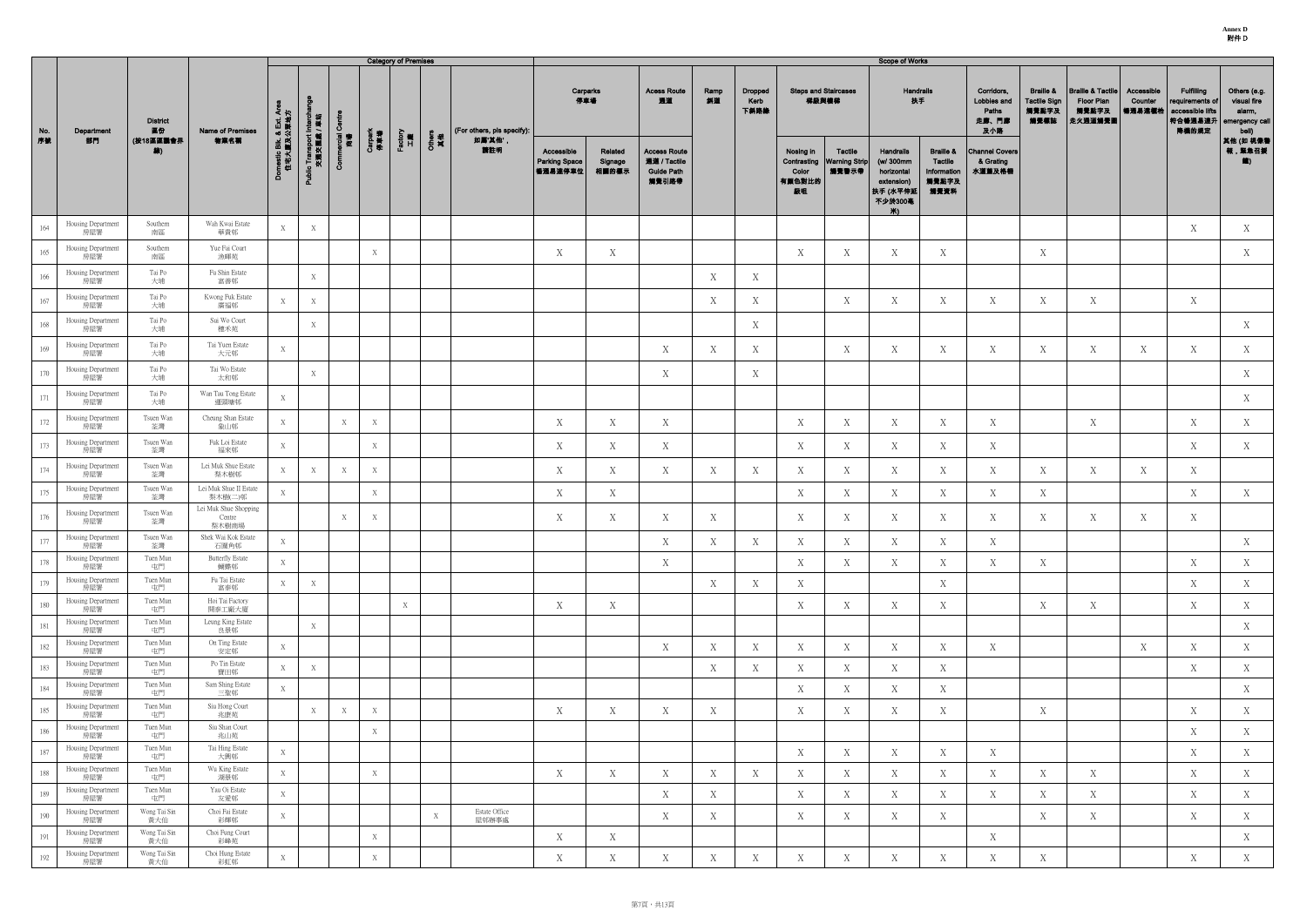**Annex D** 附件 D

|            |                                                 |                            |                                            |                                                  |                                        |                   |                  | <b>Category of Premises</b> |                 |                            |                                               |                             |                                                                   |            |                                |                                      |                                                 | <b>Scope of Works</b>                                                                   |                                                                 |                                                    |                                                              |                                                                       |                                 |                                                                               |                                                                  |
|------------|-------------------------------------------------|----------------------------|--------------------------------------------|--------------------------------------------------|----------------------------------------|-------------------|------------------|-----------------------------|-----------------|----------------------------|-----------------------------------------------|-----------------------------|-------------------------------------------------------------------|------------|--------------------------------|--------------------------------------|-------------------------------------------------|-----------------------------------------------------------------------------------------|-----------------------------------------------------------------|----------------------------------------------------|--------------------------------------------------------------|-----------------------------------------------------------------------|---------------------------------|-------------------------------------------------------------------------------|------------------------------------------------------------------|
| No.        | Department                                      | <b>District</b><br>區份      | Name of Premises                           | そ ド                                              |                                        |                   |                  |                             |                 | (For others, pls specify): | 停車場                                           | Carparks                    | <b>Acess Route</b><br>通道                                          | Ramp<br>斜道 | <b>Dropped</b><br>Kerb<br>下斜路缘 | <b>Steps and Staircases</b><br>梯級與樓梯 |                                                 | <b>Handrails</b><br>扶手                                                                  |                                                                 | Corridors,<br>Lobbies and<br>Paths<br>走廊、門廊<br>及小路 | <b>Braille &amp;</b><br><b>Tactile Sign</b><br>觸覺點字及<br>觸覺標誌 | <b>Braille &amp; Tactile</b><br><b>Floor Plan</b><br>觸覺點字及<br>走火通道觸覺圖 | Accessible<br>Counter<br>暢通易達櫃枱 | <b>Fulfilling</b><br>requirements of<br>accessible lifts<br> 符合暢通易達升<br>降機的規定 | Others (e.g.<br>visual fire<br>alarm,<br>emergency call<br>bell) |
| 序號         | 部門                                              | (按18區區議會界<br>線)            | 物業名稱                                       | <sub>omestic Blk. &amp; Ext.,</sub><br>住宅大廈及公眾地; | Public Transport Interch<br>交通交匯處 / 車站 | ncial<br>商場<br>රී | Carpark<br>停車場   | Factory<br>工廠               | Others<br>其<br> | 如属'其他',<br>箭柱明             | Accessible<br><b>Parking Space</b><br>暢通易達停車位 | Related<br>Signage<br>相關的標示 | <b>Access Route</b><br>通道 / Tactile<br><b>Guide Path</b><br>觸覺引路帶 |            |                                | Nosing in<br>Color<br>有颜色對比的<br>級咀   | Tactile<br>Contrasting   Warning Strip<br>觸覺警示帶 | <b>Handrails</b><br>(w/ 300mm<br>horizontal<br>extension)<br>扶手 (水平伸延<br>不少於300毫<br>Ж∖. | <b>Braille &amp;</b><br>Tactile<br>Information<br>觸覺點字及<br>觸覺資料 | <b>Channel Covers</b><br>& Grating<br>水道蓋及格柵       |                                                              |                                                                       |                                 |                                                                               | 其他 (如 視像警<br>報,緊急召援<br><b>价</b>                                  |
| 164        | Housing Department<br>房屋署                       | Southern<br>南區             | Wah Kwai Estate<br>華貴邨                     | X                                                | X                                      |                   |                  |                             |                 |                            |                                               |                             |                                                                   |            |                                |                                      |                                                 |                                                                                         |                                                                 |                                                    |                                                              |                                                                       |                                 | X                                                                             | X                                                                |
| 165        | Housing Department<br>房屋署                       | Southern<br>南區             | Yue Fai Court<br>漁暉苑                       |                                                  |                                        |                   | X                |                             |                 |                            | X                                             | X                           |                                                                   |            |                                | X                                    | X                                               | X                                                                                       | X                                                               |                                                    | X                                                            |                                                                       |                                 |                                                                               | X                                                                |
| 166        | Housing Department<br>房屋署                       | Tai Po<br>大埔               | Fu Shin Estate<br>富善邨                      |                                                  | X                                      |                   |                  |                             |                 |                            |                                               |                             |                                                                   | X          | X                              |                                      |                                                 |                                                                                         |                                                                 |                                                    |                                                              |                                                                       |                                 |                                                                               |                                                                  |
| 167        | Housing Department<br>房屋署                       | Tai Po<br>大埔               | Kwong Fuk Estate<br>廣福邨                    |                                                  | X                                      |                   |                  |                             |                 |                            |                                               |                             |                                                                   | X          | X                              |                                      | X                                               | X                                                                                       | X                                                               | X                                                  | X                                                            | X                                                                     |                                 | X                                                                             |                                                                  |
| 168        | Housing Department<br>房屋署                       | Tai Po<br>大埔               | Sui Wo Court<br>穗禾苑                        |                                                  | X                                      |                   |                  |                             |                 |                            |                                               |                             |                                                                   |            | X                              |                                      |                                                 |                                                                                         |                                                                 |                                                    |                                                              |                                                                       |                                 |                                                                               | X                                                                |
| 169        | Housing Department<br>房屋署                       | Tai Po<br>大埔               | Tai Yuen Estate<br>大元邨                     | X                                                |                                        |                   |                  |                             |                 |                            |                                               |                             | $\mathbf X$                                                       | X          | X                              |                                      | X                                               | X                                                                                       | X                                                               | X                                                  | X                                                            | X                                                                     | X                               | X                                                                             | X                                                                |
| 170        | Housing Department<br>房屋署                       | Tai Po<br>大埔               | Tai Wo Estate<br>太和邨                       |                                                  | X                                      |                   |                  |                             |                 |                            |                                               |                             | X                                                                 |            | X                              |                                      |                                                 |                                                                                         |                                                                 |                                                    |                                                              |                                                                       |                                 |                                                                               | X                                                                |
| 171        | Housing Department<br>房屋署                       | Tai Po<br>大埔               | Wan Tau Tong Estate<br>運頭塘邨                | X                                                |                                        |                   |                  |                             |                 |                            |                                               |                             |                                                                   |            |                                |                                      |                                                 |                                                                                         |                                                                 |                                                    |                                                              |                                                                       |                                 |                                                                               | X                                                                |
| 172        | Housing Department<br>房屋署                       | Tsuen Wan<br>荃灣            | Cheung Shan Estate<br>象山邨                  | X                                                |                                        | X                 | $\boldsymbol{X}$ |                             |                 |                            | X                                             | X                           | X                                                                 |            |                                | X                                    | X                                               | X                                                                                       | X                                                               | X                                                  |                                                              | X                                                                     |                                 | X                                                                             | X                                                                |
| 173        | Housing Department<br>房屋署                       | Tsuen Wan<br>荃灣            | Fuk Loi Estate<br>福來邨                      | X                                                |                                        |                   | X                |                             |                 |                            | X                                             | X                           | X                                                                 |            |                                | X                                    | X                                               | X                                                                                       | X                                                               | X                                                  |                                                              |                                                                       |                                 | X                                                                             | X                                                                |
| 174        | Housing Department<br>房屋署                       | Tsuen Wan<br>荃灣            | Lei Muk Shue Estate<br>梨木樹邨                | X                                                | X                                      | X                 | X                |                             |                 |                            | X                                             | X                           | X                                                                 | X          | Χ                              | X                                    | X                                               | X                                                                                       | X                                                               | X                                                  | X                                                            | X                                                                     | X                               | X                                                                             |                                                                  |
| 175        | Housing Department<br>房屋署                       | Tsuen Wan<br>荃灣            | Lei Muk Shue II Estate<br>梨木樹(二)邨          | X                                                |                                        |                   | X                |                             |                 |                            | $\mathbf X$                                   | X                           |                                                                   |            |                                | X                                    | $\mathbf X$                                     | X                                                                                       | X                                                               | X                                                  | X                                                            |                                                                       |                                 | $\mathbf X$                                                                   | X                                                                |
| 176        | Housing Department<br>房屋署                       | Tsuen Wan<br>荃灣            | Lei Muk Shue Shopping<br>Centre<br>梨木樹商場   |                                                  |                                        | X                 | X                |                             |                 |                            | X                                             | X                           | X                                                                 | X          |                                | X                                    | X                                               | X                                                                                       | X                                                               | X                                                  | X                                                            | X                                                                     | X                               | X                                                                             |                                                                  |
| 177        | Housing Department<br>房屋署                       | Tsuen Wan<br>荃灣            | Shek Wai Kok Estate<br>石圍角邨                | X                                                |                                        |                   |                  |                             |                 |                            |                                               |                             | X                                                                 | X          | X                              | X                                    | X                                               | $\mathbf{X}$                                                                            | X                                                               | $\mathbf X$                                        |                                                              |                                                                       |                                 |                                                                               | X                                                                |
| 178        | Housing Department<br>房屋署                       | Tuen Mun<br>屯門             | <b>Butterfly Estate</b><br>蝴蝶邨             | X                                                |                                        |                   |                  |                             |                 |                            |                                               |                             | X                                                                 |            |                                | X                                    | X                                               | X                                                                                       | X                                                               | X                                                  | X                                                            |                                                                       |                                 | X                                                                             | X                                                                |
| 179        | Housing Department<br>房屋署                       | Tuen Mun<br>屯門             | Fu Tai Estate<br>富泰邨                       | X                                                | X                                      |                   |                  |                             |                 |                            |                                               |                             |                                                                   | X          | Χ                              | X                                    |                                                 |                                                                                         | X                                                               |                                                    |                                                              |                                                                       |                                 | X                                                                             | X                                                                |
| 180        | Housing Department<br>房屋署                       | Tuen Mun<br>屯門             | Hoi Tai Factory<br>開泰工廠大廈                  |                                                  |                                        |                   |                  | X                           |                 |                            | X                                             | X                           |                                                                   |            |                                | X                                    | X                                               | Χ                                                                                       | X                                                               |                                                    | X                                                            | X                                                                     |                                 | X                                                                             | X                                                                |
| 181        | Housing Department<br>房屋署<br>Housing Department | Tuen Mun<br>屯門<br>Tuen Mun | Leung King Estate<br>良景邨<br>On Ting Estate |                                                  | X                                      |                   |                  |                             |                 |                            |                                               |                             |                                                                   |            |                                |                                      |                                                 |                                                                                         |                                                                 |                                                    |                                                              |                                                                       |                                 |                                                                               | X                                                                |
| 182<br>183 | 房屋署<br>Housing Department                       | 屯門<br>Tuen Mun             | 安定邨<br>Po Tin Estate                       | X                                                |                                        |                   |                  |                             |                 |                            |                                               |                             | X                                                                 | X          | X                              | X                                    | X                                               | X                                                                                       | X                                                               | X                                                  |                                                              |                                                                       | X                               | X                                                                             | X                                                                |
| 184        | 房屋署<br>Housing Department                       | 屯門<br>Tuen Mun             | 寶田邨<br>Sam Shing Estate                    | X<br>X                                           | $\mathbf X$                            |                   |                  |                             |                 |                            |                                               |                             |                                                                   | X          | Χ                              | X<br>X                               | X<br>X                                          | X<br>X                                                                                  | X<br>X                                                          |                                                    |                                                              |                                                                       |                                 | X                                                                             | X<br>X                                                           |
| 185        | 房屋署<br>Housing Department<br>房屋署                | 屯門<br>Tuen Mun<br>屯門       | 三聖邨<br>Siu Hong Court<br>兆康苑               |                                                  | X                                      | X                 | X                |                             |                 |                            | $\mathbf X$                                   | X                           | $\mathbf X$                                                       | X          |                                | X                                    | X                                               | X                                                                                       | X                                                               |                                                    | X                                                            |                                                                       |                                 | X                                                                             | X                                                                |
| 186        | Housing Department<br>房屋署                       | Tuen Mun<br>屯門             | Siu Shan Court<br>兆山苑                      |                                                  |                                        |                   | X                |                             |                 |                            |                                               |                             |                                                                   |            |                                |                                      |                                                 |                                                                                         |                                                                 |                                                    |                                                              |                                                                       |                                 | X                                                                             | X                                                                |
| 187        | Housing Department<br>房屋署                       | Tuen Mun<br>屯門             | Tai Hing Estate<br>大興邨                     | X                                                |                                        |                   |                  |                             |                 |                            |                                               |                             |                                                                   |            |                                | X                                    | X                                               | X                                                                                       | X                                                               | X                                                  |                                                              |                                                                       |                                 | X                                                                             | X                                                                |
| 188        | Housing Department<br>房屋署                       | Tuen Mun<br>屯門             | Wu King Estate<br>湖景邨                      | X                                                |                                        |                   | X                |                             |                 |                            | X                                             | X                           | X                                                                 | X          | X                              | X                                    | X                                               | X                                                                                       | X                                                               | X                                                  | X                                                            | X                                                                     |                                 | X                                                                             | X                                                                |
| 189        | Housing Department<br>房屋署                       | Tuen Mun<br>屯門             | Yau Oi Estate<br>友愛邨                       | X                                                |                                        |                   |                  |                             |                 |                            |                                               |                             | X                                                                 | X          |                                | X                                    | X                                               | X                                                                                       | X                                                               | X                                                  | X                                                            | X                                                                     |                                 | X                                                                             | X                                                                |
| 190        | Housing Department<br>房屋署                       | Wong Tai Sin<br>黃大仙        | Choi Fai Estate<br>彩輝邨                     | X                                                |                                        |                   |                  |                             | X               | Estate Office<br>屋邨辦事處     |                                               |                             | $\mathbf X$                                                       | X          |                                | X                                    | X                                               | X                                                                                       | X                                                               |                                                    | X                                                            | X                                                                     |                                 | X                                                                             | X                                                                |
| 191        | Housing Department<br>房屋署                       | Wong Tai Sin<br>黃大仙        | Choi Fung Court<br>彩峰苑                     |                                                  |                                        |                   | X                |                             |                 |                            | X                                             | X                           |                                                                   |            |                                |                                      |                                                 |                                                                                         |                                                                 | X                                                  |                                                              |                                                                       |                                 |                                                                               | X                                                                |
| 192        | Housing Department<br>房屋署                       | Wong Tai Sin<br>黃大仙        | Choi Hung Estate<br>彩虹邨                    | X                                                |                                        |                   | X                |                             |                 |                            | X                                             | X                           | X                                                                 | X          | X                              | X                                    | X                                               | X                                                                                       | X                                                               | X                                                  | X                                                            |                                                                       |                                 | X                                                                             | X                                                                |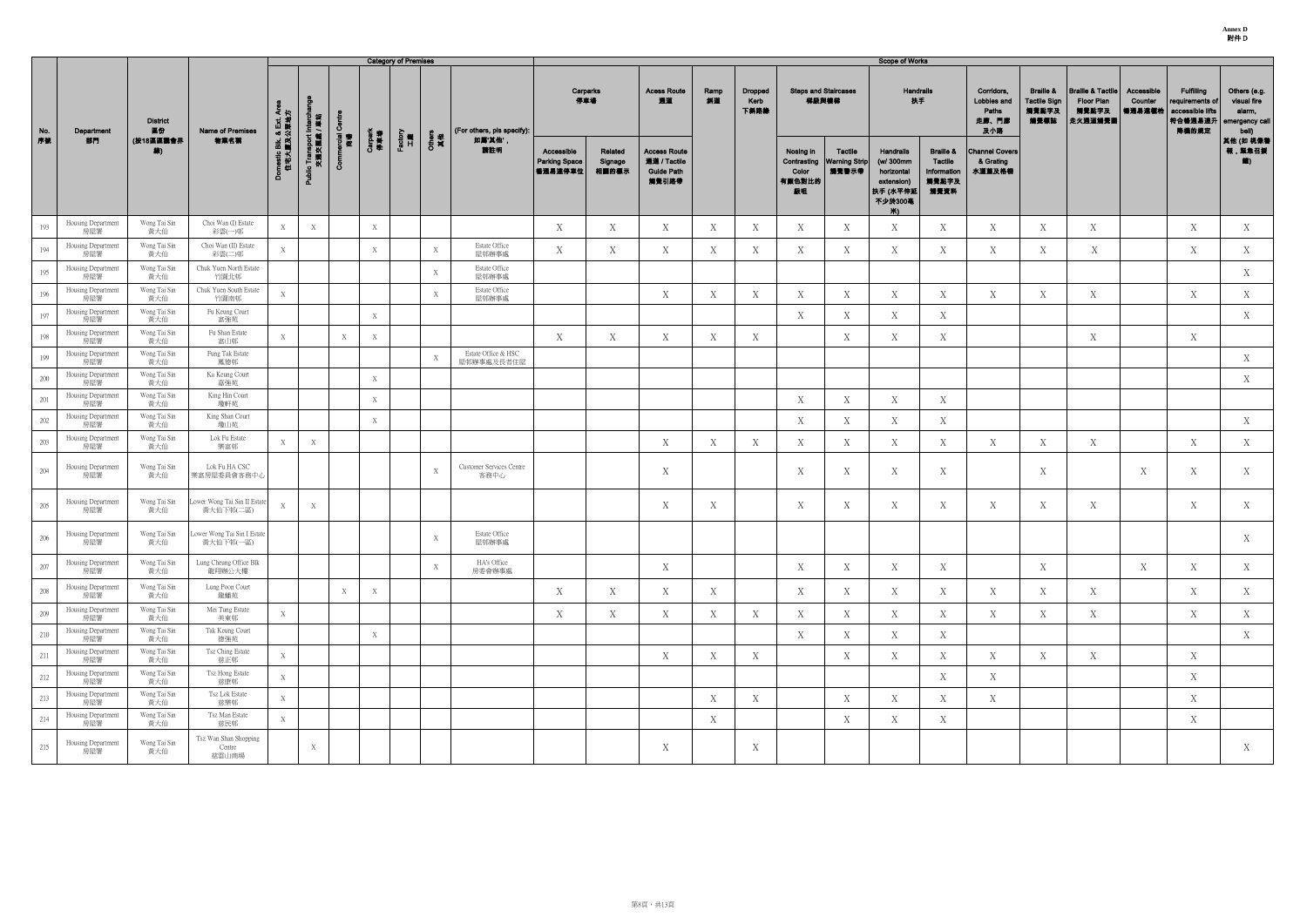**Annex D** 附件 D

|         |                           |                       |                                          |                                      |                                         |                   |                | <b>Category of Premises</b> |              |                                   |                                                 |                             |                                                                   |            |                                |                                    |                                                 | <b>Scope of Works</b>                                                            |                                                                        |                                                    |                                                              |                                                                |                                 |                                                                              |                                                                  |
|---------|---------------------------|-----------------------|------------------------------------------|--------------------------------------|-----------------------------------------|-------------------|----------------|-----------------------------|--------------|-----------------------------------|-------------------------------------------------|-----------------------------|-------------------------------------------------------------------|------------|--------------------------------|------------------------------------|-------------------------------------------------|----------------------------------------------------------------------------------|------------------------------------------------------------------------|----------------------------------------------------|--------------------------------------------------------------|----------------------------------------------------------------|---------------------------------|------------------------------------------------------------------------------|------------------------------------------------------------------|
| No.     | Department                | <b>District</b><br>區份 | Name of Premises                         |                                      |                                         | Ō                 |                |                             |              | (For others, pls specify):        |                                                 | Carparks<br>停車場             | <b>Acess Route</b><br>通道                                          | Ramp<br>斜道 | <b>Dropped</b><br>Kerb<br>下斜路緣 |                                    | <b>Steps and Staircases</b><br>梯級與樓梯            | Handrails<br>扶手                                                                  |                                                                        | Corridors,<br>Lobbies and<br>Paths<br>走廊、門廊<br>及小路 | <b>Braille &amp;</b><br><b>Tactile Sign</b><br>觸覺點字及<br>觸覺標誌 | <b>Braille &amp; Tactile</b><br>Floor Plan<br>觸覺點字及<br>走火通道觸覺圖 | Accessible<br>Counter<br>暢通易達權柏 | <b>Fulfilling</b><br>requirements of<br>accessible lifts<br>符合暢通易達升<br>降機的規定 | Others (e.g.<br>visual fire<br>alarm,<br>emergency call<br>bell) |
| 序数      | 部門                        | (按18區區議會界<br>線)       | 物業名稱                                     | omestic Blk. & Ext. Are<br>住宅大廈及公眾地方 | Public Transport Intercha<br>交通交匯處 / 車站 | ercial<br>商場<br>8 | Carpark<br>停車場 | Factory<br>工廠               | Others<br>其他 | 如屬'其他'<br>請註明                     | Accessible<br><b>Parking Space</b><br>  暢通易達停車位 | Related<br>Signage<br>相關的標示 | <b>Access Route</b><br>通道 / Tactile<br><b>Guide Path</b><br>觸覺引路帶 |            |                                | Nosing in<br>Color<br>有顏色對比的<br>級咀 | Tactile<br>Contrasting   Warning Strip<br>觸覺警示帶 | Handrails<br>(w/ 300mm<br>horizontal<br>extension)<br>扶手 (水平伸延<br>不少於300毫<br>Ж). | <b>Braille &amp;</b><br><b>Tactile</b><br>Information<br>觸覺點字及<br>觸覺資料 | <b>Channel Covers</b><br>& Grating<br>水道蓋及格柵       |                                                              |                                                                |                                 |                                                                              | 其他 (如 視像書<br>報,緊急召援                                              |
| 193     | Housing Department<br>房屋署 | Wong Tai Sin<br>黃大仙   | Choi Wan (I) Estate<br>彩雲(一)邨            | X                                    | X                                       |                   | X              |                             |              |                                   | X                                               | X                           | X                                                                 | X          | Х                              | X                                  | X                                               | X                                                                                | X                                                                      | X                                                  | X                                                            | X                                                              |                                 | X                                                                            | X                                                                |
| 194     | Housing Department<br>房屋署 | Wong Tai Sin<br>黃大仙   | Choi Wan (II) Estate<br>彩雲(二)邨           | X                                    |                                         |                   | X              |                             | X            | Estate Office<br>屋邨辦事處            | X                                               | X                           | X                                                                 | X          | X                              | X                                  | X                                               | X                                                                                | X                                                                      | X                                                  | X                                                            | X                                                              |                                 | X                                                                            | X                                                                |
| 195     | Housing Department<br>房屋署 | Wong Tai Sin<br>黃大仙   | Chuk Yuen North Estate<br>竹園北邨           |                                      |                                         |                   |                |                             | X            | Estate Office<br>屋邨辦事處            |                                                 |                             |                                                                   |            |                                |                                    |                                                 |                                                                                  |                                                                        |                                                    |                                                              |                                                                |                                 |                                                                              | X                                                                |
| 196     | Housing Department<br>房屋署 | Wong Tai Sin<br>黃大仙   | Chuk Yuen South Estate<br>竹園南邨           | X                                    |                                         |                   |                |                             | X            | Estate Office<br>屋邨辦事處            |                                                 |                             | X                                                                 | X          | X                              | X                                  | X                                               | X                                                                                | X                                                                      | X                                                  | X                                                            | X                                                              |                                 | X                                                                            | X                                                                |
| 197     | Housing Department<br>房屋署 | Wong Tai Sin<br>黃大仙   | Fu Keung Court<br>富強苑                    |                                      |                                         |                   | X              |                             |              |                                   |                                                 |                             |                                                                   |            |                                | X                                  | Χ                                               | X                                                                                | X                                                                      |                                                    |                                                              |                                                                |                                 |                                                                              | X                                                                |
| 198     | Housing Department<br>房屋署 | Wong Tai Sin<br>黃大仙   | Fu Shan Estate<br>富山邨                    | X                                    |                                         | X                 | X              |                             |              |                                   | X                                               | X                           | X                                                                 | X          | X                              |                                    | X                                               | X                                                                                | X                                                                      |                                                    |                                                              | X                                                              |                                 | X                                                                            |                                                                  |
| 199     | Housing Department<br>房屋署 | Wong Tai Sin<br>黃大仙   | Fung Tak Estate<br>鳳德邨                   |                                      |                                         |                   |                |                             | X            | Estate Office & HSC<br>屋邨辦事處及長者住屋 |                                                 |                             |                                                                   |            |                                |                                    |                                                 |                                                                                  |                                                                        |                                                    |                                                              |                                                                |                                 |                                                                              | X                                                                |
| 200     | Housing Department<br>房屋署 | Wong Tai Sin<br>黃大仙   | Ka Keung Court<br>嘉強苑                    |                                      |                                         |                   | X              |                             |              |                                   |                                                 |                             |                                                                   |            |                                |                                    |                                                 |                                                                                  |                                                                        |                                                    |                                                              |                                                                |                                 |                                                                              | X                                                                |
| 201     | Housing Department<br>房屋署 | Wong Tai Sin<br>黃大仙   | King Hin Court<br>瓊軒苑                    |                                      |                                         |                   | X              |                             |              |                                   |                                                 |                             |                                                                   |            |                                | X                                  | X                                               | X                                                                                | X                                                                      |                                                    |                                                              |                                                                |                                 |                                                                              |                                                                  |
| 202     | Housing Department<br>房屋署 | Wong Tai Sin<br>黃大仙   | King Shan Court<br>瓊山苑                   |                                      |                                         |                   | X              |                             |              |                                   |                                                 |                             |                                                                   |            |                                | X                                  | Χ                                               | X                                                                                | X                                                                      |                                                    |                                                              |                                                                |                                 |                                                                              | X                                                                |
| 203     | Housing Department<br>房屋署 | Wong Tai Sin<br>黃大仙   | Lok Fu Estate<br>樂富邨                     | X                                    | X                                       |                   |                |                             |              |                                   |                                                 |                             | X                                                                 | X          | Χ                              | X                                  | X                                               | X                                                                                | X                                                                      | X                                                  | X                                                            | X                                                              |                                 | X                                                                            | X                                                                |
| 204     | Housing Department<br>房屋署 | Wong Tai Sin<br>黃大仙   | Lok Fu HA CSC<br>樂富房屋委員會客務中心             |                                      |                                         |                   |                |                             | X            | Customer Services Centre<br>客務中心  |                                                 |                             | $\boldsymbol{\mathrm{X}}$                                         |            |                                | X                                  | X                                               | X                                                                                | Χ                                                                      |                                                    | X                                                            |                                                                | X                               | X                                                                            | X                                                                |
| 205     | Housing Department<br>房屋署 | Wong Tai Sin<br>黃大仙   | ower Wong Tai Sin II Estate<br>黃大仙下邨(二區) | X                                    | X                                       |                   |                |                             |              |                                   |                                                 |                             | X                                                                 | X          |                                | X                                  | X                                               | X                                                                                | X                                                                      | X                                                  | X                                                            | X                                                              |                                 | X                                                                            | X                                                                |
| 206     | Housing Department<br>房屋署 | Wong Tai Sin<br>黃大仙   | Lower Wong Tai Sin I Estate<br>黃大仙下邨(一區) |                                      |                                         |                   |                |                             | X            | Estate Office<br>屋邨辦事處            |                                                 |                             |                                                                   |            |                                |                                    |                                                 |                                                                                  |                                                                        |                                                    |                                                              |                                                                |                                 |                                                                              | X                                                                |
| 207     | Housing Department<br>房屋署 | Wong Tai Sin<br>黃大仙   | Lung Cheung Office Blk<br>龍翔辦公大樓         |                                      |                                         |                   |                |                             | X            | HA's Office<br>房委會辦事處             |                                                 |                             | X                                                                 |            |                                | X                                  | X                                               | X                                                                                | X                                                                      |                                                    | X                                                            |                                                                | X                               | X                                                                            | X                                                                |
| 208     | Housing Department<br>房屋署 | Wong Tai Sin<br>黃大仙   | Lung Poon Court<br>龍蟠苑                   |                                      |                                         | X                 | X              |                             |              |                                   | X                                               | X                           | X                                                                 | X          |                                | X                                  | X                                               | X                                                                                | X                                                                      | X                                                  | X                                                            | X                                                              |                                 | X                                                                            | X                                                                |
| 209     | Housing Department<br>房屋署 | Wong Tai Sin<br>黃大仙   | Mei Tung Estate<br>美東邨                   | X                                    |                                         |                   |                |                             |              |                                   | X                                               | X                           | X                                                                 | X          | Χ                              | X                                  | Χ                                               | X                                                                                | X                                                                      | X                                                  | X                                                            | X                                                              |                                 | X                                                                            | X                                                                |
| $210\,$ | Housing Department<br>房屋署 | Wong Tai Sin<br>黃大仙   | Tak Keung Court<br>德強苑                   |                                      |                                         |                   | $\mathbf X$    |                             |              |                                   |                                                 |                             |                                                                   |            |                                | Χ                                  | X                                               | X                                                                                | X                                                                      |                                                    |                                                              |                                                                |                                 |                                                                              | X                                                                |
| 211     | Housing Department<br>房屋署 | Wong Tai Sin<br>黃大仙   | Tsz Ching Estate<br>慈正邨                  | X                                    |                                         |                   |                |                             |              |                                   |                                                 |                             | X                                                                 | X          | X                              |                                    | X                                               | X                                                                                | X                                                                      | X                                                  | X                                                            | X                                                              |                                 | X                                                                            |                                                                  |
| 212     | Housing Department<br>房屋署 | Wong Tai Sin<br>黃大仙   | Tsz Hong Estate<br>慈康邨                   | X                                    |                                         |                   |                |                             |              |                                   |                                                 |                             |                                                                   |            |                                |                                    |                                                 |                                                                                  | X                                                                      | X                                                  |                                                              |                                                                |                                 | X                                                                            |                                                                  |
| 213     | Housing Department<br>房屋署 | Wong Tai Sin<br>黃大仙   | Tsz Lok Estate<br>慈樂邨                    | X                                    |                                         |                   |                |                             |              |                                   |                                                 |                             |                                                                   | X          | X                              |                                    | $\boldsymbol{X}$                                | X                                                                                | X                                                                      | X                                                  |                                                              |                                                                |                                 | X                                                                            |                                                                  |
| 214     | Housing Department<br>房屋署 | Wong Tai Sin<br>黃大仙   | Tsz Man Estate<br>慈民邨                    | X                                    |                                         |                   |                |                             |              |                                   |                                                 |                             |                                                                   | X          |                                |                                    | X                                               | X                                                                                | X                                                                      |                                                    |                                                              |                                                                |                                 | X                                                                            |                                                                  |
| 215     | Housing Department<br>房屋署 | Wong Tai Sin<br>黃大仙   | Tsz Wan Shan Shopping<br>Centre<br>慈雲山商場 |                                      | X                                       |                   |                |                             |              |                                   |                                                 |                             | $\boldsymbol{X}$                                                  |            | X                              |                                    |                                                 |                                                                                  |                                                                        |                                                    |                                                              |                                                                |                                 |                                                                              | X                                                                |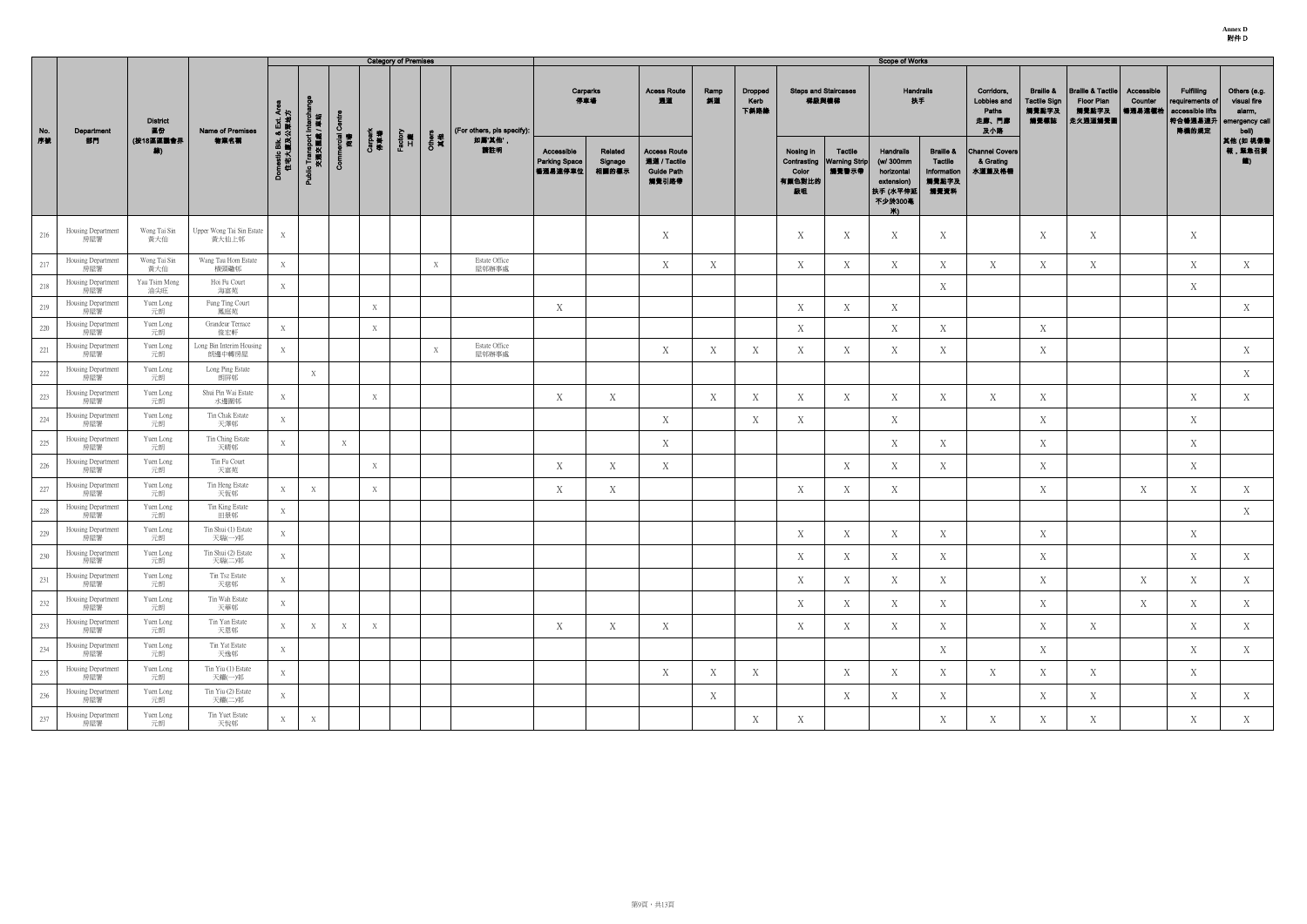|           |                           |                                    |                                    |                                      |                                         |                   |                | <b>Category of Premises</b> |              |                                       |                                               |                             |                                                                   |            |                         |                                    |                                                 | <b>Scope of Works</b>                                                                    |                                                                 |                                                    |                                                              |                                                                |                                  |                                                                              |                                                                               |
|-----------|---------------------------|------------------------------------|------------------------------------|--------------------------------------|-----------------------------------------|-------------------|----------------|-----------------------------|--------------|---------------------------------------|-----------------------------------------------|-----------------------------|-------------------------------------------------------------------|------------|-------------------------|------------------------------------|-------------------------------------------------|------------------------------------------------------------------------------------------|-----------------------------------------------------------------|----------------------------------------------------|--------------------------------------------------------------|----------------------------------------------------------------|----------------------------------|------------------------------------------------------------------------------|-------------------------------------------------------------------------------|
| No.<br>序號 | Department<br>部門          | <b>District</b><br>區份<br>(按18區區議會界 | Name of Premises<br>物業名稱           | omestic Blk. & Ext. Are<br>住宅大廈及公眾地方 |                                         | Ō<br>arcial<br>商場 |                | Factory<br>工廠               |              | (For others, pls specify):<br>如屬'其他', | 停車場                                           | Carparks                    | <b>Acess Route</b><br>通道                                          | Ramp<br>斜道 | Dropped<br>Kerb<br>下斜路缘 |                                    | <b>Steps and Staircases</b><br>梯級與樓梯            | Handrails<br>扶手                                                                          |                                                                 | Corridors,<br>Lobbies and<br>Paths<br>走廊、門廊<br>及小路 | <b>Braille &amp;</b><br><b>Tactile Sign</b><br>觸覺點字及<br>觸覺標誌 | <b>Braille &amp; Tactile</b><br>Floor Plan<br>觸覺點字及<br>走火通道觸覺圖 | Accessible<br>Counter<br> 暢通易達權枱 | <b>Fulfilling</b><br>requirements of<br>accessible lifts<br>符合暢通易達升<br>降機的規定 | Others (e.g.<br>visual fire<br>alarm,<br>emergency call<br>bell)<br>其他 (如 視像種 |
|           |                           | 線)                                 |                                    |                                      | Public Transport Intercha<br>交通交匯處 / 車站 | යි                | Carpark<br>停車場 |                             | Others<br>其他 | 請註明                                   | Accessible<br><b>Parking Space</b><br>暢通易達停車位 | Related<br>Signage<br>相關的標示 | <b>Access Route</b><br>通道 / Tactile<br><b>Guide Path</b><br>觸覺引路帶 |            |                         | Nosing in<br>Color<br>有顏色對比的<br>級咀 | Tactile<br>Contrasting   Warning Strip<br>觸覺警示帶 | <b>Handrails</b><br>(w/ 300mm<br>horizontal<br>extension)<br> 扶手 (水平伸延<br>不少於300毫<br>Ж). | <b>Braille &amp;</b><br>Tactile<br>Information<br>觸覺點字及<br>觸覺資料 | <b>Channel Covers</b><br>& Grating<br>水道蓋及格柵       |                                                              |                                                                |                                  |                                                                              | 報,緊急召援<br>$\langle \rangle$                                                   |
| 216       | Housing Department<br>房屋署 | Wong Tai Sin<br>黃大仙                | Upper Wong Tai Sin Estate<br>黄大仙上邨 | X                                    |                                         |                   |                |                             |              |                                       |                                               |                             | $\boldsymbol{X}$                                                  |            |                         | X                                  | Χ                                               | X                                                                                        | X                                                               |                                                    | X                                                            | X                                                              |                                  | X                                                                            |                                                                               |
| 217       | Housing Department<br>房屋署 | Wong Tai Sin<br>黃大仙                | Wang Tau Hom Estate<br>横頭磡邨        | X                                    |                                         |                   |                |                             | X            | Estate Office<br>屋邨辦事處                |                                               |                             | X                                                                 | X          |                         | X                                  | X                                               | X                                                                                        | X                                                               | X                                                  | X                                                            | X                                                              |                                  | $\mathbf X$                                                                  | X                                                                             |
| 218       | Housing Department<br>房屋署 | Yau Tsim Mong<br>油尖旺               | Hoi Fu Court<br>海富苑                | X                                    |                                         |                   |                |                             |              |                                       |                                               |                             |                                                                   |            |                         |                                    |                                                 |                                                                                          | X                                                               |                                                    |                                                              |                                                                |                                  | X                                                                            |                                                                               |
| 219       | Housing Department<br>房屋署 | Yuen Long<br>元朗                    | Fung Ting Court<br>鳳庭苑             |                                      |                                         |                   | X              |                             |              |                                       | X                                             |                             |                                                                   |            |                         | X                                  | X                                               | X                                                                                        |                                                                 |                                                    |                                                              |                                                                |                                  |                                                                              | X                                                                             |
| 220       | Housing Department<br>房屋署 | Yuen Long<br>元朗                    | Grandeur Terrace<br>俊宏軒            | X                                    |                                         |                   | X              |                             |              |                                       |                                               |                             |                                                                   |            |                         | X                                  |                                                 | $X_{\mathcal{I}}$                                                                        | $\mathbf X$                                                     |                                                    | $\mathbf X$                                                  |                                                                |                                  |                                                                              |                                                                               |
| 221       | Housing Department<br>房屋署 | Yuen Long<br>元朗                    | Long Bin Interim Housing<br>朗邊中轉房屋 | X                                    |                                         |                   |                |                             | X            | Estate Office<br>屋邨辦事處                |                                               |                             | X                                                                 | X          | X                       | X                                  | X                                               | X                                                                                        | X                                                               |                                                    | X                                                            |                                                                |                                  |                                                                              | X                                                                             |
| 222       | Housing Department<br>房屋署 | Yuen Long<br>元朗                    | Long Ping Estate<br>朗屏邨            |                                      | X                                       |                   |                |                             |              |                                       |                                               |                             |                                                                   |            |                         |                                    |                                                 |                                                                                          |                                                                 |                                                    |                                                              |                                                                |                                  |                                                                              | X                                                                             |
| 223       | Housing Department<br>房屋署 | Yuen Long<br>元朗                    | Shui Pin Wai Estate<br>水邊圍邨        | X                                    |                                         |                   | X              |                             |              |                                       | X                                             | X                           |                                                                   | X          | Х                       | X                                  | X                                               | X                                                                                        | X                                                               | X                                                  | X                                                            |                                                                |                                  | X                                                                            | X                                                                             |
| 224       | Housing Department<br>房屋署 | Yuen Long<br>元朗                    | Tin Chak Estate<br>天澤邨             | X                                    |                                         |                   |                |                             |              |                                       |                                               |                             | X                                                                 |            | Χ                       | X                                  |                                                 | X                                                                                        |                                                                 |                                                    | X                                                            |                                                                |                                  | X                                                                            |                                                                               |
| 225       | Housing Department<br>房屋署 | Yuen Long<br>元朗                    | Tin Ching Estate<br>天晴邨            | X                                    |                                         | X                 |                |                             |              |                                       |                                               |                             | X                                                                 |            |                         |                                    |                                                 | X                                                                                        | X                                                               |                                                    | X                                                            |                                                                |                                  | X                                                                            |                                                                               |
| 226       | Housing Department<br>房屋署 | Yuen Long<br>元朗                    | Tin Fu Court<br>天富苑                |                                      |                                         |                   | X              |                             |              |                                       | X                                             | X                           | X                                                                 |            |                         |                                    | Χ                                               | X                                                                                        | X                                                               |                                                    | X                                                            |                                                                |                                  | X                                                                            |                                                                               |
| 227       | Housing Department<br>房屋署 | Yuen Long<br>元朗                    | Tin Heng Estate<br>天恆邨             | X                                    | X                                       |                   | X              |                             |              |                                       | X                                             | X                           |                                                                   |            |                         | X                                  | X                                               | X                                                                                        |                                                                 |                                                    | X                                                            |                                                                | X                                | X                                                                            | X                                                                             |
| 228       | Housing Department<br>房屋署 | Yuen Long<br>元朗                    | Tin King Estate<br>田景邨             | X                                    |                                         |                   |                |                             |              |                                       |                                               |                             |                                                                   |            |                         |                                    |                                                 |                                                                                          |                                                                 |                                                    |                                                              |                                                                |                                  |                                                                              | X                                                                             |
| 229       | Housing Department<br>房屋署 | Yuen Long<br>元朗                    | Tin Shui (1) Estate<br>天瑞(一)邨      | X                                    |                                         |                   |                |                             |              |                                       |                                               |                             |                                                                   |            |                         | X                                  | X                                               | X                                                                                        | X                                                               |                                                    | X                                                            |                                                                |                                  | X                                                                            |                                                                               |
| 230       | Housing Department<br>房屋署 | Yuen Long<br>元朗                    | Tin Shui (2) Estate<br>天瑞(二)邨      | X                                    |                                         |                   |                |                             |              |                                       |                                               |                             |                                                                   |            |                         | X                                  | X                                               | X                                                                                        | X                                                               |                                                    | X                                                            |                                                                |                                  | X                                                                            | X                                                                             |
| 231       | Housing Department<br>房屋署 | Yuen Long<br>元朗                    | Tin Tsz Estate<br>天慈邨              | X                                    |                                         |                   |                |                             |              |                                       |                                               |                             |                                                                   |            |                         | X                                  | X                                               | X                                                                                        | X                                                               |                                                    | X                                                            |                                                                | X                                | X                                                                            | X                                                                             |
| 232       | Housing Department<br>房屋署 | Yuen Long<br>元朗                    | Tin Wah Estate<br>天華邨              | X                                    |                                         |                   |                |                             |              |                                       |                                               |                             |                                                                   |            |                         | X                                  | X                                               | X                                                                                        | X                                                               |                                                    | X                                                            |                                                                | X                                | X                                                                            | X                                                                             |
| 233       | Housing Department<br>房屋署 | Yuen Long<br>元朗                    | Tin Yan Estate<br>天恩邨              | X                                    | X                                       | X                 | X              |                             |              |                                       | X                                             | X                           | X                                                                 |            |                         | X                                  | X                                               | X                                                                                        | X                                                               |                                                    | X                                                            | X                                                              |                                  | X                                                                            | X                                                                             |
| 234       | Housing Department<br>房屋署 | Yuen Long<br>元朗                    | Tin Yat Estate<br>天逸邨              | X                                    |                                         |                   |                |                             |              |                                       |                                               |                             |                                                                   |            |                         |                                    |                                                 |                                                                                          | X                                                               |                                                    | X                                                            |                                                                |                                  | X                                                                            | X                                                                             |
| 235       | Housing Department<br>房屋署 | Yuen Long<br>元朗                    | Tin Yiu (1) Estate<br>天耀(一)邨       | X                                    |                                         |                   |                |                             |              |                                       |                                               |                             | X                                                                 | X          | Χ                       |                                    | X                                               | X                                                                                        | X                                                               | X                                                  | X                                                            | X                                                              |                                  | X                                                                            |                                                                               |
| 236       | Housing Department<br>房屋署 | Yuen Long<br>元朗                    | Tin Yiu (2) Estate<br>天耀(二)邨       | X                                    |                                         |                   |                |                             |              |                                       |                                               |                             |                                                                   | X          |                         |                                    | Χ                                               | X                                                                                        | X                                                               |                                                    | X                                                            | X                                                              |                                  | X                                                                            | X                                                                             |
| 237       | Housing Department<br>房屋署 | Yuen Long<br>元朗                    | Tin Yuet Estate<br>天悅邨             | X                                    | X                                       |                   |                |                             |              |                                       |                                               |                             |                                                                   |            | X                       | X                                  |                                                 |                                                                                          | X                                                               | X                                                  | X                                                            | X                                                              |                                  | X                                                                            | X                                                                             |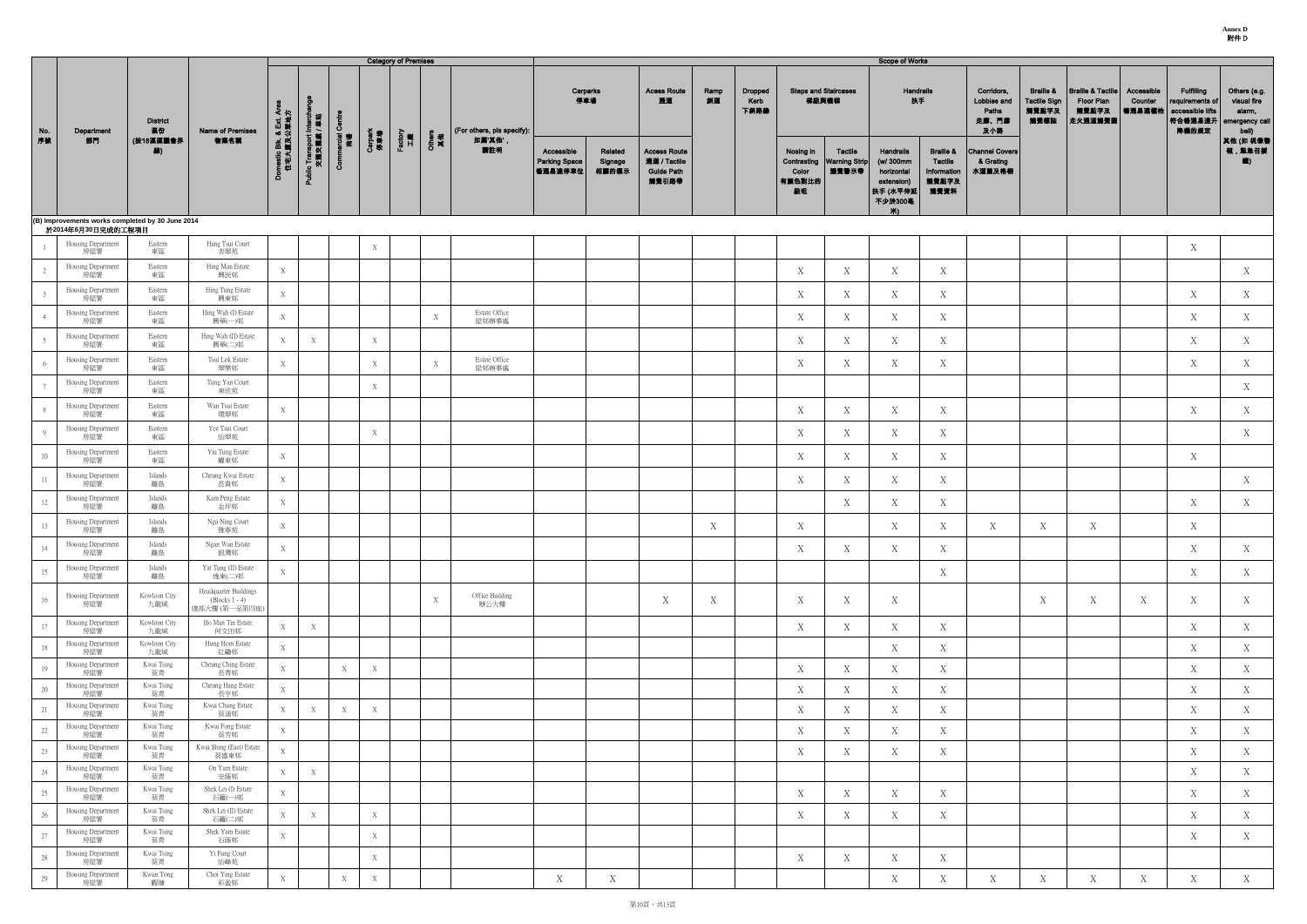|                 |                                                                        |                       |                                                          |                                    |                                |                             |                | <b>Category of Premises</b> |              |                                      |                                                |                             |                                                                   |            |                                |                                                   |                                          | <b>Scope of Works</b>                                                            |                                                                        |                                                    |                                                              |                                                                |                                 |                                                                             |                                                                  |
|-----------------|------------------------------------------------------------------------|-----------------------|----------------------------------------------------------|------------------------------------|--------------------------------|-----------------------------|----------------|-----------------------------|--------------|--------------------------------------|------------------------------------------------|-----------------------------|-------------------------------------------------------------------|------------|--------------------------------|---------------------------------------------------|------------------------------------------|----------------------------------------------------------------------------------|------------------------------------------------------------------------|----------------------------------------------------|--------------------------------------------------------------|----------------------------------------------------------------|---------------------------------|-----------------------------------------------------------------------------|------------------------------------------------------------------|
| No.<br>序號       | Department                                                             | <b>District</b><br>區份 | Name of Premises<br>物業名稱                                 | ৰ দু                               | り 投<br>回 舞                     | $\sigma$<br>reing<br>極<br>極 |                | Factory<br>工廠               |              | (For others, pls specify):<br>如屬'其他' | 停車場                                            | Carparks                    | <b>Acess Route</b><br>通道                                          | Ramp<br>斜道 | <b>Dropped</b><br>Kerb<br>下斜路缘 |                                                   | <b>Steps and Staircases</b><br>梯級與樓梯     | Handrails<br>扶手                                                                  |                                                                        | Corridors,<br>Lobbies and<br>Paths<br>走廊、門廊<br>及小路 | <b>Braille &amp;</b><br><b>Tactile Sign</b><br>觸覺點字及<br>觸覺標誌 | <b>Braille &amp; Tactile</b><br>Floor Plan<br>觸覺點字及<br>走火通道觸覺圖 | Accessible<br>Counter<br>暢通易達權柏 | <b>Fulfilling</b><br>equirements of<br>accessible lifts<br>符合暢通易達升<br>降機的規定 | Others (e.g.<br>visual fire<br>alarm,<br>emergency call<br>bell) |
|                 | 部門                                                                     | (按18區區議會界<br>線)       |                                                          | omestic Blk. & Ext. ,<br>住宅大廈及公眾地] | Public Transport In<br>交通交匯處 / | රි                          | Carpark<br>停車場 |                             | Others<br>其他 | 請註明                                  | Accessible<br><b>Parking Space</b><br> 暢通易達停車位 | Related<br>Signage<br>相關的標示 | <b>Access Route</b><br>通道 / Tactile<br><b>Guide Path</b><br>觸覺引路帶 |            |                                | Nosing in<br>Contrasting<br>Color<br>有颜色對比的<br>級咀 | Tactile<br><b>Warning Strip</b><br>觸覺警示帶 | Handrails<br>(w/ 300mm<br>horizontal<br>extension)<br>扶手 (水平伸延<br>不少於300毫<br>Ж). | <b>Braille &amp;</b><br><b>Tactile</b><br>Information<br>觸覺點字及<br>觸覺資料 | <b>Channel Covers</b><br>& Grating<br>水道蓋及格柵       |                                                              |                                                                |                                 |                                                                             | 其他 (如 視像警<br>報,緊急召援<br>$\left( \frac{1}{2} \right)$              |
|                 | (B) Improvements works completed by 30 June 2014<br>於2014年6月30日完成的工程項目 |                       |                                                          |                                    |                                |                             |                |                             |              |                                      |                                                |                             |                                                                   |            |                                |                                                   |                                          |                                                                                  |                                                                        |                                                    |                                                              |                                                                |                                 |                                                                             |                                                                  |
|                 | Housing Department<br>房屋署                                              | Eastern<br>東區         | Hang Tsui Court<br>杏翠苑                                   |                                    |                                |                             | X              |                             |              |                                      |                                                |                             |                                                                   |            |                                |                                                   |                                          |                                                                                  |                                                                        |                                                    |                                                              |                                                                |                                 | X                                                                           |                                                                  |
|                 | Housing Department<br>房屋署                                              | Eastern<br>東區         | Hing Man Estate<br>興民邨                                   | X                                  |                                |                             |                |                             |              |                                      |                                                |                             |                                                                   |            |                                | X                                                 | X                                        | X                                                                                | X                                                                      |                                                    |                                                              |                                                                |                                 |                                                                             | X                                                                |
|                 | Housing Department<br>房屋署                                              | Eastern<br>東區         | Hing Tung Estate<br>興東邨                                  | X                                  |                                |                             |                |                             |              |                                      |                                                |                             |                                                                   |            |                                | X                                                 | X                                        | X                                                                                | X                                                                      |                                                    |                                                              |                                                                |                                 | X                                                                           | X                                                                |
|                 | Housing Department<br>房屋署                                              | Eastern<br>東區         | Hing Wah (I) Estate<br>興華(一)邨                            | X                                  |                                |                             |                |                             | X            | Estate Office<br>屋邨辦事處               |                                                |                             |                                                                   |            |                                | X                                                 | X                                        | X                                                                                | X                                                                      |                                                    |                                                              |                                                                |                                 | X                                                                           | X                                                                |
|                 | Housing Department<br>房屋署                                              | Eastern<br>東區         | Hing Wah (II) Estate<br>興華(二)邨                           | X                                  | X                              |                             | X              |                             |              |                                      |                                                |                             |                                                                   |            |                                | X                                                 | X                                        | X                                                                                | X                                                                      |                                                    |                                                              |                                                                |                                 | X                                                                           | X                                                                |
|                 | Housing Department<br>房屋署                                              | Eastern<br>東區         | Tsui Lok Estate<br>翠樂邨                                   | X                                  |                                |                             | X              |                             | X            | Estate Office<br>屋邨辦事處               |                                                |                             |                                                                   |            |                                | X                                                 | Х                                        | X                                                                                | X                                                                      |                                                    |                                                              |                                                                |                                 | X                                                                           | X                                                                |
|                 | Housing Department<br>房屋署                                              | Eastern<br>東區         | Tung Yan Court<br>東欣苑                                    |                                    |                                |                             | X              |                             |              |                                      |                                                |                             |                                                                   |            |                                |                                                   |                                          |                                                                                  |                                                                        |                                                    |                                                              |                                                                |                                 |                                                                             | X                                                                |
|                 | Housing Department<br>房屋署                                              | Eastern<br>東區         | Wan Tsui Estate<br>環翠邨                                   | X                                  |                                |                             |                |                             |              |                                      |                                                |                             |                                                                   |            |                                | Χ                                                 | X                                        | X                                                                                | X                                                                      |                                                    |                                                              |                                                                |                                 | X                                                                           | X                                                                |
| 9               | Housing Department<br>房屋署                                              | Eastern<br>東區         | Yee Tsui Court<br>怡翠苑                                    |                                    |                                |                             | X              |                             |              |                                      |                                                |                             |                                                                   |            |                                | X                                                 | X                                        | X                                                                                | X                                                                      |                                                    |                                                              |                                                                |                                 |                                                                             | X                                                                |
| 10 <sup>°</sup> | Housing Department<br>房屋署                                              | Eastern<br>東區         | Yiu Tung Estate<br>耀東邨                                   | X                                  |                                |                             |                |                             |              |                                      |                                                |                             |                                                                   |            |                                | X                                                 | X                                        | X                                                                                | X                                                                      |                                                    |                                                              |                                                                |                                 | X                                                                           |                                                                  |
| 11              | Housing Department<br>房屋署                                              | Islands<br>離島         | Cheung Kwai Estate<br>長貴邨                                | X                                  |                                |                             |                |                             |              |                                      |                                                |                             |                                                                   |            |                                | X                                                 | X                                        | X                                                                                | X                                                                      |                                                    |                                                              |                                                                |                                 |                                                                             | X                                                                |
| 12              | Housing Department<br>房屋署                                              | Islands<br>離島         | Kam Peng Estate<br>金坪邨                                   | X                                  |                                |                             |                |                             |              |                                      |                                                |                             |                                                                   |            |                                |                                                   | X                                        | Χ                                                                                | Χ                                                                      |                                                    |                                                              |                                                                |                                 | X                                                                           | X                                                                |
| 13              | Housing Department<br>房屋署                                              | Islands<br>離島         | Nga Ning Court<br>雅寧苑                                    | X                                  |                                |                             |                |                             |              |                                      |                                                |                             |                                                                   | X          |                                | X                                                 |                                          | X                                                                                | Χ                                                                      | Χ                                                  | Χ                                                            | X                                                              |                                 | X                                                                           |                                                                  |
| 14              | Housing Department<br>房屋署                                              | Islands<br>離島         | Ngan Wan Estate<br>銀灣邨                                   | X                                  |                                |                             |                |                             |              |                                      |                                                |                             |                                                                   |            |                                | X                                                 | X                                        | X                                                                                | X                                                                      |                                                    |                                                              |                                                                |                                 | X                                                                           | X                                                                |
| 15              | Housing Department<br>房屋署                                              | Islands<br>離島         | Yat Tung (II) Estate<br>逸東(二)邨                           | X                                  |                                |                             |                |                             |              |                                      |                                                |                             |                                                                   |            |                                |                                                   |                                          |                                                                                  | X                                                                      |                                                    |                                                              |                                                                |                                 | X                                                                           | X                                                                |
| 16              | Housing Department<br>房屋署                                              | Kowloon City<br>九龍城   | Headquarter Buildings<br>(Blocks 1 - 4)<br>總部大樓 (第一至第四座) |                                    |                                |                             |                |                             | X            | Office Building<br>辦公大樓              |                                                |                             | X                                                                 | X          |                                | $\mathbf X$                                       | X                                        | X                                                                                |                                                                        |                                                    | X                                                            | X                                                              | X                               | X                                                                           | X                                                                |
| 17              | Housing Department<br>房屋署                                              | Kowloon City<br>九龍城   | Ho Man Tin Estate<br>何文田邨                                | X                                  | X                              |                             |                |                             |              |                                      |                                                |                             |                                                                   |            |                                | Χ                                                 | X                                        | X                                                                                | X                                                                      |                                                    |                                                              |                                                                |                                 | X                                                                           | X                                                                |
| 18              | Housing Department<br>房屋署                                              | Kowloon City<br>九龍城   | Hung Hom Estate<br>紅磡邨                                   | X                                  |                                |                             |                |                             |              |                                      |                                                |                             |                                                                   |            |                                |                                                   |                                          | X                                                                                | X                                                                      |                                                    |                                                              |                                                                |                                 | X                                                                           | X                                                                |
| 19              | Housing Department<br>房屋署                                              | Kwai Tsing<br>葵青      | Cheung Ching Estate<br>長青邨                               | X                                  |                                | X                           | X              |                             |              |                                      |                                                |                             |                                                                   |            |                                | X                                                 | X                                        | X                                                                                | X                                                                      |                                                    |                                                              |                                                                |                                 | X                                                                           | X                                                                |
| 20              | Housing Department<br>房屋署                                              | Kwai Tsing<br>葵青      | Cheung Hang Estate<br>長亨邨                                | X                                  |                                |                             |                |                             |              |                                      |                                                |                             |                                                                   |            |                                | X                                                 | X                                        | X                                                                                | X                                                                      |                                                    |                                                              |                                                                |                                 | X                                                                           | X                                                                |
| 21              | Housing Department<br>房屋署                                              | Kwai Tsing<br>葵青      | Kwai Chung Estate<br>葵涌邨                                 | X                                  | X                              | X                           | $\mathbf X$    |                             |              |                                      |                                                |                             |                                                                   |            |                                | X                                                 | X                                        | X                                                                                | X                                                                      |                                                    |                                                              |                                                                |                                 | X                                                                           | X                                                                |
| 22              | Housing Department<br>房屋署                                              | Kwai Tsing<br>葵青      | Kwai Fong Estate<br>葵芳邨                                  | X                                  |                                |                             |                |                             |              |                                      |                                                |                             |                                                                   |            |                                | X                                                 | X                                        | X                                                                                | X                                                                      |                                                    |                                                              |                                                                |                                 | X                                                                           | X                                                                |
| 23              | Housing Department<br>房屋署                                              | Kwai Tsing<br>葵青      | Kwai Shing (East) Estate<br>葵盛東邨                         | X                                  |                                |                             |                |                             |              |                                      |                                                |                             |                                                                   |            |                                | X                                                 | X                                        | X                                                                                | X                                                                      |                                                    |                                                              |                                                                |                                 | X                                                                           | X                                                                |
| 24              | Housing Department<br>房屋署                                              | Kwai Tsing<br>葵青      | On Yam Estate<br>安蔭邨                                     | X                                  | X                              |                             |                |                             |              |                                      |                                                |                             |                                                                   |            |                                |                                                   |                                          |                                                                                  |                                                                        |                                                    |                                                              |                                                                |                                 | X                                                                           | X                                                                |
| 25              | Housing Department<br>房屋署                                              | Kwai Tsing<br>葵青      | Shek Lei (I) Estate<br>石籬(一)邨                            | X                                  |                                |                             |                |                             |              |                                      |                                                |                             |                                                                   |            |                                | X                                                 | X                                        | X                                                                                | X                                                                      |                                                    |                                                              |                                                                |                                 | X                                                                           | X                                                                |
| 26              | Housing Department<br>房屋署                                              | Kwai Tsing<br>葵青      | Shek Lei (II) Estate<br>石籬(二)邨                           | X                                  | X                              |                             | X              |                             |              |                                      |                                                |                             |                                                                   |            |                                | X                                                 | X                                        | X                                                                                | X                                                                      |                                                    |                                                              |                                                                |                                 | X                                                                           | X                                                                |
| 27              | Housing Department<br>房屋署                                              | Kwai Tsing<br>葵青      | Shek Yam Estate<br>石蔭邨                                   | X                                  |                                |                             | X              |                             |              |                                      |                                                |                             |                                                                   |            |                                |                                                   |                                          |                                                                                  |                                                                        |                                                    |                                                              |                                                                |                                 | X                                                                           | X                                                                |
| 28              | Housing Department<br>房屋署                                              | Kwai Tsing<br>葵青      | Yi Fung Court<br>怡峰苑                                     |                                    |                                |                             | X              |                             |              |                                      |                                                |                             |                                                                   |            |                                | X                                                 | X                                        | X                                                                                | X                                                                      |                                                    |                                                              |                                                                |                                 |                                                                             |                                                                  |
| 29              | Housing Department<br>房屋署                                              | Kwun Tong<br>觀塘       | Choi Ying Estate<br>彩盈邨                                  | X                                  |                                | X                           | X              |                             |              |                                      | X                                              | X                           |                                                                   |            |                                |                                                   |                                          | X                                                                                | Χ                                                                      | X                                                  | X                                                            | X                                                              | X                               | X                                                                           | X                                                                |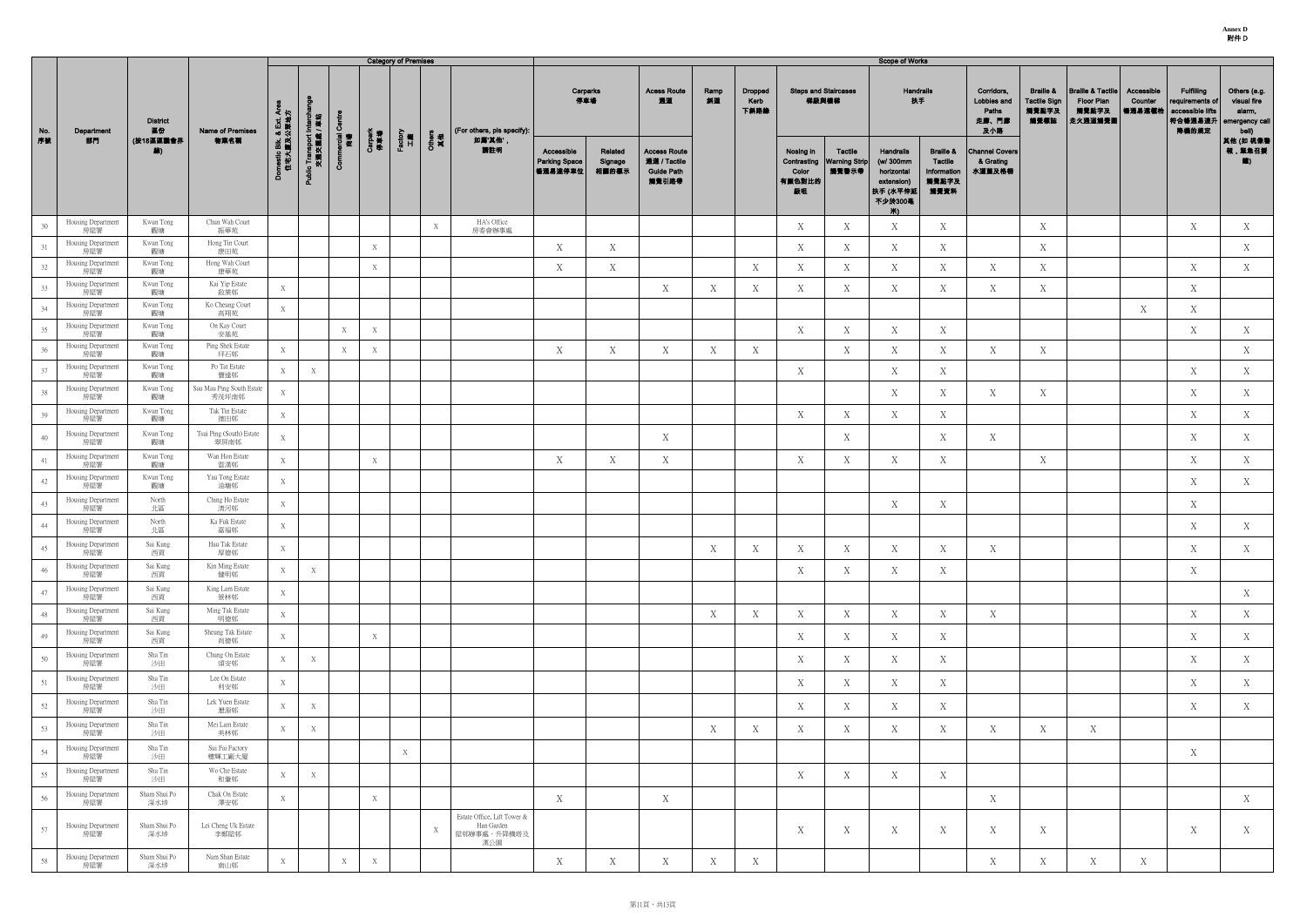|     |                           |                       |                                    |                                      |                                        |                   |                | <b>Category of Premises</b> |              |                                                                 |                                               |                             |                                                                   |            |                         |                                    |                                                 | <b>Scope of Works</b>                                                                    |                                                                        |                                                    |                                                              |                                                                |                                 |                                                                               |                                                                  |
|-----|---------------------------|-----------------------|------------------------------------|--------------------------------------|----------------------------------------|-------------------|----------------|-----------------------------|--------------|-----------------------------------------------------------------|-----------------------------------------------|-----------------------------|-------------------------------------------------------------------|------------|-------------------------|------------------------------------|-------------------------------------------------|------------------------------------------------------------------------------------------|------------------------------------------------------------------------|----------------------------------------------------|--------------------------------------------------------------|----------------------------------------------------------------|---------------------------------|-------------------------------------------------------------------------------|------------------------------------------------------------------|
| No. | Department                | <b>District</b><br>區份 | Name of Premises                   |                                      |                                        | Ō                 |                |                             |              | (For others, pls specify):                                      | 停車場                                           | Carparks                    | <b>Acess Route</b><br>通道                                          | Ramp<br>斜道 | Dropped<br>Kerb<br>下斜路缘 |                                    | <b>Steps and Staircases</b><br>梯級與樓梯            | Handrails<br>扶手                                                                          |                                                                        | Corridors,<br>Lobbies and<br>Paths<br>走廊、門廊<br>及小路 | <b>Braille &amp;</b><br><b>Tactile Sign</b><br>觸覺點字及<br>觸覺標誌 | <b>Braille &amp; Tactile</b><br>Floor Plan<br>觸覺點字及<br>走火通道觸覺圖 | Accessible<br>Counter<br>暢通易達櫃枱 | <b>Fulfilling</b><br>requirements of<br>accessible lifts<br> 符合暢通易達升<br>降機的規定 | Others (e.g.<br>visual fire<br>alarm,<br>emergency call<br>bell) |
| 序数  | 部門                        | (按18區區議會界<br>線)       | 物業名稱                               | omestic Blk. & Ext. Are<br>住宅大廈及公眾地方 | Public Transport Interch<br>交通交匯處 / 車站 | ercial<br>商場<br>δ | Carpark<br>停車場 | Factory<br>工廠               | Others<br>其他 | 如属'其他',<br>請註明                                                  | Accessible<br><b>Parking Space</b><br>暢通易達停車位 | Related<br>Signage<br>相關的標示 | <b>Access Route</b><br>通道 / Tactile<br><b>Guide Path</b><br>觸覺引路帶 |            |                         | Nosing in<br>Color<br>有顏色對比的<br>級咀 | Tactile<br>Contrasting   Warning Strip<br>觸覺警示帶 | <b>Handrails</b><br>(w/ 300mm<br>horizontal<br>extension)<br> 扶手 (水平伸廻<br>不少於300毫<br>Ж). | <b>Braille &amp;</b><br><b>Tactile</b><br>Information<br>觸覺點字及<br>觸覺資料 | <b>Channel Covers</b><br>& Grating<br>水道蓋及格柵       |                                                              |                                                                |                                 |                                                                               | 其他 (如 視像警<br>報,緊急召援<br>11                                        |
| 30  | Housing Department<br>房屋署 | Kwun Tong<br>觀塘       | Chun Wah Court<br>振華苑              |                                      |                                        |                   |                |                             | X            | HA's Office<br>房委會辦事處                                           |                                               |                             |                                                                   |            |                         | X                                  | Χ                                               | X                                                                                        | X                                                                      |                                                    | X                                                            |                                                                |                                 | X                                                                             | X                                                                |
| 31  | Housing Department<br>房屋署 | Kwun Tong<br>觀塘       | Hong Tin Court<br>康田苑              |                                      |                                        |                   | $\mathbf X$    |                             |              |                                                                 | X                                             | X                           |                                                                   |            |                         | X                                  | X                                               | X                                                                                        | X                                                                      |                                                    | X                                                            |                                                                |                                 |                                                                               | X                                                                |
| 32  | Housing Department<br>房屋署 | Kwun Tong<br>觀塘       | Hong Wah Court<br>康華苑              |                                      |                                        |                   | X              |                             |              |                                                                 | X                                             | X                           |                                                                   |            | Х                       | X                                  | Χ                                               | X                                                                                        | X                                                                      | X                                                  | X                                                            |                                                                |                                 | X                                                                             | X                                                                |
| 33  | Housing Department<br>房屋署 | Kwun Tong<br>觀塘       | Kai Yip Estate<br>啟業邨              | X                                    |                                        |                   |                |                             |              |                                                                 |                                               |                             | X                                                                 | X          | Χ                       | $\boldsymbol{X}$                   | X                                               | X                                                                                        | X                                                                      | X                                                  | X                                                            |                                                                |                                 | X                                                                             |                                                                  |
| 34  | Housing Department<br>房屋署 | Kwun Tong<br>觀塘       | Ko Cheung Court<br>高翔苑             | X                                    |                                        |                   |                |                             |              |                                                                 |                                               |                             |                                                                   |            |                         |                                    |                                                 |                                                                                          |                                                                        |                                                    |                                                              |                                                                | X                               | X                                                                             |                                                                  |
| 35  | Housing Department<br>房屋署 | Kwun Tong<br>觀塘       | On Kay Court<br>安基苑                |                                      |                                        | X                 | $\bold{X}$     |                             |              |                                                                 |                                               |                             |                                                                   |            |                         | X                                  | X                                               | X                                                                                        | X                                                                      |                                                    |                                                              |                                                                |                                 | X                                                                             | X                                                                |
| 36  | Housing Department<br>房屋署 | Kwun Tong<br>觀塘       | Ping Shek Estate<br>坪石邨            | X                                    |                                        | $\boldsymbol{X}$  | X              |                             |              |                                                                 | X                                             | X                           | X                                                                 | X          | X                       |                                    | X                                               | X                                                                                        | X                                                                      | X                                                  | X                                                            |                                                                |                                 |                                                                               | X                                                                |
| 37  | Housing Department<br>房屋署 | Kwun Tong<br>觀塘       | Po Tat Estate<br>寶達邨               | X                                    | X                                      |                   |                |                             |              |                                                                 |                                               |                             |                                                                   |            |                         | X                                  |                                                 | X                                                                                        | X                                                                      |                                                    |                                                              |                                                                |                                 | X                                                                             | X                                                                |
| 38  | Housing Department<br>房屋署 | Kwun Tong<br>觀塘       | Sau Mau Ping South Estate<br>秀茂坪南邨 | $\mathbf X$                          |                                        |                   |                |                             |              |                                                                 |                                               |                             |                                                                   |            |                         |                                    |                                                 | X                                                                                        | X                                                                      | X                                                  | X                                                            |                                                                |                                 | X                                                                             | X                                                                |
| 39  | Housing Department<br>房屋署 | Kwun Tong<br>觀塘       | Tak Tin Estate<br>德田邨              | $\mathbf X$                          |                                        |                   |                |                             |              |                                                                 |                                               |                             |                                                                   |            |                         | X                                  | X                                               | X                                                                                        | X                                                                      |                                                    |                                                              |                                                                |                                 | X                                                                             | X                                                                |
| 40  | Housing Department<br>房屋署 | Kwun Tong<br>觀塘       | Tsui Ping (South) Estate<br>翠屏南邨   | X                                    |                                        |                   |                |                             |              |                                                                 |                                               |                             | X                                                                 |            |                         |                                    | X                                               |                                                                                          | X                                                                      | X                                                  |                                                              |                                                                |                                 | X                                                                             | X                                                                |
| 41  | Housing Department<br>房屋署 | Kwun Tong<br>觀塘       | Wan Hon Estate<br>雲漢邨              | X                                    |                                        |                   | X              |                             |              |                                                                 | X                                             | X                           | $\mathbf X$                                                       |            |                         | X                                  | X                                               | X                                                                                        | $\mathbf X$                                                            |                                                    | X                                                            |                                                                |                                 | X                                                                             | X                                                                |
| 42  | Housing Department<br>房屋署 | Kwun Tong<br>觀塘       | Yau Tong Estate<br>油塘邨             | X                                    |                                        |                   |                |                             |              |                                                                 |                                               |                             |                                                                   |            |                         |                                    |                                                 |                                                                                          |                                                                        |                                                    |                                                              |                                                                |                                 | X                                                                             | X                                                                |
| 43  | Housing Department<br>房屋署 | North<br>北區           | Ching Ho Estate<br>清河邨             | X                                    |                                        |                   |                |                             |              |                                                                 |                                               |                             |                                                                   |            |                         |                                    |                                                 | X                                                                                        | X                                                                      |                                                    |                                                              |                                                                |                                 | X                                                                             |                                                                  |
| 44  | Housing Department<br>房屋署 | North<br>北區           | Ka Fuk Estate<br>嘉福邨               | X                                    |                                        |                   |                |                             |              |                                                                 |                                               |                             |                                                                   |            |                         |                                    |                                                 |                                                                                          |                                                                        |                                                    |                                                              |                                                                |                                 | $\mathbf X$                                                                   | X                                                                |
| 45  | Housing Department<br>房屋署 | Sai Kung<br>西貢        | Hau Tak Estate<br>厚德邨              | X                                    |                                        |                   |                |                             |              |                                                                 |                                               |                             |                                                                   | X          | X                       | X                                  | X                                               | X                                                                                        | X                                                                      | X                                                  |                                                              |                                                                |                                 | X                                                                             | X                                                                |
| 46  | Housing Department<br>房屋署 | Sai Kung<br>西貢        | Kin Ming Estate<br>健明邨             | X                                    | X                                      |                   |                |                             |              |                                                                 |                                               |                             |                                                                   |            |                         | X                                  | X                                               | X                                                                                        | Χ                                                                      |                                                    |                                                              |                                                                |                                 | X                                                                             |                                                                  |
| 47  | Housing Department<br>房屋署 | Sai Kung<br>西貢        | King Lam Estate<br>景林邨             | X                                    |                                        |                   |                |                             |              |                                                                 |                                               |                             |                                                                   |            |                         |                                    |                                                 |                                                                                          |                                                                        |                                                    |                                                              |                                                                |                                 |                                                                               | X                                                                |
| 48  | Housing Department<br>房屋署 | Sai Kung<br>西貢        | Ming Tak Estate<br>明德邨             | X                                    |                                        |                   |                |                             |              |                                                                 |                                               |                             |                                                                   | X          | Χ                       | X                                  | X                                               | X                                                                                        | X                                                                      | X                                                  |                                                              |                                                                |                                 | X                                                                             | X                                                                |
| 49  | Housing Department<br>房屋署 | Sai Kung<br>西貢        | Sheung Tak Estate<br>尚德邨           | X                                    |                                        |                   | X              |                             |              |                                                                 |                                               |                             |                                                                   |            |                         | X                                  | X                                               | X                                                                                        | X                                                                      |                                                    |                                                              |                                                                |                                 | X                                                                             | X                                                                |
| 50  | Housing Department<br>房屋署 | Sha Tin<br>沙田         | Chung On Estate<br>頌安邨             | X                                    | X                                      |                   |                |                             |              |                                                                 |                                               |                             |                                                                   |            |                         | X                                  | X                                               | X                                                                                        | X                                                                      |                                                    |                                                              |                                                                |                                 | X                                                                             | X                                                                |
| 51  | Housing Department<br>房屋署 | Sha Tin<br>沙田         | Lee On Estate<br>利安邨               | X                                    |                                        |                   |                |                             |              |                                                                 |                                               |                             |                                                                   |            |                         | X                                  | X                                               | X                                                                                        | X                                                                      |                                                    |                                                              |                                                                |                                 | X                                                                             | X                                                                |
| 52  | Housing Department<br>房屋署 | Sha Tin<br>沙田         | Lek Yuen Estate<br>瀝源邨             | X                                    | $\boldsymbol{\mathrm{X}}$              |                   |                |                             |              |                                                                 |                                               |                             |                                                                   |            |                         | X                                  | X                                               | X                                                                                        | X                                                                      |                                                    |                                                              |                                                                |                                 | X                                                                             | X                                                                |
| 53  | Housing Department<br>房屋署 | Sha Tin<br>沙田         | Mei Lam Estate<br>美林邨              | X                                    | X                                      |                   |                |                             |              |                                                                 |                                               |                             |                                                                   | X          | Χ                       | X                                  | X                                               | X                                                                                        | X                                                                      | X                                                  | X                                                            | X                                                              |                                 |                                                                               |                                                                  |
| 54  | Housing Department<br>房屋署 | Sha Tin<br>沙田         | Sui Fai Factory<br>穗輝工廠大廈          |                                      |                                        |                   |                | X                           |              |                                                                 |                                               |                             |                                                                   |            |                         |                                    |                                                 |                                                                                          |                                                                        |                                                    |                                                              |                                                                |                                 | X                                                                             |                                                                  |
| 55  | Housing Department<br>房屋署 | Sha Tin<br>沙田         | Wo Che Estate<br>和輋邨               | X                                    | X                                      |                   |                |                             |              |                                                                 |                                               |                             |                                                                   |            |                         | X                                  | X                                               | X                                                                                        | X                                                                      |                                                    |                                                              |                                                                |                                 |                                                                               |                                                                  |
| 56  | Housing Department<br>房屋署 | Sham Shui Po<br>深水埗   | Chak On Estate<br>澤安邨              | X                                    |                                        |                   | X              |                             |              |                                                                 | X                                             |                             | X                                                                 |            |                         |                                    |                                                 |                                                                                          |                                                                        | X                                                  |                                                              |                                                                |                                 |                                                                               | X                                                                |
| 57  | Housing Department<br>房屋署 | Sham Shui Po<br>深水埗   | Lei Cheng Uk Estate<br>李鄭屋邨        |                                      |                                        |                   |                |                             | X            | Estate Office, Lift Tower &<br>Han Garden<br>屋邨辦事處,升降機塔及<br>漢公園 |                                               |                             |                                                                   |            |                         | X                                  | X                                               | X                                                                                        | X                                                                      | Х                                                  | X                                                            |                                                                |                                 | X                                                                             | X                                                                |
| 58  | Housing Department<br>房屋署 | Sham Shui Po<br>深水埗   | Nam Shan Estate<br>南山邨             | X                                    |                                        | X                 | X              |                             |              |                                                                 | X                                             | X                           | X                                                                 | X          | X                       |                                    |                                                 |                                                                                          |                                                                        | X                                                  | X                                                            | X                                                              | X                               |                                                                               |                                                                  |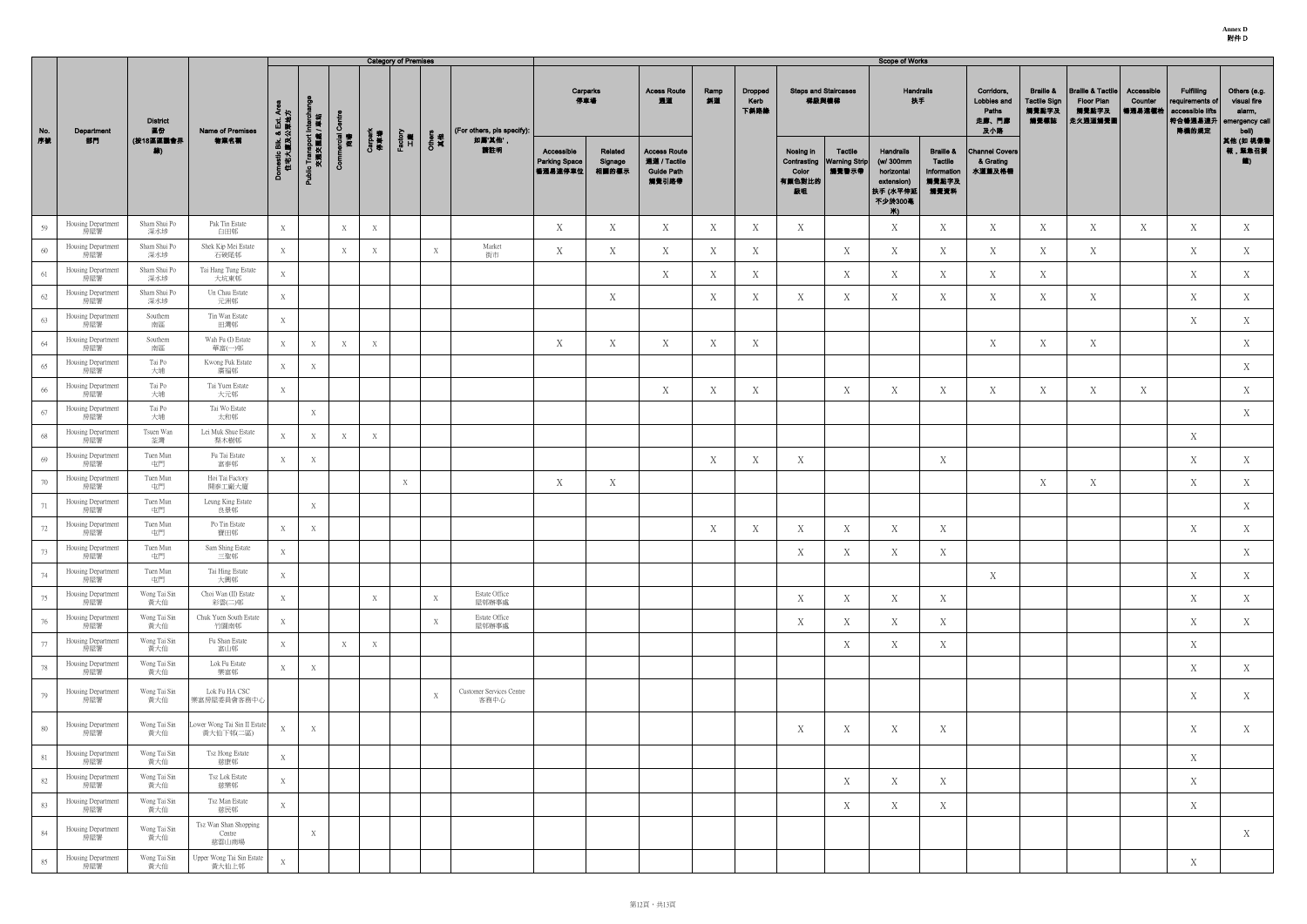**Annex D** 附件 D

|           |                           |                                          |                                          |                                      | <b>Category of Premises</b>        |                   |                |               |              |                                  |                                                 | <b>Scope of Works</b>       |                                                                   |            |                         |                                      |                                                 |                                                                                   |                                                                 |                                                    |                                                              |                                                                |                                 |                                                                              |                                                                  |
|-----------|---------------------------|------------------------------------------|------------------------------------------|--------------------------------------|------------------------------------|-------------------|----------------|---------------|--------------|----------------------------------|-------------------------------------------------|-----------------------------|-------------------------------------------------------------------|------------|-------------------------|--------------------------------------|-------------------------------------------------|-----------------------------------------------------------------------------------|-----------------------------------------------------------------|----------------------------------------------------|--------------------------------------------------------------|----------------------------------------------------------------|---------------------------------|------------------------------------------------------------------------------|------------------------------------------------------------------|
| No.<br>序號 | Department<br>部門          | <b>District</b><br>區份<br>(按18區區議會界<br>線) | Name of Premises                         | omestic Blk. & Ext. Are<br>住宅大廈及公眾地方 | には<br>電気                           | Ō                 |                |               |              | (For others, pls specify):       | Carparks<br>停車場                                 |                             | <b>Acess Route</b><br>通道                                          | Ramp<br>斜道 | Dropped<br>Kerb<br>下斜路緣 | <b>Steps and Staircases</b><br>梯級與樓梯 |                                                 | <b>Handrails</b><br>扶手                                                            |                                                                 | Corridors,<br>Lobbies and<br>Paths<br>走廊、門廊<br>及小路 | <b>Braille &amp;</b><br><b>Tactile Sign</b><br>觸覺點字及<br>觸覺標誌 | <b>Braille &amp; Tactile</b><br>Floor Plan<br>觸覺點字及<br>走火通道觸覺圖 | Accessible<br>Counter<br>暢通易達櫃枱 | <b>Fulfilling</b><br>requirements of<br>accessible lifts<br>符合暢通易達升<br>降機的規定 | Others (e.g.<br>visual fire<br>alarm,<br>emergency call<br>bell) |
|           |                           |                                          | 物業名稱                                     |                                      | Public Transport Inte<br>交通交匯處 / 耳 | ncial<br>商場<br>රි | Carpark<br>停車場 | Factory<br>工廠 | Others<br>其他 | 如屬'其他'<br>請註明                    | Accessible<br><b>Parking Space</b><br>  暢通易達停車位 | Related<br>Signage<br>相關的標示 | <b>Access Route</b><br>通道 / Tactile<br><b>Guide Path</b><br>觸覺引路帶 |            |                         | Nosing in<br>Color<br>有颜色對比的<br>級咀   | Tactile<br>Contrasting   Warning Strip<br>觸覺警示帶 | Handrails<br>(w/ 300mm<br>horizontal<br>extension)<br> 扶手 (水平伸延<br>不少於300毫<br>**∖ | <b>Braille &amp;</b><br>Tactile<br>Information<br>觸覺點字及<br>觸覺資料 | <b>Channel Covers</b><br>& Grating<br>水道蓋及格柵       |                                                              |                                                                |                                 |                                                                              | 其他 (如 視像費<br>報,緊急召援<br><b>道</b> )                                |
| 59        | Housing Department<br>房屋署 | Sham Shui Po<br>深水埗                      | Pak Tin Estate<br>白田邨                    | $\boldsymbol{\mathrm{X}}$            |                                    |                   | X              |               |              |                                  | X                                               | X                           | X                                                                 | X          | X                       | X                                    |                                                 | X                                                                                 | X                                                               | X                                                  | X                                                            | X                                                              | X                               | X                                                                            | X                                                                |
| 60        | Housing Department<br>房屋署 | Sham Shui Po<br>深水埗                      | Shek Kip Mei Estate<br>石硤尾邨              | X                                    |                                    |                   | X              |               | X            | Market<br>街市                     | X                                               | X                           | X                                                                 | X          | X                       |                                      | X                                               | X                                                                                 | X                                                               | X                                                  | X                                                            | X                                                              |                                 | X                                                                            | X                                                                |
| 61        | Housing Department<br>房屋署 | Sham Shui Po<br>深水埗                      | Tai Hang Tung Estate<br>大坑東邨             | $\boldsymbol{\mathrm{X}}$            |                                    |                   |                |               |              |                                  |                                                 |                             | X                                                                 | X          | X                       |                                      | X                                               | X                                                                                 | X                                                               | X                                                  | X                                                            |                                                                |                                 | X                                                                            | X                                                                |
| 62        | Housing Department<br>房屋署 | Sham Shui Po<br>深水埗                      | Un Chau Estate<br>元洲邨                    | X                                    |                                    |                   |                |               |              |                                  |                                                 | X                           |                                                                   | X          | X                       | X                                    | X                                               | X                                                                                 | X                                                               | X                                                  | X                                                            | X                                                              |                                 | X                                                                            | X                                                                |
| 63        | Housing Department<br>房屋署 | Southern<br>南區                           | Tin Wan Estate<br>田灣邨                    | X                                    |                                    |                   |                |               |              |                                  |                                                 |                             |                                                                   |            |                         |                                      |                                                 |                                                                                   |                                                                 |                                                    |                                                              |                                                                |                                 | X                                                                            | X                                                                |
| 64        | Housing Department<br>房屋署 | Southern<br>南區                           | Wah Fu (I) Estate<br>華富(一)邨              | X                                    | X                                  | X                 | X              |               |              |                                  | X                                               | X                           | X                                                                 | X          | X                       |                                      |                                                 |                                                                                   |                                                                 | X                                                  | X                                                            | X                                                              |                                 |                                                                              | X                                                                |
| 65        | Housing Department<br>房屋署 | Tai Po<br>大埔                             | Kwong Fuk Estate<br>廣福邨                  | X                                    | X                                  |                   |                |               |              |                                  |                                                 |                             |                                                                   |            |                         |                                      |                                                 |                                                                                   |                                                                 |                                                    |                                                              |                                                                |                                 |                                                                              | X                                                                |
| 66        | Housing Department<br>房屋署 | Tai Po<br>大埔                             | Tai Yuen Estate<br>大元邨                   | X                                    |                                    |                   |                |               |              |                                  |                                                 |                             | X                                                                 | X          | X                       |                                      | X                                               | X                                                                                 | X                                                               | X                                                  | X                                                            | X                                                              | X                               |                                                                              | X                                                                |
| 67        | Housing Department<br>房屋署 | Tai Po<br>大埔                             | Tai Wo Estate<br>太和邨                     |                                      | X                                  |                   |                |               |              |                                  |                                                 |                             |                                                                   |            |                         |                                      |                                                 |                                                                                   |                                                                 |                                                    |                                                              |                                                                |                                 |                                                                              | X                                                                |
| 68        | Housing Department<br>房屋署 | Tsuen Wan<br>荃灣                          | Lei Muk Shue Estate<br>梨木樹邨              | X                                    | X                                  | $\boldsymbol{X}$  | X              |               |              |                                  |                                                 |                             |                                                                   |            |                         |                                      |                                                 |                                                                                   |                                                                 |                                                    |                                                              |                                                                |                                 | X                                                                            |                                                                  |
| 69        | Housing Department<br>房屋署 | Tuen Mun<br>屯門                           | Fu Tai Estate<br>富泰邨                     | X                                    | X                                  |                   |                |               |              |                                  |                                                 |                             |                                                                   | X          | X                       | X                                    |                                                 |                                                                                   | X                                                               |                                                    |                                                              |                                                                |                                 | X                                                                            | X                                                                |
| 70        | Housing Department<br>房屋署 | Tuen Mun<br>屯門                           | Hoi Tai Factory<br>開泰工廠大廈                |                                      |                                    |                   |                | X             |              |                                  | X                                               | X                           |                                                                   |            |                         |                                      |                                                 |                                                                                   |                                                                 |                                                    | X                                                            | X                                                              |                                 | X                                                                            | X                                                                |
| 71        | Housing Department<br>房屋署 | Tuen Mun<br>屯門                           | Leung King Estate<br>良景邨                 |                                      | X                                  |                   |                |               |              |                                  |                                                 |                             |                                                                   |            |                         |                                      |                                                 |                                                                                   |                                                                 |                                                    |                                                              |                                                                |                                 |                                                                              | X                                                                |
| 72        | Housing Department<br>房屋署 | Tuen Mun<br>屯門                           | Po Tin Estate<br>寶田邨                     | $\mathbf X$                          | X                                  |                   |                |               |              |                                  |                                                 |                             |                                                                   | X          | X                       | X                                    | X                                               | X                                                                                 | X                                                               |                                                    |                                                              |                                                                |                                 | X                                                                            | X                                                                |
| 73        | Housing Department<br>房屋署 | Tuen Mun<br>屯門                           | Sam Shing Estate<br>三聖邨                  | X                                    |                                    |                   |                |               |              |                                  |                                                 |                             |                                                                   |            |                         | X                                    | X                                               | $\mathbf X$                                                                       | X                                                               |                                                    |                                                              |                                                                |                                 |                                                                              | X                                                                |
| 74        | Housing Department<br>房屋署 | Tuen Mun<br>屯門                           | Tai Hing Estate<br>大興邨                   | X                                    |                                    |                   |                |               |              |                                  |                                                 |                             |                                                                   |            |                         |                                      |                                                 |                                                                                   |                                                                 | X                                                  |                                                              |                                                                |                                 | X                                                                            | X                                                                |
| 75        | Housing Department<br>房屋署 | Wong Tai Sin<br>黃大仙                      | Choi Wan (II) Estate<br>彩雲(二)邨           | X                                    |                                    |                   | X              |               | X            | Estate Office<br>屋邨辦事處           |                                                 |                             |                                                                   |            |                         | X                                    | X                                               | X                                                                                 | X                                                               |                                                    |                                                              |                                                                |                                 | X                                                                            | X                                                                |
| 76        | Housing Department<br>房屋署 | Wong Tai Sin<br>黃大仙                      | Chuk Yuen South Estate<br>竹園南邨           | $\mathbf X$                          |                                    |                   |                |               | X            | Estate Office<br>屋邨辦事處           |                                                 |                             |                                                                   |            |                         | X                                    | X                                               | X                                                                                 | X                                                               |                                                    |                                                              |                                                                |                                 | X                                                                            | X                                                                |
| 77        | Housing Department<br>房屋署 | Wong Tai Sin<br>黃大仙                      | Fu Shan Estate<br>富山邨                    | X                                    |                                    | X                 | X              |               |              |                                  |                                                 |                             |                                                                   |            |                         |                                      | X                                               | X                                                                                 | X                                                               |                                                    |                                                              |                                                                |                                 | X                                                                            |                                                                  |
| 78        | Housing Department<br>房屋署 | Wong Tai Sin<br>黃大仙                      | Lok Fu Estate<br>樂富邨                     | $\boldsymbol{\mathrm{X}}$            | X                                  |                   |                |               |              |                                  |                                                 |                             |                                                                   |            |                         |                                      |                                                 |                                                                                   |                                                                 |                                                    |                                                              |                                                                |                                 | X                                                                            | X                                                                |
| 79        | Housing Department<br>房屋署 | Wong Tai Sin<br>黃大仙                      | Lok Fu HA CSC<br>樂富房屋委員會客務中心             |                                      |                                    |                   |                |               | X            | Customer Services Centre<br>客務中心 |                                                 |                             |                                                                   |            |                         |                                      |                                                 |                                                                                   |                                                                 |                                                    |                                                              |                                                                |                                 | X                                                                            | X                                                                |
| 80        | Housing Department<br>房屋署 | Wong Tai Sin<br>黃大仙                      | ower Wong Tai Sin II Estate<br>黃大仙下邨(二區) | X                                    | X                                  |                   |                |               |              |                                  |                                                 |                             |                                                                   |            |                         | X                                    | X                                               | X                                                                                 | X                                                               |                                                    |                                                              |                                                                |                                 | X                                                                            | X                                                                |
| 81        | Housing Department<br>房屋署 | Wong Tai Sin<br>黃大仙                      | Tsz Hong Estate<br>慈康邨                   | X                                    |                                    |                   |                |               |              |                                  |                                                 |                             |                                                                   |            |                         |                                      |                                                 |                                                                                   |                                                                 |                                                    |                                                              |                                                                |                                 | X                                                                            |                                                                  |
| 82        | Housing Department<br>房屋署 | Wong Tai Sin<br>黃大仙                      | Tsz Lok Estate<br>慈樂邨                    | X                                    |                                    |                   |                |               |              |                                  |                                                 |                             |                                                                   |            |                         |                                      | X                                               | X                                                                                 | X                                                               |                                                    |                                                              |                                                                |                                 | X                                                                            |                                                                  |
| 83        | Housing Department<br>房屋署 | Wong Tai Sin<br>黃大仙                      | Tsz Man Estate<br>慈民邨                    | X                                    |                                    |                   |                |               |              |                                  |                                                 |                             |                                                                   |            |                         |                                      | X                                               | Χ                                                                                 | X                                                               |                                                    |                                                              |                                                                |                                 | X                                                                            |                                                                  |
| 84        | Housing Department<br>房屋署 | Wong Tai Sin<br>黃大仙                      | Tsz Wan Shan Shopping<br>Centre<br>慈雲山商場 |                                      | X                                  |                   |                |               |              |                                  |                                                 |                             |                                                                   |            |                         |                                      |                                                 |                                                                                   |                                                                 |                                                    |                                                              |                                                                |                                 |                                                                              | X                                                                |
| 85        | Housing Department<br>房屋署 | Wong Tai Sin<br>黃大仙                      | Upper Wong Tai Sin Estate<br>黃大仙上邨       | X                                    |                                    |                   |                |               |              |                                  |                                                 |                             |                                                                   |            |                         |                                      |                                                 |                                                                                   |                                                                 |                                                    |                                                              |                                                                |                                 | X                                                                            |                                                                  |